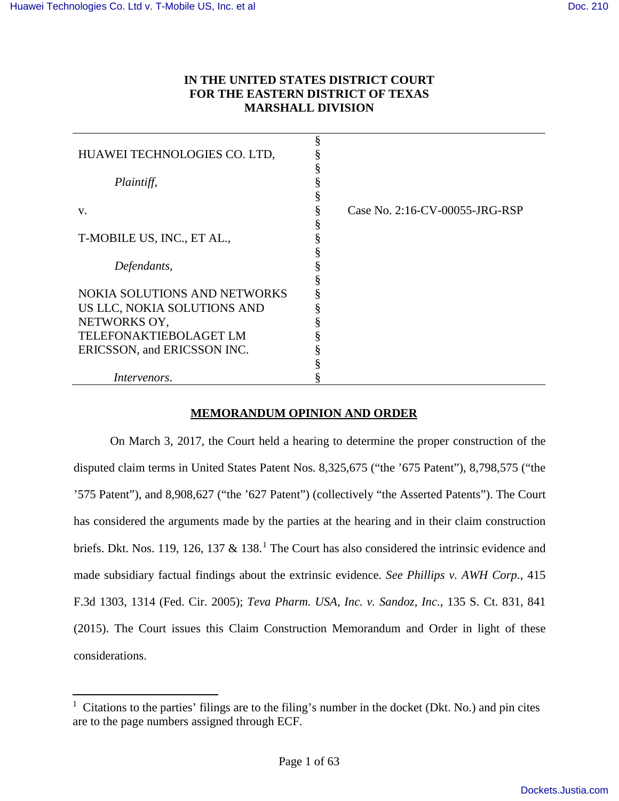$\overline{a}$ 

# **IN THE UNITED STATES DISTRICT COURT FOR THE EASTERN DISTRICT OF TEXAS MARSHALL DIVISION**

| HUAWEI TECHNOLOGIES CO. LTD,        |                                |
|-------------------------------------|--------------------------------|
|                                     |                                |
| Plaintiff,                          |                                |
|                                     |                                |
| V.                                  | Case No. 2:16-CV-00055-JRG-RSP |
|                                     |                                |
| T-MOBILE US, INC., ET AL.,          |                                |
|                                     |                                |
| Defendants,                         |                                |
|                                     |                                |
| <b>NOKIA SOLUTIONS AND NETWORKS</b> |                                |
| US LLC, NOKIA SOLUTIONS AND         |                                |
| NETWORKS OY,                        |                                |
| <b>TELEFONAKTIEBOLAGET LM</b>       |                                |
| ERICSSON, and ERICSSON INC.         |                                |
|                                     |                                |
| Intervenors.                        |                                |

## **MEMORANDUM OPINION AND ORDER**

On March 3, 2017, the Court held a hearing to determine the proper construction of the disputed claim terms in United States Patent Nos. 8,325,675 ("the '675 Patent"), 8,798,575 ("the '575 Patent"), and 8,908,627 ("the '627 Patent") (collectively "the Asserted Patents"). The Court has considered the arguments made by the parties at the hearing and in their claim construction briefs. Dkt. Nos. [1](#page-0-0)19, 126, 137  $\&$  138.<sup>1</sup> The Court has also considered the intrinsic evidence and made subsidiary factual findings about the extrinsic evidence. *See Phillips v. AWH Corp.*, 415 F.3d 1303, 1314 (Fed. Cir. 2005); *Teva Pharm. USA, Inc. v. Sandoz, Inc.*, 135 S. Ct. 831, 841 (2015). The Court issues this Claim Construction Memorandum and Order in light of these considerations.

<span id="page-0-0"></span><sup>&</sup>lt;sup>1</sup> Citations to the parties' filings are to the filing's number in the docket (Dkt. No.) and pin cites are to the page numbers assigned through ECF.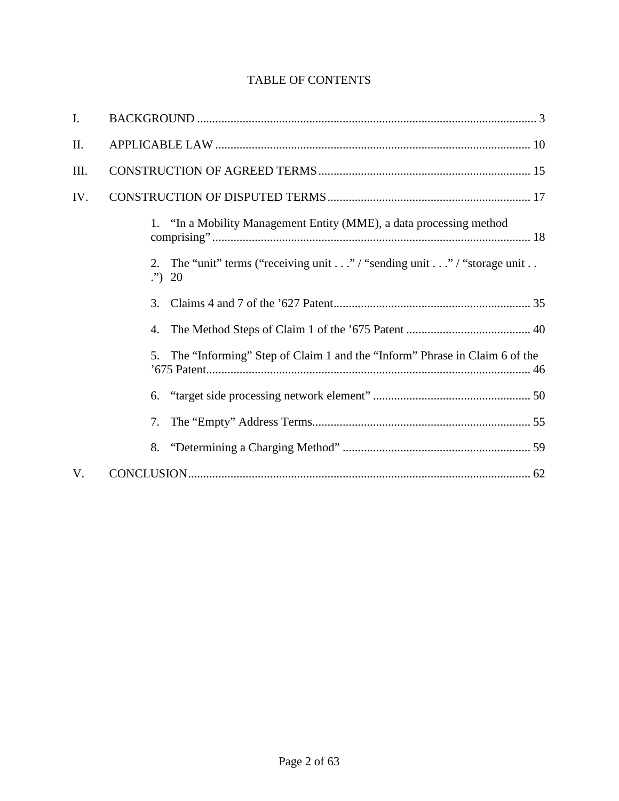# TABLE OF CONTENTS

| $\mathbf{I}$ . |                                                                                            |
|----------------|--------------------------------------------------------------------------------------------|
| II.            |                                                                                            |
| Ш.             |                                                                                            |
| IV.            |                                                                                            |
|                | 1. "In a Mobility Management Entity (MME), a data processing method                        |
|                | 2. The "unit" terms ("receiving unit" / "sending unit" / "storage unit<br>$\cdot$ ")<br>20 |
|                | 3.                                                                                         |
|                | 4.                                                                                         |
|                | The "Informing" Step of Claim 1 and the "Inform" Phrase in Claim 6 of the<br>5.            |
|                | 6.                                                                                         |
|                | 7.                                                                                         |
|                | 8.                                                                                         |
| V.             |                                                                                            |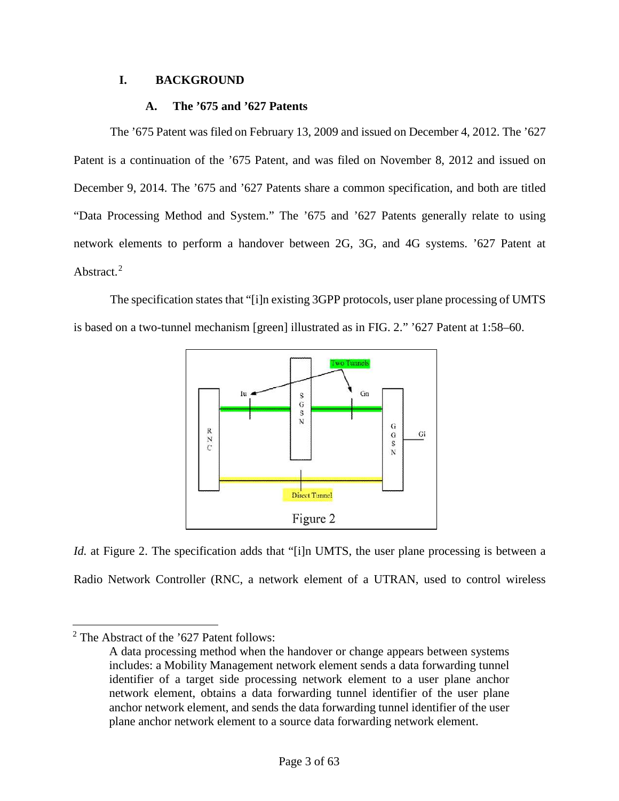# <span id="page-2-0"></span>**I. BACKGROUND**

# **A. The '675 and '627 Patents**

The '675 Patent was filed on February 13, 2009 and issued on December 4, 2012. The '627 Patent is a continuation of the '675 Patent, and was filed on November 8, 2012 and issued on December 9, 2014. The '675 and '627 Patents share a common specification, and both are titled "Data Processing Method and System." The '675 and '627 Patents generally relate to using network elements to perform a handover between 2G, 3G, and 4G systems. '627 Patent at Abstract.<sup>[2](#page-2-1)</sup>

The specification states that "[i]n existing 3GPP protocols, user plane processing of UMTS is based on a two-tunnel mechanism [green] illustrated as in FIG. 2." '627 Patent at 1:58–60.



*Id.* at Figure 2. The specification adds that "[i]n UMTS, the user plane processing is between a Radio Network Controller (RNC, a network element of a UTRAN, used to control wireless

 $\overline{a}$ 

<span id="page-2-1"></span> $2$  The Abstract of the '627 Patent follows:

A data processing method when the handover or change appears between systems includes: a Mobility Management network element sends a data forwarding tunnel identifier of a target side processing network element to a user plane anchor network element, obtains a data forwarding tunnel identifier of the user plane anchor network element, and sends the data forwarding tunnel identifier of the user plane anchor network element to a source data forwarding network element.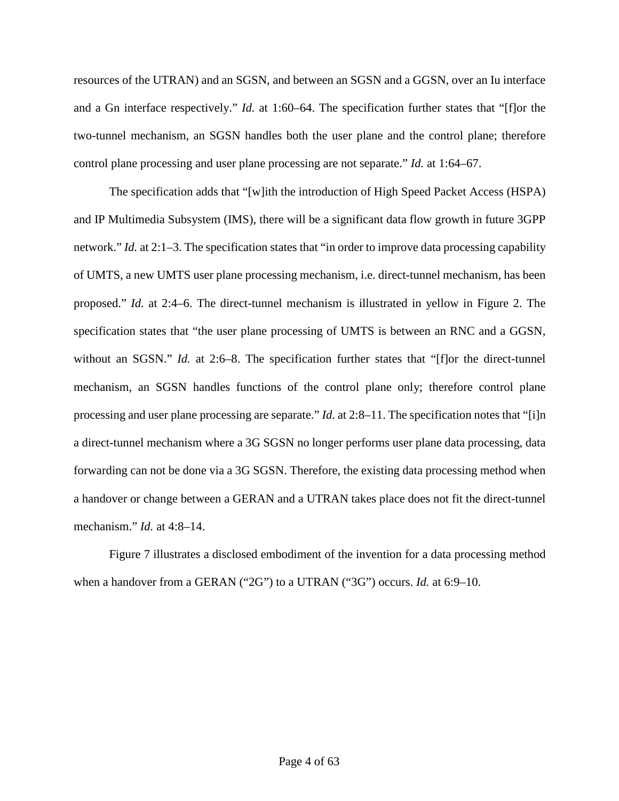resources of the UTRAN) and an SGSN, and between an SGSN and a GGSN, over an Iu interface and a Gn interface respectively." *Id.* at 1:60–64. The specification further states that "[f]or the two-tunnel mechanism, an SGSN handles both the user plane and the control plane; therefore control plane processing and user plane processing are not separate." *Id.* at 1:64–67.

The specification adds that "[w]ith the introduction of High Speed Packet Access (HSPA) and IP Multimedia Subsystem (IMS), there will be a significant data flow growth in future 3GPP network." *Id.* at 2:1–3. The specification states that "in order to improve data processing capability of UMTS, a new UMTS user plane processing mechanism, i.e. direct-tunnel mechanism, has been proposed." *Id.* at 2:4–6. The direct-tunnel mechanism is illustrated in yellow in Figure 2. The specification states that "the user plane processing of UMTS is between an RNC and a GGSN, without an SGSN." *Id.* at 2:6–8. The specification further states that "[f]or the direct-tunnel mechanism, an SGSN handles functions of the control plane only; therefore control plane processing and user plane processing are separate." *Id.* at 2:8–11. The specification notes that "[i]n a direct-tunnel mechanism where a 3G SGSN no longer performs user plane data processing, data forwarding can not be done via a 3G SGSN. Therefore, the existing data processing method when a handover or change between a GERAN and a UTRAN takes place does not fit the direct-tunnel mechanism." *Id.* at 4:8–14.

Figure 7 illustrates a disclosed embodiment of the invention for a data processing method when a handover from a GERAN ("2G") to a UTRAN ("3G") occurs. *Id.* at 6:9–10.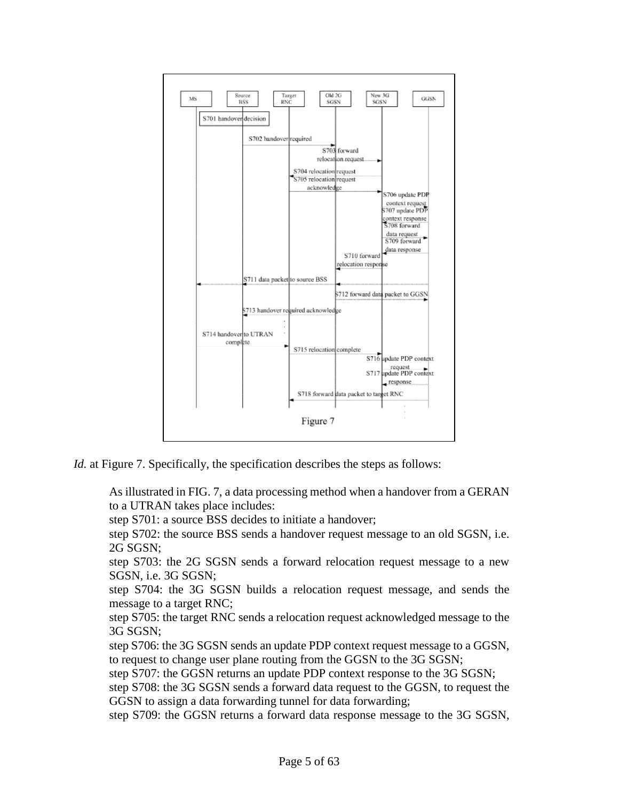

*Id.* at Figure 7. Specifically, the specification describes the steps as follows:

As illustrated in FIG. 7, a data processing method when a handover from a GERAN to a UTRAN takes place includes:

step S701: a source BSS decides to initiate a handover;

step S702: the source BSS sends a handover request message to an old SGSN, i.e. 2G SGSN;

step S703: the 2G SGSN sends a forward relocation request message to a new SGSN, i.e. 3G SGSN;

step S704: the 3G SGSN builds a relocation request message, and sends the message to a target RNC;

step S705: the target RNC sends a relocation request acknowledged message to the 3G SGSN;

step S706: the 3G SGSN sends an update PDP context request message to a GGSN, to request to change user plane routing from the GGSN to the 3G SGSN;

step S707: the GGSN returns an update PDP context response to the 3G SGSN;

step S708: the 3G SGSN sends a forward data request to the GGSN, to request the GGSN to assign a data forwarding tunnel for data forwarding;

step S709: the GGSN returns a forward data response message to the 3G SGSN,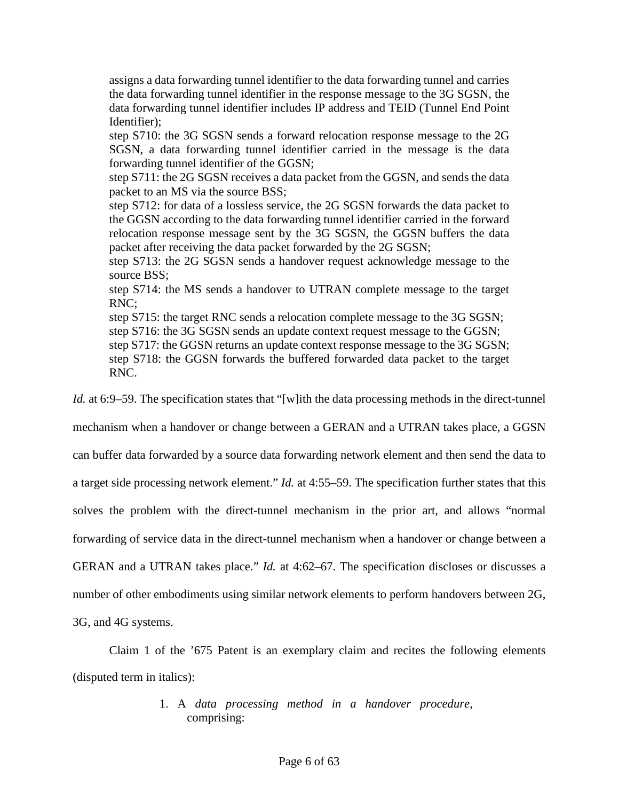assigns a data forwarding tunnel identifier to the data forwarding tunnel and carries the data forwarding tunnel identifier in the response message to the 3G SGSN, the data forwarding tunnel identifier includes IP address and TEID (Tunnel End Point Identifier);

step S710: the 3G SGSN sends a forward relocation response message to the 2G SGSN, a data forwarding tunnel identifier carried in the message is the data forwarding tunnel identifier of the GGSN;

step S711: the 2G SGSN receives a data packet from the GGSN, and sends the data packet to an MS via the source BSS;

step S712: for data of a lossless service, the 2G SGSN forwards the data packet to the GGSN according to the data forwarding tunnel identifier carried in the forward relocation response message sent by the 3G SGSN, the GGSN buffers the data packet after receiving the data packet forwarded by the 2G SGSN;

step S713: the 2G SGSN sends a handover request acknowledge message to the source BSS;

step S714: the MS sends a handover to UTRAN complete message to the target RNC;

step S715: the target RNC sends a relocation complete message to the 3G SGSN;

step S716: the 3G SGSN sends an update context request message to the GGSN;

step S717: the GGSN returns an update context response message to the 3G SGSN;

step S718: the GGSN forwards the buffered forwarded data packet to the target RNC.

*Id.* at 6:9–59. The specification states that "[w]ith the data processing methods in the direct-tunnel

mechanism when a handover or change between a GERAN and a UTRAN takes place, a GGSN

can buffer data forwarded by a source data forwarding network element and then send the data to

a target side processing network element." *Id.* at 4:55–59. The specification further states that this

solves the problem with the direct-tunnel mechanism in the prior art, and allows "normal

forwarding of service data in the direct-tunnel mechanism when a handover or change between a

GERAN and a UTRAN takes place." *Id.* at 4:62–67. The specification discloses or discusses a

number of other embodiments using similar network elements to perform handovers between 2G,

3G, and 4G systems.

Claim 1 of the '675 Patent is an exemplary claim and recites the following elements (disputed term in italics):

# 1. A *data processing method in a handover procedure*, comprising: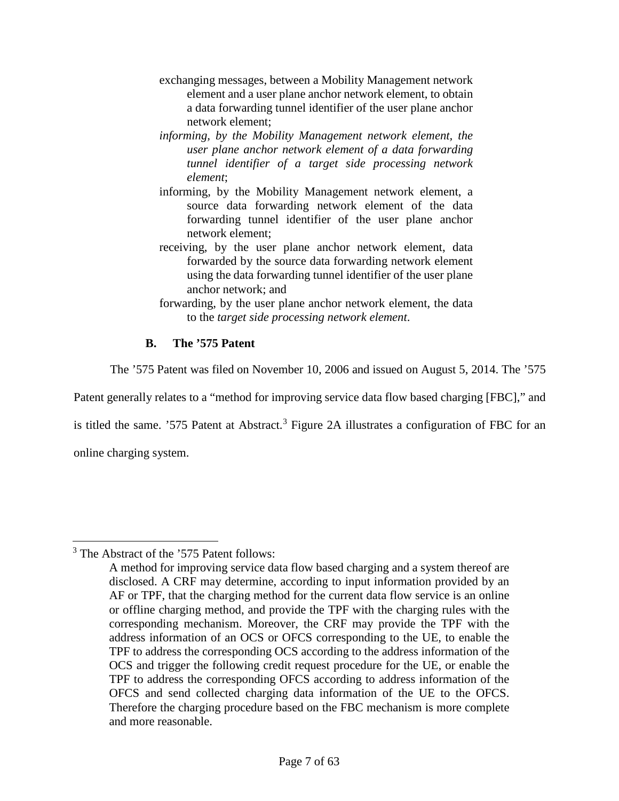- exchanging messages, between a Mobility Management network element and a user plane anchor network element, to obtain a data forwarding tunnel identifier of the user plane anchor network element;
- *informing, by the Mobility Management network element, the user plane anchor network element of a data forwarding tunnel identifier of a target side processing network element*;
- informing, by the Mobility Management network element, a source data forwarding network element of the data forwarding tunnel identifier of the user plane anchor network element;
- receiving, by the user plane anchor network element, data forwarded by the source data forwarding network element using the data forwarding tunnel identifier of the user plane anchor network; and
- forwarding, by the user plane anchor network element, the data to the *target side processing network element*.

# **B. The '575 Patent**

The '575 Patent was filed on November 10, 2006 and issued on August 5, 2014. The '575

Patent generally relates to a "method for improving service data flow based charging [FBC]," and

is titled the same. '575 Patent at Abstract.<sup>[3](#page-6-0)</sup> Figure 2A illustrates a configuration of FBC for an

online charging system.

l

<span id="page-6-0"></span><sup>&</sup>lt;sup>3</sup> The Abstract of the '575 Patent follows:

A method for improving service data flow based charging and a system thereof are disclosed. A CRF may determine, according to input information provided by an AF or TPF, that the charging method for the current data flow service is an online or offline charging method, and provide the TPF with the charging rules with the corresponding mechanism. Moreover, the CRF may provide the TPF with the address information of an OCS or OFCS corresponding to the UE, to enable the TPF to address the corresponding OCS according to the address information of the OCS and trigger the following credit request procedure for the UE, or enable the TPF to address the corresponding OFCS according to address information of the OFCS and send collected charging data information of the UE to the OFCS. Therefore the charging procedure based on the FBC mechanism is more complete and more reasonable.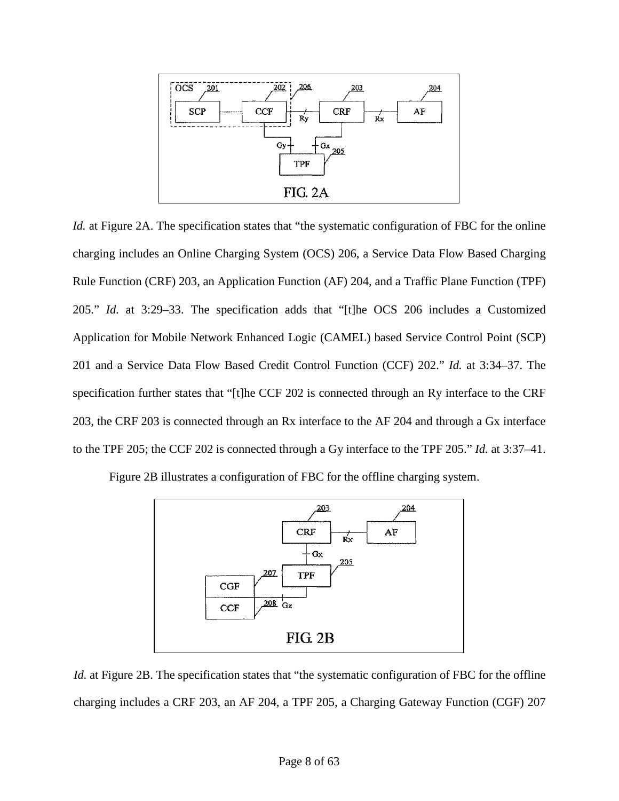

*Id.* at Figure 2A. The specification states that "the systematic configuration of FBC for the online charging includes an Online Charging System (OCS) 206, a Service Data Flow Based Charging Rule Function (CRF) 203, an Application Function (AF) 204, and a Traffic Plane Function (TPF) 205." *Id.* at 3:29–33. The specification adds that "[t]he OCS 206 includes a Customized Application for Mobile Network Enhanced Logic (CAMEL) based Service Control Point (SCP) 201 and a Service Data Flow Based Credit Control Function (CCF) 202." *Id.* at 3:34–37. The specification further states that "[t]he CCF 202 is connected through an Ry interface to the CRF 203, the CRF 203 is connected through an Rx interface to the AF 204 and through a Gx interface to the TPF 205; the CCF 202 is connected through a Gy interface to the TPF 205." *Id.* at 3:37–41.

Figure 2B illustrates a configuration of FBC for the offline charging system.



*Id.* at Figure 2B. The specification states that "the systematic configuration of FBC for the offline charging includes a CRF 203, an AF 204, a TPF 205, a Charging Gateway Function (CGF) 207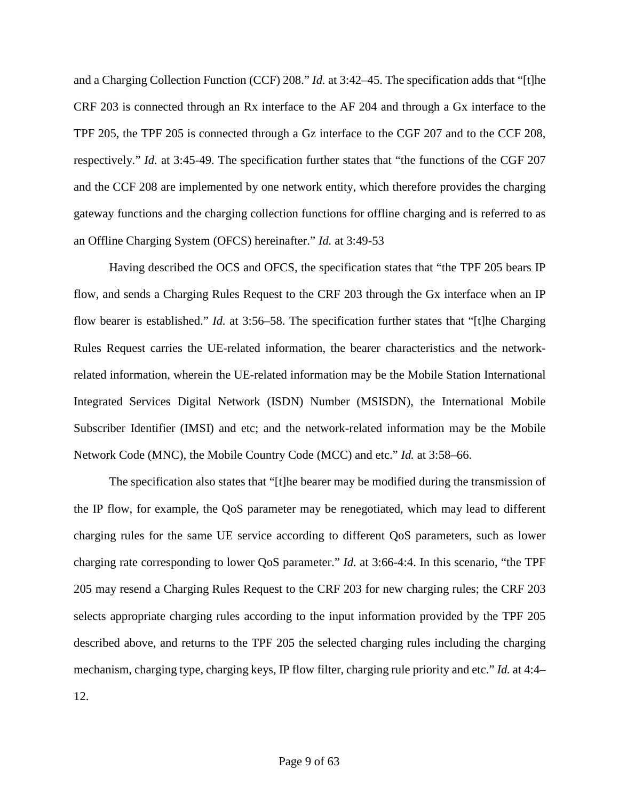and a Charging Collection Function (CCF) 208." *Id.* at 3:42–45. The specification adds that "[t]he CRF 203 is connected through an Rx interface to the AF 204 and through a Gx interface to the TPF 205, the TPF 205 is connected through a Gz interface to the CGF 207 and to the CCF 208, respectively." *Id.* at 3:45-49. The specification further states that "the functions of the CGF 207 and the CCF 208 are implemented by one network entity, which therefore provides the charging gateway functions and the charging collection functions for offline charging and is referred to as an Offline Charging System (OFCS) hereinafter." *Id.* at 3:49-53

Having described the OCS and OFCS, the specification states that "the TPF 205 bears IP flow, and sends a Charging Rules Request to the CRF 203 through the Gx interface when an IP flow bearer is established." *Id.* at 3:56–58. The specification further states that "[t]he Charging Rules Request carries the UE-related information, the bearer characteristics and the networkrelated information, wherein the UE-related information may be the Mobile Station International Integrated Services Digital Network (ISDN) Number (MSISDN), the International Mobile Subscriber Identifier (IMSI) and etc; and the network-related information may be the Mobile Network Code (MNC), the Mobile Country Code (MCC) and etc." *Id.* at 3:58–66.

The specification also states that "[t]he bearer may be modified during the transmission of the IP flow, for example, the QoS parameter may be renegotiated, which may lead to different charging rules for the same UE service according to different QoS parameters, such as lower charging rate corresponding to lower QoS parameter." *Id.* at 3:66-4:4. In this scenario, "the TPF 205 may resend a Charging Rules Request to the CRF 203 for new charging rules; the CRF 203 selects appropriate charging rules according to the input information provided by the TPF 205 described above, and returns to the TPF 205 the selected charging rules including the charging mechanism, charging type, charging keys, IP flow filter, charging rule priority and etc." *Id.* at 4:4– 12.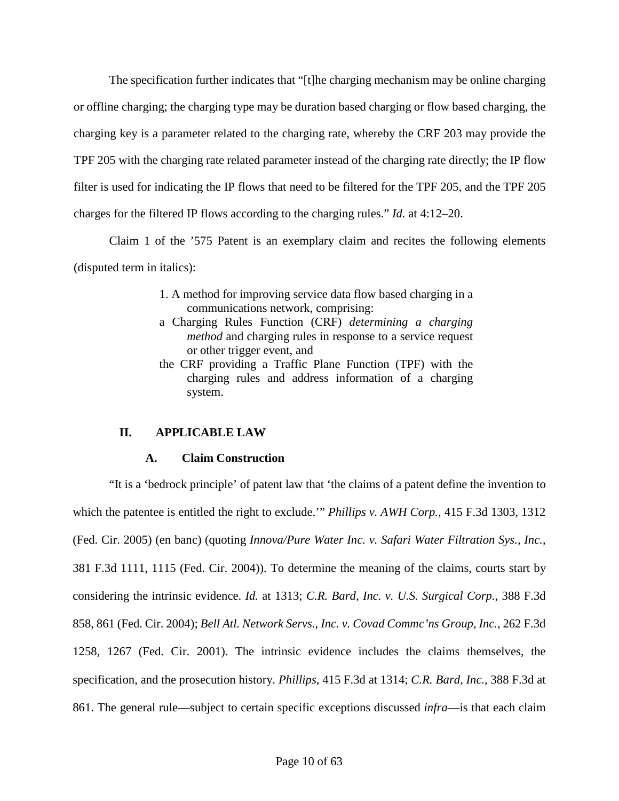The specification further indicates that "[t]he charging mechanism may be online charging or offline charging; the charging type may be duration based charging or flow based charging, the charging key is a parameter related to the charging rate, whereby the CRF 203 may provide the TPF 205 with the charging rate related parameter instead of the charging rate directly; the IP flow filter is used for indicating the IP flows that need to be filtered for the TPF 205, and the TPF 205 charges for the filtered IP flows according to the charging rules." *Id.* at 4:12–20.

Claim 1 of the '575 Patent is an exemplary claim and recites the following elements (disputed term in italics):

- 1. A method for improving service data flow based charging in a communications network, comprising:
- a Charging Rules Function (CRF) *determining a charging method* and charging rules in response to a service request or other trigger event, and
- the CRF providing a Traffic Plane Function (TPF) with the charging rules and address information of a charging system.

# <span id="page-9-0"></span>**II. APPLICABLE LAW**

# **A. Claim Construction**

"It is a 'bedrock principle' of patent law that 'the claims of a patent define the invention to which the patentee is entitled the right to exclude.'" *Phillips v. AWH Corp.*, 415 F.3d 1303, 1312 (Fed. Cir. 2005) (en banc) (quoting *Innova/Pure Water Inc. v. Safari Water Filtration Sys., Inc.*, 381 F.3d 1111, 1115 (Fed. Cir. 2004)). To determine the meaning of the claims, courts start by considering the intrinsic evidence. *Id.* at 1313; *C.R. Bard, Inc. v. U.S. Surgical Corp.*, 388 F.3d 858, 861 (Fed. Cir. 2004); *Bell Atl. Network Servs., Inc. v. Covad Commc'ns Group, Inc.*, 262 F.3d 1258, 1267 (Fed. Cir. 2001). The intrinsic evidence includes the claims themselves, the specification, and the prosecution history. *Phillips*, 415 F.3d at 1314; *C.R. Bard, Inc.*, 388 F.3d at 861. The general rule—subject to certain specific exceptions discussed *infra*—is that each claim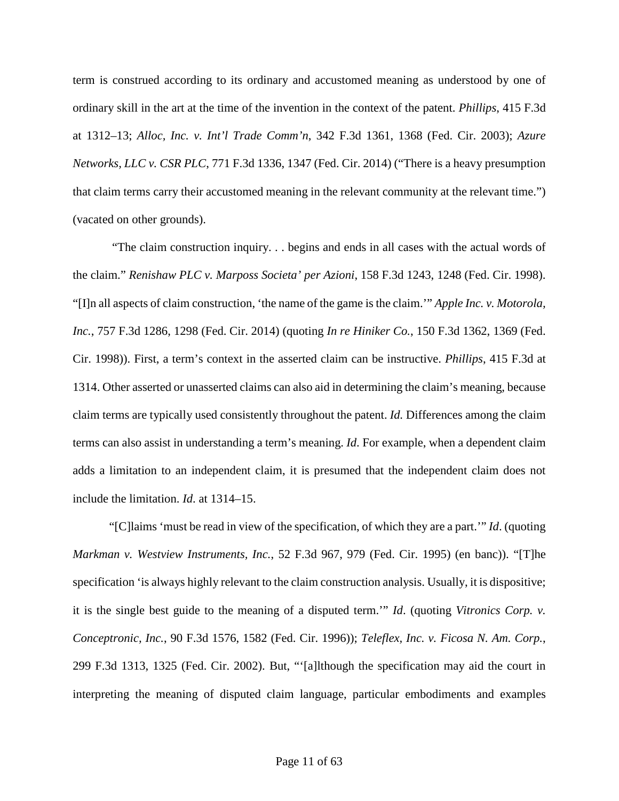term is construed according to its ordinary and accustomed meaning as understood by one of ordinary skill in the art at the time of the invention in the context of the patent. *Phillips*, 415 F.3d at 1312–13; *Alloc, Inc. v. Int'l Trade Comm'n*, 342 F.3d 1361, 1368 (Fed. Cir. 2003); *Azure Networks, LLC v. CSR PLC*, 771 F.3d 1336, 1347 (Fed. Cir. 2014) ("There is a heavy presumption that claim terms carry their accustomed meaning in the relevant community at the relevant time.") (vacated on other grounds).

"The claim construction inquiry. . . begins and ends in all cases with the actual words of the claim." *Renishaw PLC v. Marposs Societa' per Azioni*, 158 F.3d 1243, 1248 (Fed. Cir. 1998). "[I]n all aspects of claim construction, 'the name of the game is the claim.'" *Apple Inc. v. Motorola, Inc.*, 757 F.3d 1286, 1298 (Fed. Cir. 2014) (quoting *In re Hiniker Co.*, 150 F.3d 1362, 1369 (Fed. Cir. 1998)). First, a term's context in the asserted claim can be instructive. *Phillips*, 415 F.3d at 1314. Other asserted or unasserted claims can also aid in determining the claim's meaning, because claim terms are typically used consistently throughout the patent. *Id.* Differences among the claim terms can also assist in understanding a term's meaning. *Id*. For example, when a dependent claim adds a limitation to an independent claim, it is presumed that the independent claim does not include the limitation. *Id*. at 1314–15.

"[C]laims 'must be read in view of the specification, of which they are a part.'" *Id*. (quoting *Markman v. Westview Instruments, Inc.*, 52 F.3d 967, 979 (Fed. Cir. 1995) (en banc)). "[T]he specification 'is always highly relevant to the claim construction analysis. Usually, it is dispositive; it is the single best guide to the meaning of a disputed term.'" *Id*. (quoting *Vitronics Corp. v. Conceptronic, Inc.*, 90 F.3d 1576, 1582 (Fed. Cir. 1996)); *Teleflex, Inc. v. Ficosa N. Am. Corp.*, 299 F.3d 1313, 1325 (Fed. Cir. 2002). But, "'[a]lthough the specification may aid the court in interpreting the meaning of disputed claim language, particular embodiments and examples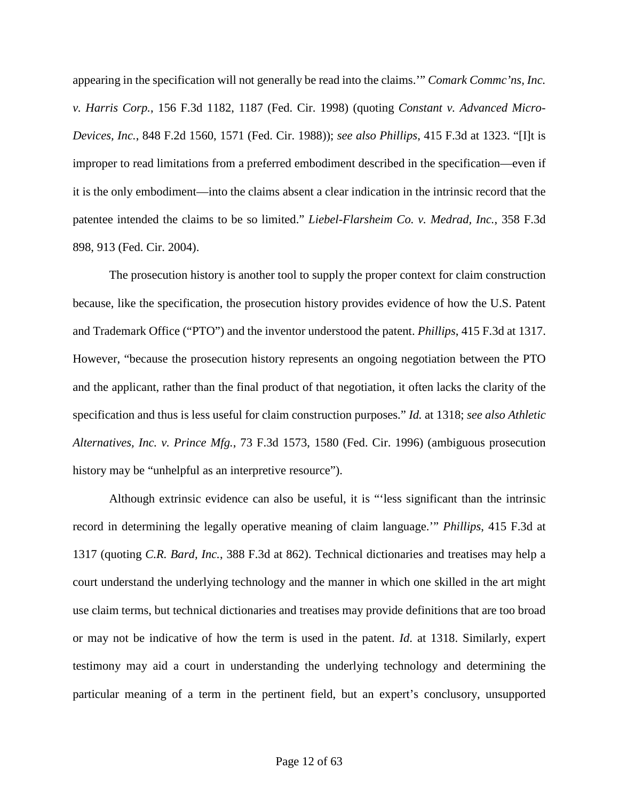appearing in the specification will not generally be read into the claims.'" *Comark Commc'ns, Inc. v. Harris Corp.*, 156 F.3d 1182, 1187 (Fed. Cir. 1998) (quoting *Constant v. Advanced Micro-Devices, Inc.*, 848 F.2d 1560, 1571 (Fed. Cir. 1988)); *see also Phillips*, 415 F.3d at 1323. "[I]t is improper to read limitations from a preferred embodiment described in the specification—even if it is the only embodiment—into the claims absent a clear indication in the intrinsic record that the patentee intended the claims to be so limited." *Liebel-Flarsheim Co. v. Medrad, Inc.*, 358 F.3d 898, 913 (Fed. Cir. 2004).

The prosecution history is another tool to supply the proper context for claim construction because, like the specification, the prosecution history provides evidence of how the U.S. Patent and Trademark Office ("PTO") and the inventor understood the patent. *Phillips*, 415 F.3d at 1317. However, "because the prosecution history represents an ongoing negotiation between the PTO and the applicant, rather than the final product of that negotiation, it often lacks the clarity of the specification and thus is less useful for claim construction purposes." *Id.* at 1318; *see also Athletic Alternatives, Inc. v. Prince Mfg.*, 73 F.3d 1573, 1580 (Fed. Cir. 1996) (ambiguous prosecution history may be "unhelpful as an interpretive resource").

Although extrinsic evidence can also be useful, it is "'less significant than the intrinsic record in determining the legally operative meaning of claim language.'" *Phillips*, 415 F.3d at 1317 (quoting *C.R. Bard, Inc.*, 388 F.3d at 862). Technical dictionaries and treatises may help a court understand the underlying technology and the manner in which one skilled in the art might use claim terms, but technical dictionaries and treatises may provide definitions that are too broad or may not be indicative of how the term is used in the patent. *Id*. at 1318. Similarly, expert testimony may aid a court in understanding the underlying technology and determining the particular meaning of a term in the pertinent field, but an expert's conclusory, unsupported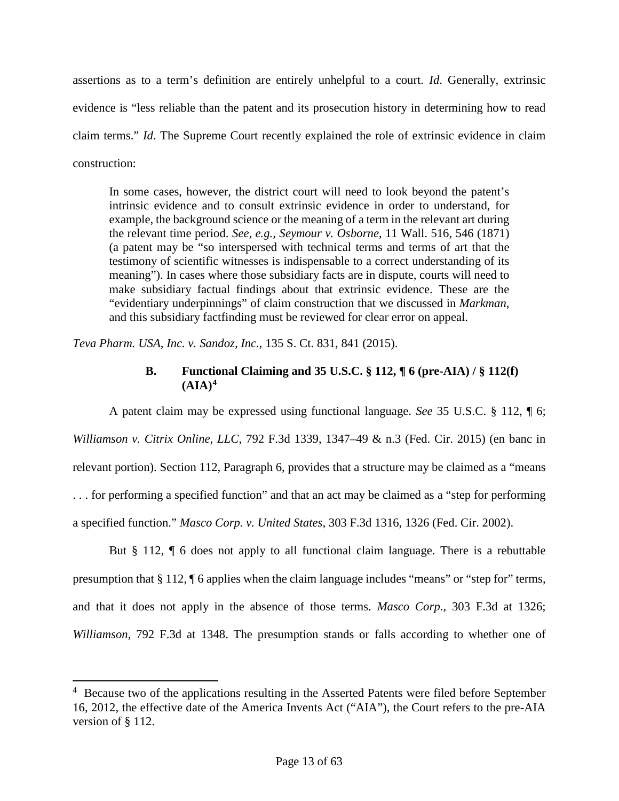assertions as to a term's definition are entirely unhelpful to a court. *Id*. Generally, extrinsic evidence is "less reliable than the patent and its prosecution history in determining how to read claim terms." *Id*. The Supreme Court recently explained the role of extrinsic evidence in claim construction:

In some cases, however, the district court will need to look beyond the patent's intrinsic evidence and to consult extrinsic evidence in order to understand, for example, the background science or the meaning of a term in the relevant art during the relevant time period. *See, e.g., Seymour v. Osborne*, 11 Wall. 516, 546 (1871) (a patent may be "so interspersed with technical terms and terms of art that the testimony of scientific witnesses is indispensable to a correct understanding of its meaning"). In cases where those subsidiary facts are in dispute, courts will need to make subsidiary factual findings about that extrinsic evidence. These are the "evidentiary underpinnings" of claim construction that we discussed in *Markman*, and this subsidiary factfinding must be reviewed for clear error on appeal.

*Teva Pharm. USA, Inc. v. Sandoz, Inc.*, 135 S. Ct. 831, 841 (2015).

l

# **B. Functional Claiming and 35 U.S.C. § 112, ¶ 6 (pre-AIA) / § 112(f)**   $(AIA)<sup>4</sup>$  $(AIA)<sup>4</sup>$  $(AIA)<sup>4</sup>$

A patent claim may be expressed using functional language. *See* 35 U.S.C. § 112, ¶ 6; *Williamson v. Citrix Online, LLC*, 792 F.3d 1339, 1347–49 & n.3 (Fed. Cir. 2015) (en banc in relevant portion). Section 112, Paragraph 6, provides that a structure may be claimed as a "means . . . for performing a specified function" and that an act may be claimed as a "step for performing a specified function." *Masco Corp. v. United States*, 303 F.3d 1316, 1326 (Fed. Cir. 2002).

But § 112, ¶ 6 does not apply to all functional claim language. There is a rebuttable presumption that § 112, ¶ 6 applies when the claim language includes "means" or "step for" terms, and that it does not apply in the absence of those terms. *Masco Corp.*, 303 F.3d at 1326; *Williamson*, 792 F.3d at 1348. The presumption stands or falls according to whether one of

<span id="page-12-0"></span><sup>&</sup>lt;sup>4</sup> Because two of the applications resulting in the Asserted Patents were filed before September 16, 2012, the effective date of the America Invents Act ("AIA"), the Court refers to the pre-AIA version of § 112.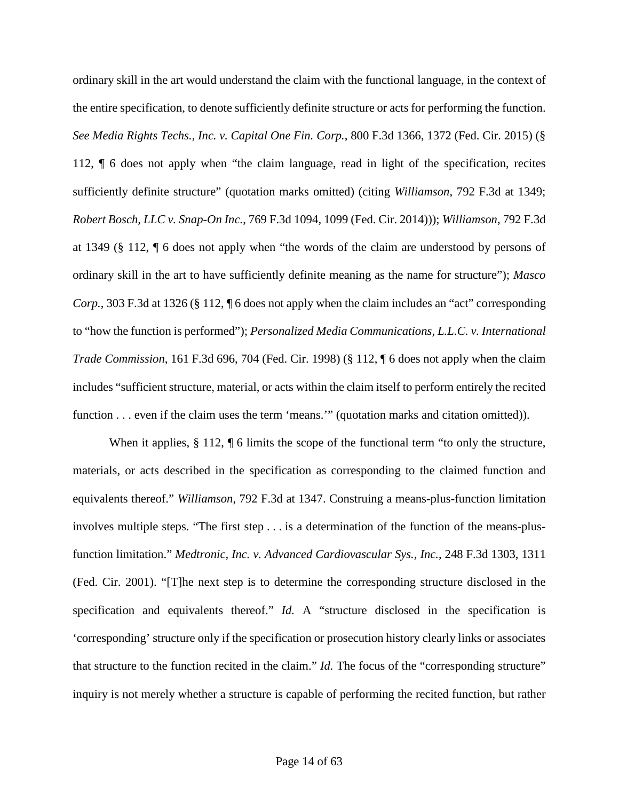ordinary skill in the art would understand the claim with the functional language, in the context of the entire specification, to denote sufficiently definite structure or acts for performing the function. *See Media Rights Techs., Inc. v. Capital One Fin. Corp.*, 800 F.3d 1366, 1372 (Fed. Cir. 2015) (§ 112, ¶ 6 does not apply when "the claim language, read in light of the specification, recites sufficiently definite structure" (quotation marks omitted) (citing *Williamson*, 792 F.3d at 1349; *Robert Bosch, LLC v. Snap-On Inc.*, 769 F.3d 1094, 1099 (Fed. Cir. 2014))); *Williamson*, 792 F.3d at 1349 (§ 112, ¶ 6 does not apply when "the words of the claim are understood by persons of ordinary skill in the art to have sufficiently definite meaning as the name for structure"); *Masco Corp.*, 303 F.3d at 1326 (§ 112, ¶ 6 does not apply when the claim includes an "act" corresponding to "how the function is performed"); *Personalized Media Communications, L.L.C. v. International Trade Commission*, 161 F.3d 696, 704 (Fed. Cir. 1998) (§ 112, ¶ 6 does not apply when the claim includes "sufficient structure, material, or acts within the claim itself to perform entirely the recited function . . . even if the claim uses the term 'means.'" (quotation marks and citation omitted)).

When it applies, § 112, ¶ 6 limits the scope of the functional term "to only the structure, materials, or acts described in the specification as corresponding to the claimed function and equivalents thereof." *Williamson*, 792 F.3d at 1347. Construing a means-plus-function limitation involves multiple steps. "The first step . . . is a determination of the function of the means-plusfunction limitation." *Medtronic, Inc. v. Advanced Cardiovascular Sys., Inc.*, 248 F.3d 1303, 1311 (Fed. Cir. 2001). "[T]he next step is to determine the corresponding structure disclosed in the specification and equivalents thereof." *Id.* A "structure disclosed in the specification is 'corresponding' structure only if the specification or prosecution history clearly links or associates that structure to the function recited in the claim." *Id.* The focus of the "corresponding structure" inquiry is not merely whether a structure is capable of performing the recited function, but rather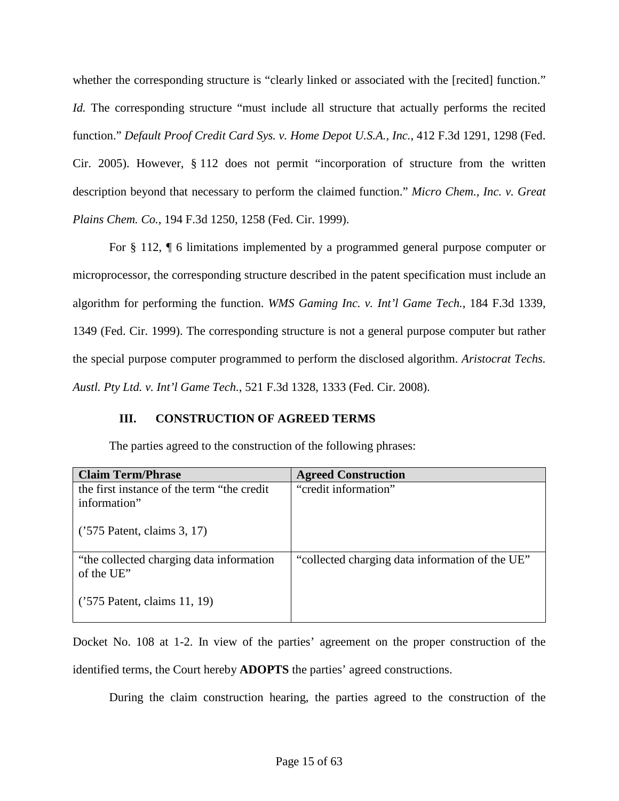whether the corresponding structure is "clearly linked or associated with the [recited] function." *Id.* The corresponding structure "must include all structure that actually performs the recited function." *Default Proof Credit Card Sys. v. Home Depot U.S.A., Inc.*, 412 F.3d 1291, 1298 (Fed. Cir. 2005). However, § 112 does not permit "incorporation of structure from the written description beyond that necessary to perform the claimed function." *Micro Chem., Inc. v. Great Plains Chem. Co.*, 194 F.3d 1250, 1258 (Fed. Cir. 1999).

For § 112, ¶ 6 limitations implemented by a programmed general purpose computer or microprocessor, the corresponding structure described in the patent specification must include an algorithm for performing the function. *WMS Gaming Inc. v. Int'l Game Tech.*, 184 F.3d 1339, 1349 (Fed. Cir. 1999). The corresponding structure is not a general purpose computer but rather the special purpose computer programmed to perform the disclosed algorithm. *Aristocrat Techs. Austl. Pty Ltd. v. Int'l Game Tech.*, 521 F.3d 1328, 1333 (Fed. Cir. 2008).

# <span id="page-14-0"></span>**III. CONSTRUCTION OF AGREED TERMS**

The parties agreed to the construction of the following phrases:

| <b>Claim Term/Phrase</b>                                    | <b>Agreed Construction</b>                      |
|-------------------------------------------------------------|-------------------------------------------------|
| the first instance of the term "the credit"<br>information" | "credit information"                            |
| $('575$ Patent, claims 3, 17)                               |                                                 |
| "the collected charging data information"<br>of the UE"     | "collected charging data information of the UE" |
| $('575$ Patent, claims 11, 19)                              |                                                 |

Docket No. 108 at 1-2. In view of the parties' agreement on the proper construction of the identified terms, the Court hereby **ADOPTS** the parties' agreed constructions.

During the claim construction hearing, the parties agreed to the construction of the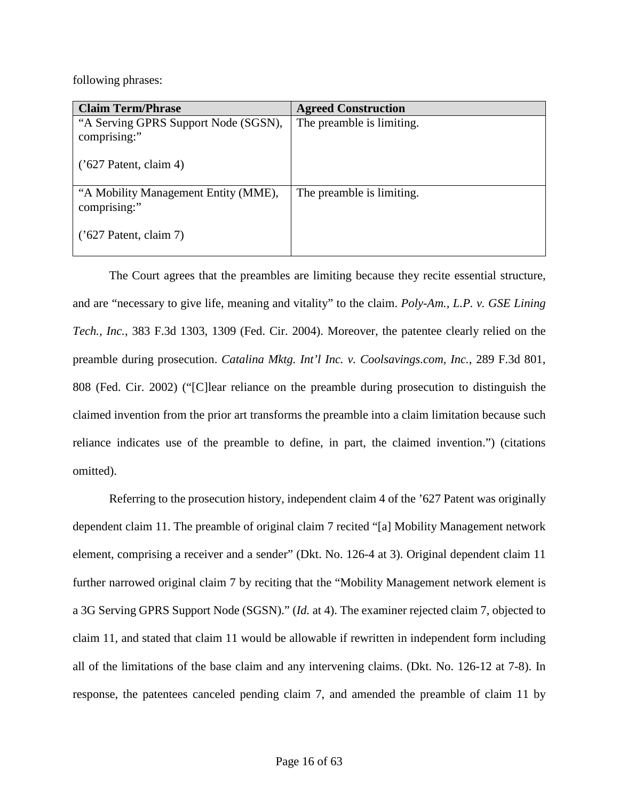following phrases:

| <b>Claim Term/Phrase</b>                             | <b>Agreed Construction</b> |
|------------------------------------------------------|----------------------------|
| "A Serving GPRS Support Node (SGSN),<br>comprising:" | The preamble is limiting.  |
| $('627$ Patent, claim 4)                             |                            |
| "A Mobility Management Entity (MME),<br>comprising:" | The preamble is limiting.  |
| $('627$ Patent, claim 7)                             |                            |

The Court agrees that the preambles are limiting because they recite essential structure, and are "necessary to give life, meaning and vitality" to the claim. *Poly-Am., L.P. v. GSE Lining Tech., Inc.*, 383 F.3d 1303, 1309 (Fed. Cir. 2004). Moreover, the patentee clearly relied on the preamble during prosecution. *Catalina Mktg. Int'l Inc. v. Coolsavings.com, Inc.*, 289 F.3d 801, 808 (Fed. Cir. 2002) ("[C]lear reliance on the preamble during prosecution to distinguish the claimed invention from the prior art transforms the preamble into a claim limitation because such reliance indicates use of the preamble to define, in part, the claimed invention.") (citations omitted).

Referring to the prosecution history, independent claim 4 of the '627 Patent was originally dependent claim 11. The preamble of original claim 7 recited "[a] Mobility Management network element, comprising a receiver and a sender" (Dkt. No. 126-4 at 3). Original dependent claim 11 further narrowed original claim 7 by reciting that the "Mobility Management network element is a 3G Serving GPRS Support Node (SGSN)." (*Id.* at 4). The examiner rejected claim 7, objected to claim 11, and stated that claim 11 would be allowable if rewritten in independent form including all of the limitations of the base claim and any intervening claims. (Dkt. No. 126-12 at 7-8). In response, the patentees canceled pending claim 7, and amended the preamble of claim 11 by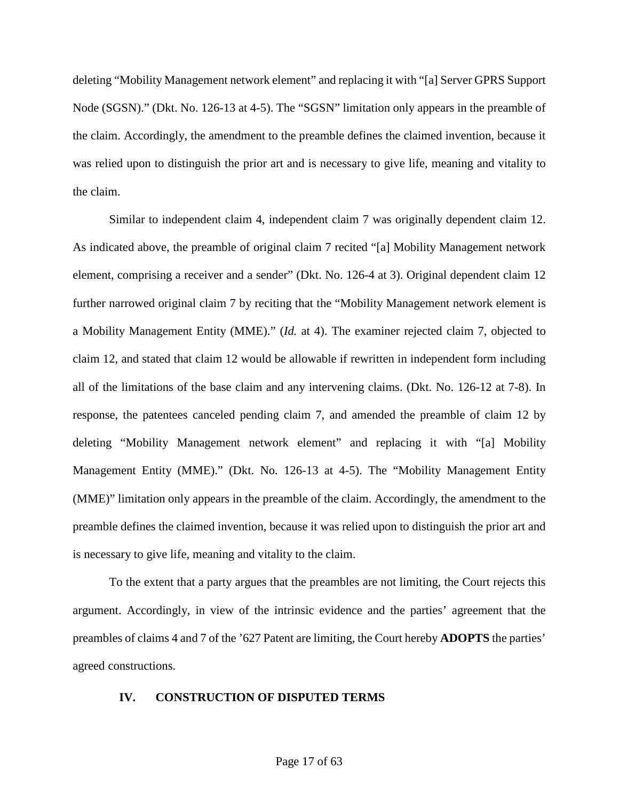deleting "Mobility Management network element" and replacing it with "[a] Server GPRS Support Node (SGSN)." (Dkt. No. 126-13 at 4-5). The "SGSN" limitation only appears in the preamble of the claim. Accordingly, the amendment to the preamble defines the claimed invention, because it was relied upon to distinguish the prior art and is necessary to give life, meaning and vitality to the claim.

Similar to independent claim 4, independent claim 7 was originally dependent claim 12. As indicated above, the preamble of original claim 7 recited "[a] Mobility Management network element, comprising a receiver and a sender" (Dkt. No. 126-4 at 3). Original dependent claim 12 further narrowed original claim 7 by reciting that the "Mobility Management network element is a Mobility Management Entity (MME)." (*Id.* at 4). The examiner rejected claim 7, objected to claim 12, and stated that claim 12 would be allowable if rewritten in independent form including all of the limitations of the base claim and any intervening claims. (Dkt. No. 126-12 at 7-8). In response, the patentees canceled pending claim 7, and amended the preamble of claim 12 by deleting "Mobility Management network element" and replacing it with "[a] Mobility Management Entity (MME)." (Dkt. No. 126-13 at 4-5). The "Mobility Management Entity (MME)" limitation only appears in the preamble of the claim. Accordingly, the amendment to the preamble defines the claimed invention, because it was relied upon to distinguish the prior art and is necessary to give life, meaning and vitality to the claim.

To the extent that a party argues that the preambles are not limiting, the Court rejects this argument. Accordingly, in view of the intrinsic evidence and the parties' agreement that the preambles of claims 4 and 7 of the '627 Patent are limiting, the Court hereby **ADOPTS** the parties' agreed constructions.

#### <span id="page-16-0"></span>**IV. CONSTRUCTION OF DISPUTED TERMS**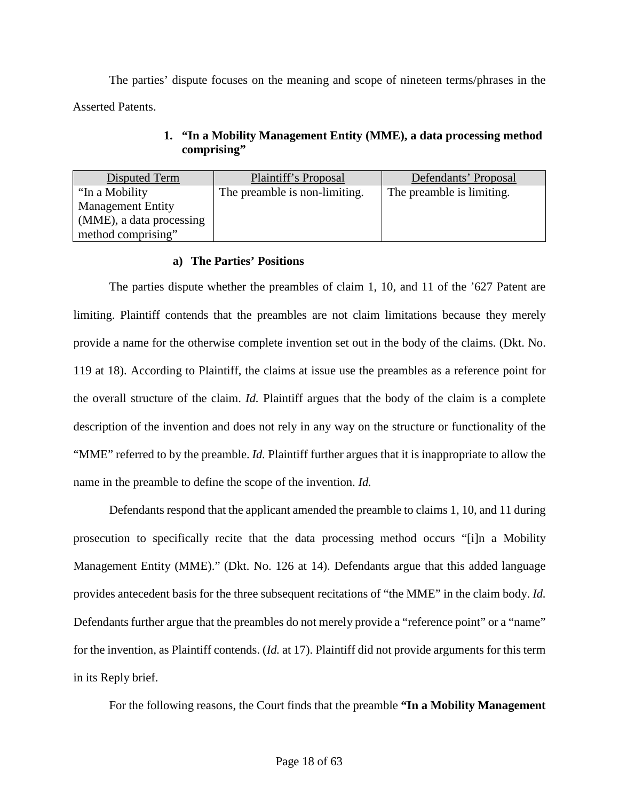The parties' dispute focuses on the meaning and scope of nineteen terms/phrases in the Asserted Patents.

<span id="page-17-0"></span>

| Disputed Term            | Plaintiff's Proposal          | Defendants' Proposal      |
|--------------------------|-------------------------------|---------------------------|
| "In a Mobility"          | The preamble is non-limiting. | The preamble is limiting. |
| <b>Management Entity</b> |                               |                           |
| (MME), a data processing |                               |                           |
| method comprising"       |                               |                           |

# **1. "In a Mobility Management Entity (MME), a data processing method comprising"**

# **a) The Parties' Positions**

The parties dispute whether the preambles of claim 1, 10, and 11 of the '627 Patent are limiting. Plaintiff contends that the preambles are not claim limitations because they merely provide a name for the otherwise complete invention set out in the body of the claims. (Dkt. No. 119 at 18). According to Plaintiff, the claims at issue use the preambles as a reference point for the overall structure of the claim. *Id.* Plaintiff argues that the body of the claim is a complete description of the invention and does not rely in any way on the structure or functionality of the "MME" referred to by the preamble. *Id.* Plaintiff further argues that it is inappropriate to allow the name in the preamble to define the scope of the invention. *Id.*

Defendants respond that the applicant amended the preamble to claims 1, 10, and 11 during prosecution to specifically recite that the data processing method occurs "[i]n a Mobility Management Entity (MME)." (Dkt. No. 126 at 14). Defendants argue that this added language provides antecedent basis for the three subsequent recitations of "the MME" in the claim body. *Id.* Defendants further argue that the preambles do not merely provide a "reference point" or a "name" for the invention, as Plaintiff contends. (*Id.* at 17). Plaintiff did not provide arguments for this term in its Reply brief.

For the following reasons, the Court finds that the preamble **"In a Mobility Management**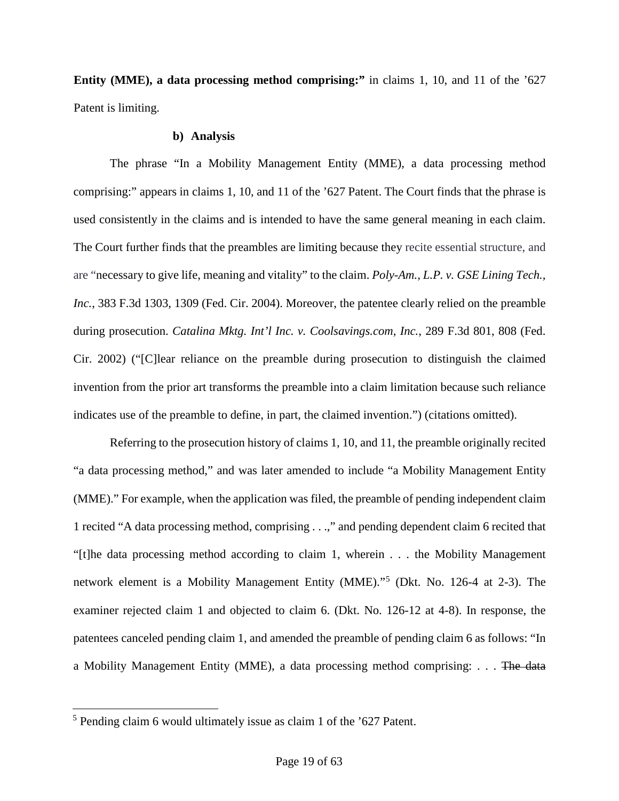**Entity (MME), a data processing method comprising:"** in claims 1, 10, and 11 of the '627 Patent is limiting.

#### **b) Analysis**

The phrase "In a Mobility Management Entity (MME), a data processing method comprising:" appears in claims 1, 10, and 11 of the '627 Patent. The Court finds that the phrase is used consistently in the claims and is intended to have the same general meaning in each claim. The Court further finds that the preambles are limiting because they recite essential structure, and are "necessary to give life, meaning and vitality" to the claim. *Poly-Am., L.P. v. GSE Lining Tech., Inc.*, 383 F.3d 1303, 1309 (Fed. Cir. 2004). Moreover, the patentee clearly relied on the preamble during prosecution. *Catalina Mktg. Int'l Inc. v. Coolsavings.com, Inc.*, 289 F.3d 801, 808 (Fed. Cir. 2002) ("[C]lear reliance on the preamble during prosecution to distinguish the claimed invention from the prior art transforms the preamble into a claim limitation because such reliance indicates use of the preamble to define, in part, the claimed invention.") (citations omitted).

Referring to the prosecution history of claims 1, 10, and 11, the preamble originally recited "a data processing method," and was later amended to include "a Mobility Management Entity (MME)." For example, when the application was filed, the preamble of pending independent claim 1 recited "A data processing method, comprising . . .," and pending dependent claim 6 recited that "[t]he data processing method according to claim 1, wherein . . . the Mobility Management network element is a Mobility Management Entity (MME)." [5](#page-18-0) (Dkt. No. 126-4 at 2-3). The examiner rejected claim 1 and objected to claim 6. (Dkt. No. 126-12 at 4-8). In response, the patentees canceled pending claim 1, and amended the preamble of pending claim 6 as follows: "In a Mobility Management Entity (MME), a data processing method comprising: . . . The data

 $\overline{a}$ 

<span id="page-18-0"></span><sup>5</sup> Pending claim 6 would ultimately issue as claim 1 of the '627 Patent.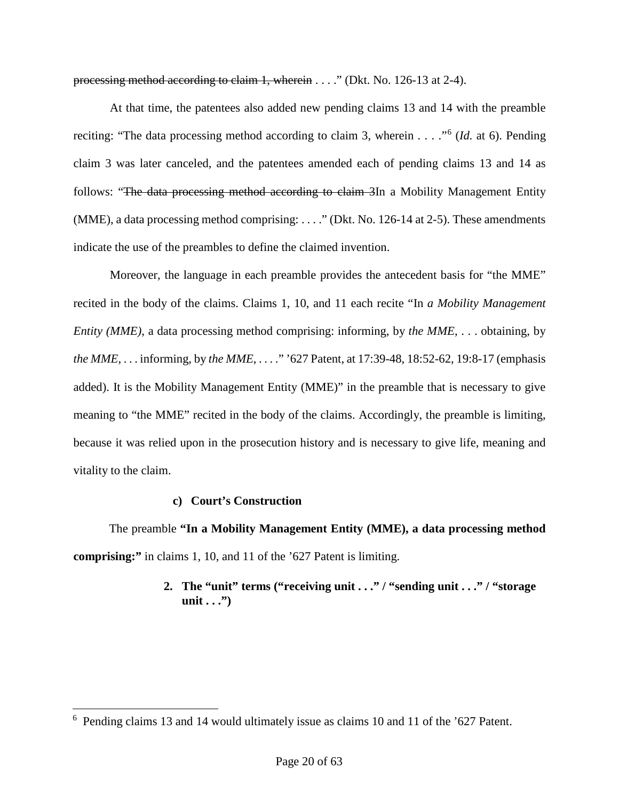processing method according to claim 1, wherein . . . ." (Dkt. No. 126-13 at 2-4).

At that time, the patentees also added new pending claims 13 and 14 with the preamble reciting: "The data processing method according to claim 3, wherein . . . ."<sup>[6](#page-19-1)</sup> (*Id.* at 6). Pending claim 3 was later canceled, and the patentees amended each of pending claims 13 and 14 as follows: "The data processing method according to claim 3In a Mobility Management Entity (MME), a data processing method comprising: . . . ." (Dkt. No. 126-14 at 2-5). These amendments indicate the use of the preambles to define the claimed invention.

Moreover, the language in each preamble provides the antecedent basis for "the MME" recited in the body of the claims. Claims 1, 10, and 11 each recite "In *a Mobility Management Entity (MME)*, a data processing method comprising: informing, by *the MME*, ... obtaining, by *the MME*, . . . informing, by *the MME*, . . . ." '627 Patent, at 17:39-48, 18:52-62, 19:8-17 (emphasis added). It is the Mobility Management Entity (MME)" in the preamble that is necessary to give meaning to "the MME" recited in the body of the claims. Accordingly, the preamble is limiting, because it was relied upon in the prosecution history and is necessary to give life, meaning and vitality to the claim.

# **c) Court's Construction**

 $\overline{a}$ 

<span id="page-19-0"></span>The preamble **"In a Mobility Management Entity (MME), a data processing method comprising:"** in claims 1, 10, and 11 of the '627 Patent is limiting.

# **2. The "unit" terms ("receiving unit . . ." / "sending unit . . ." / "storage unit** . . ."

<span id="page-19-1"></span><sup>6</sup> Pending claims 13 and 14 would ultimately issue as claims 10 and 11 of the '627 Patent.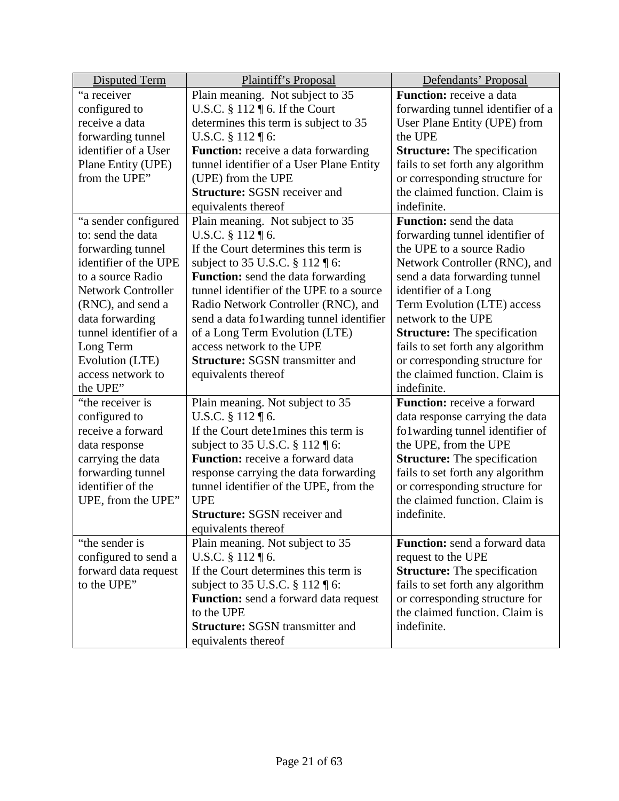| <b>Disputed Term</b>      | Plaintiff's Proposal                         | Defendants' Proposal                |
|---------------------------|----------------------------------------------|-------------------------------------|
| "a receiver               | Plain meaning. Not subject to 35             | <b>Function:</b> receive a data     |
| configured to             | U.S.C. $\S 112 \P 6$ . If the Court          | forwarding tunnel identifier of a   |
| receive a data            | determines this term is subject to 35        | User Plane Entity (UPE) from        |
| forwarding tunnel         | U.S.C. § 112 ¶ 6:                            | the UPE                             |
| identifier of a User      | <b>Function:</b> receive a data forwarding   | <b>Structure:</b> The specification |
| Plane Entity (UPE)        | tunnel identifier of a User Plane Entity     | fails to set forth any algorithm    |
| from the UPE"             | (UPE) from the UPE                           | or corresponding structure for      |
|                           | <b>Structure:</b> SGSN receiver and          | the claimed function. Claim is      |
|                           | equivalents thereof                          | indefinite.                         |
| "a sender configured      | Plain meaning. Not subject to 35             | <b>Function:</b> send the data      |
| to: send the data         | U.S.C. $§ 112 \text{ } \text{T} 6.$          | forwarding tunnel identifier of     |
| forwarding tunnel         | If the Court determines this term is         | the UPE to a source Radio           |
| identifier of the UPE     | subject to 35 U.S.C. § 112 ¶ 6:              | Network Controller (RNC), and       |
| to a source Radio         | Function: send the data forwarding           | send a data forwarding tunnel       |
| <b>Network Controller</b> | tunnel identifier of the UPE to a source     | identifier of a Long                |
| (RNC), and send a         | Radio Network Controller (RNC), and          | Term Evolution (LTE) access         |
| data forwarding           | send a data folwarding tunnel identifier     | network to the UPE                  |
| tunnel identifier of a    | of a Long Term Evolution (LTE)               | <b>Structure:</b> The specification |
| Long Term                 | access network to the UPE                    | fails to set forth any algorithm    |
| Evolution (LTE)           | <b>Structure: SGSN transmitter and</b>       | or corresponding structure for      |
| access network to         | equivalents thereof                          | the claimed function. Claim is      |
| the UPE"                  |                                              | indefinite.                         |
| "the receiver is          | Plain meaning. Not subject to 35             | <b>Function:</b> receive a forward  |
| configured to             | U.S.C. § 112 ¶ 6.                            | data response carrying the data     |
| receive a forward         | If the Court dete1mines this term is         | folwarding tunnel identifier of     |
| data response             | subject to 35 U.S.C. § 112 ¶ 6:              | the UPE, from the UPE               |
| carrying the data         | <b>Function:</b> receive a forward data      | <b>Structure:</b> The specification |
| forwarding tunnel         | response carrying the data forwarding        | fails to set forth any algorithm    |
| identifier of the         | tunnel identifier of the UPE, from the       | or corresponding structure for      |
| UPE, from the UPE"        | <b>UPE</b>                                   | the claimed function. Claim is      |
|                           | <b>Structure:</b> SGSN receiver and          | indefinite.                         |
|                           | equivalents thereof                          |                                     |
| "the sender is            | Plain meaning. Not subject to 35             | Function: send a forward data       |
| configured to send a      | U.S.C. $§ 112 \text{ } \text{T} 6.$          | request to the UPE                  |
| forward data request      | If the Court determines this term is         | <b>Structure:</b> The specification |
| to the UPE"               | subject to 35 U.S.C. § 112 ¶ 6:              | fails to set forth any algorithm    |
|                           | <b>Function:</b> send a forward data request | or corresponding structure for      |
|                           | to the UPE                                   | the claimed function. Claim is      |
|                           | <b>Structure: SGSN transmitter and</b>       | indefinite.                         |
|                           | equivalents thereof                          |                                     |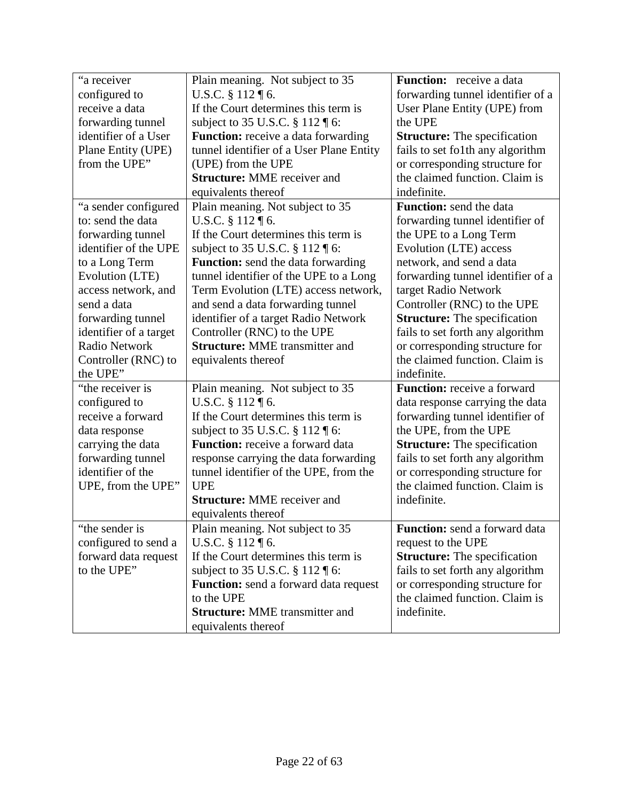| "a receiver            | Plain meaning. Not subject to 35                                                  | <b>Function:</b> receive a data      |
|------------------------|-----------------------------------------------------------------------------------|--------------------------------------|
| configured to          | U.S.C. § 112 ¶ 6.                                                                 | forwarding tunnel identifier of a    |
| receive a data         | If the Court determines this term is                                              | User Plane Entity (UPE) from         |
| forwarding tunnel      | subject to 35 U.S.C. § 112 ¶ 6:                                                   | the UPE                              |
| identifier of a User   | <b>Function:</b> receive a data forwarding                                        | <b>Structure:</b> The specification  |
| Plane Entity (UPE)     | tunnel identifier of a User Plane Entity                                          | fails to set fo1th any algorithm     |
| from the UPE"          | (UPE) from the UPE                                                                | or corresponding structure for       |
|                        | <b>Structure: MME</b> receiver and                                                | the claimed function. Claim is       |
|                        | equivalents thereof                                                               | indefinite.                          |
| "a sender configured   | Plain meaning. Not subject to 35                                                  | <b>Function:</b> send the data       |
| to: send the data      | U.S.C. $§ 112 \text{ } \text{T} 6.$                                               | forwarding tunnel identifier of      |
| forwarding tunnel      | If the Court determines this term is                                              | the UPE to a Long Term               |
| identifier of the UPE  | subject to 35 U.S.C. $\S 112 \text{ } \text{\ensuremath{\mathsf{f}}\mathsf{6}}$ : | Evolution (LTE) access               |
| to a Long Term         | <b>Function:</b> send the data forwarding                                         | network, and send a data             |
| Evolution (LTE)        | tunnel identifier of the UPE to a Long                                            | forwarding tunnel identifier of a    |
| access network, and    | Term Evolution (LTE) access network,                                              | target Radio Network                 |
| send a data            | and send a data forwarding tunnel                                                 | Controller (RNC) to the UPE          |
| forwarding tunnel      | identifier of a target Radio Network                                              | <b>Structure:</b> The specification  |
| identifier of a target | Controller (RNC) to the UPE                                                       | fails to set forth any algorithm     |
| <b>Radio Network</b>   | <b>Structure: MME</b> transmitter and                                             | or corresponding structure for       |
| Controller (RNC) to    | equivalents thereof                                                               | the claimed function. Claim is       |
| the UPE"               |                                                                                   | indefinite.                          |
| "the receiver is       | Plain meaning. Not subject to 35                                                  | Function: receive a forward          |
| configured to          | U.S.C. $§ 112 \text{ } \text{T} 6.$                                               | data response carrying the data      |
| receive a forward      | If the Court determines this term is                                              | forwarding tunnel identifier of      |
| data response          | subject to 35 U.S.C. § 112 ¶ 6:                                                   | the UPE, from the UPE                |
| carrying the data      | <b>Function:</b> receive a forward data                                           | <b>Structure:</b> The specification  |
| forwarding tunnel      | response carrying the data forwarding                                             | fails to set forth any algorithm     |
| identifier of the      | tunnel identifier of the UPE, from the                                            | or corresponding structure for       |
| UPE, from the UPE"     | <b>UPE</b>                                                                        | the claimed function. Claim is       |
|                        | <b>Structure: MME</b> receiver and                                                | indefinite.                          |
|                        | equivalents thereof                                                               |                                      |
| the sender is          | Plain meaning. Not subject to 35                                                  | <b>Function:</b> send a forward data |
| configured to send a   | U.S.C. $\S 112 \P 6$ .                                                            | request to the UPE                   |
| forward data request   | If the Court determines this term is                                              | <b>Structure:</b> The specification  |
| to the UPE"            | subject to 35 U.S.C. § 112 ¶ 6:                                                   | fails to set forth any algorithm     |
|                        | <b>Function:</b> send a forward data request                                      | or corresponding structure for       |
|                        | to the UPE                                                                        | the claimed function. Claim is       |
|                        | <b>Structure: MME</b> transmitter and                                             | indefinite.                          |
|                        | equivalents thereof                                                               |                                      |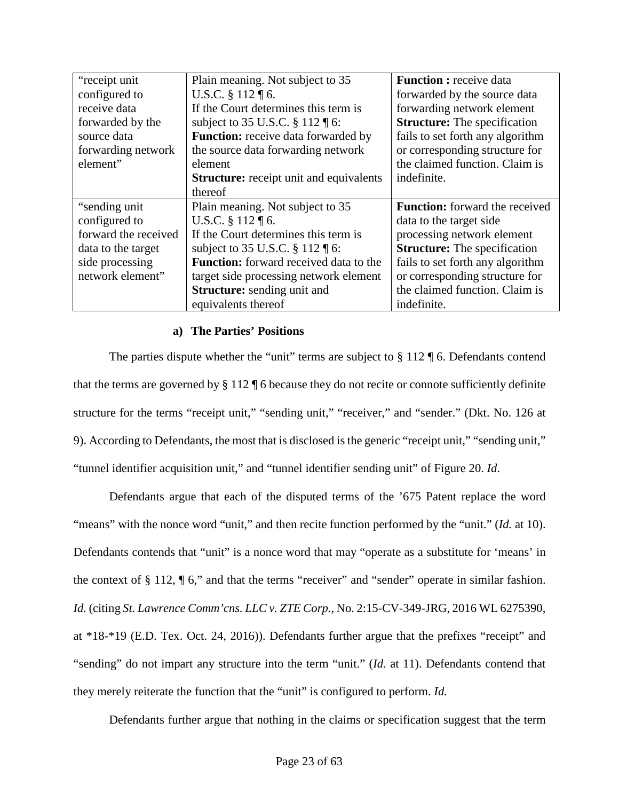| "receipt unit"       | Plain meaning. Not subject to 35                   | <b>Function:</b> receive data         |
|----------------------|----------------------------------------------------|---------------------------------------|
| configured to        | U.S.C. § 112 ¶ 6.                                  | forwarded by the source data          |
| receive data         | If the Court determines this term is               | forwarding network element            |
| forwarded by the     | subject to 35 U.S.C. § 112 ¶ 6:                    | <b>Structure:</b> The specification   |
| source data          | Function: receive data forwarded by                | fails to set forth any algorithm      |
| forwarding network   | the source data forwarding network                 | or corresponding structure for        |
| element"             | element                                            | the claimed function. Claim is        |
|                      | <b>Structure:</b> receipt unit and equivalents     | indefinite.                           |
|                      | thereof                                            |                                       |
| "sending unit"       | Plain meaning. Not subject to 35                   | <b>Function:</b> forward the received |
| configured to        | U.S.C. § 112 ¶ 6.                                  | data to the target side               |
| forward the received | If the Court determines this term is               | processing network element            |
| data to the target   | subject to 35 U.S.C. $\S 112 \text{ } \text{T}$ 6: | <b>Structure:</b> The specification   |
| side processing      | <b>Function:</b> forward received data to the      | fails to set forth any algorithm      |
| network element"     | target side processing network element             | or corresponding structure for        |
|                      | <b>Structure:</b> sending unit and                 | the claimed function. Claim is        |
|                      | equivalents thereof                                | indefinite.                           |

# **a) The Parties' Positions**

The parties dispute whether the "unit" terms are subject to § 112 ¶ 6. Defendants contend that the terms are governed by § 112 ¶ 6 because they do not recite or connote sufficiently definite structure for the terms "receipt unit," "sending unit," "receiver," and "sender." (Dkt. No. 126 at 9). According to Defendants, the most that is disclosed is the generic "receipt unit," "sending unit," "tunnel identifier acquisition unit," and "tunnel identifier sending unit" of Figure 20. *Id*.

Defendants argue that each of the disputed terms of the '675 Patent replace the word "means" with the nonce word "unit," and then recite function performed by the "unit." (*Id.* at 10). Defendants contends that "unit" is a nonce word that may "operate as a substitute for 'means' in the context of § 112, ¶ 6," and that the terms "receiver" and "sender" operate in similar fashion. *Id.* (citing *St. Lawrence Comm'cns. LLC v. ZTE Corp.*, No. 2:15-CV-349-JRG, 2016 WL 6275390, at \*18-\*19 (E.D. Tex. Oct. 24, 2016)). Defendants further argue that the prefixes "receipt" and "sending" do not impart any structure into the term "unit." (*Id.* at 11). Defendants contend that they merely reiterate the function that the "unit" is configured to perform. *Id.*

Defendants further argue that nothing in the claims or specification suggest that the term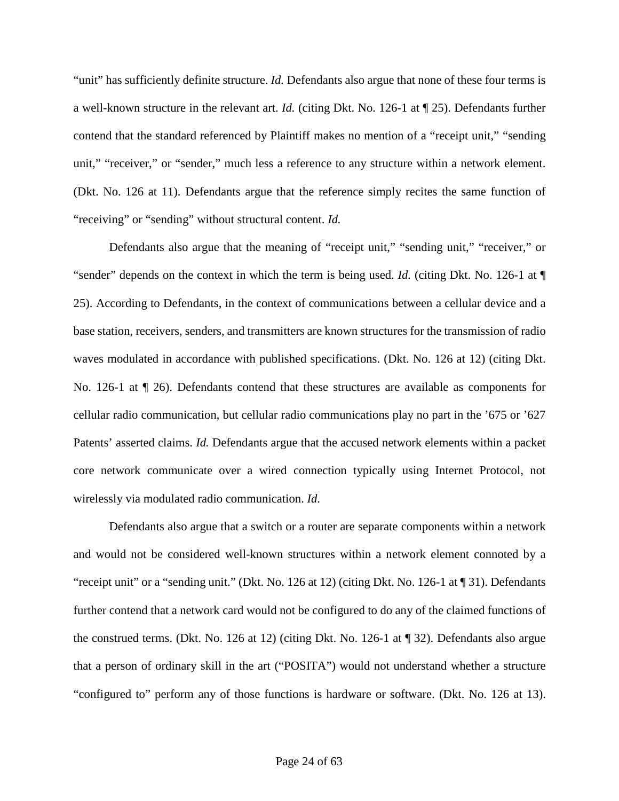"unit" has sufficiently definite structure. *Id.* Defendants also argue that none of these four terms is a well-known structure in the relevant art. *Id.* (citing Dkt. No. 126-1 at ¶ 25). Defendants further contend that the standard referenced by Plaintiff makes no mention of a "receipt unit," "sending unit," "receiver," or "sender," much less a reference to any structure within a network element. (Dkt. No. 126 at 11). Defendants argue that the reference simply recites the same function of "receiving" or "sending" without structural content. *Id.*

Defendants also argue that the meaning of "receipt unit," "sending unit," "receiver," or "sender" depends on the context in which the term is being used. *Id.* (citing Dkt. No. 126-1 at ¶ 25). According to Defendants, in the context of communications between a cellular device and a base station, receivers, senders, and transmitters are known structures for the transmission of radio waves modulated in accordance with published specifications. (Dkt. No. 126 at 12) (citing Dkt. No. 126-1 at ¶ 26). Defendants contend that these structures are available as components for cellular radio communication, but cellular radio communications play no part in the '675 or '627 Patents' asserted claims. *Id.* Defendants argue that the accused network elements within a packet core network communicate over a wired connection typically using Internet Protocol, not wirelessly via modulated radio communication. *Id.*

Defendants also argue that a switch or a router are separate components within a network and would not be considered well-known structures within a network element connoted by a "receipt unit" or a "sending unit." (Dkt. No. 126 at 12) (citing Dkt. No. 126-1 at ¶ 31). Defendants further contend that a network card would not be configured to do any of the claimed functions of the construed terms. (Dkt. No. 126 at 12) (citing Dkt. No. 126-1 at ¶ 32). Defendants also argue that a person of ordinary skill in the art ("POSITA") would not understand whether a structure "configured to" perform any of those functions is hardware or software. (Dkt. No. 126 at 13).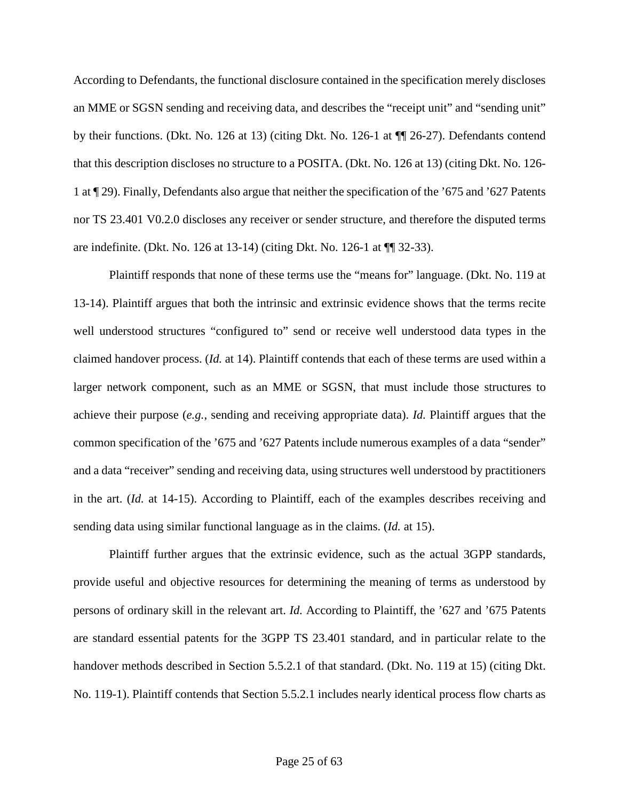According to Defendants, the functional disclosure contained in the specification merely discloses an MME or SGSN sending and receiving data, and describes the "receipt unit" and "sending unit" by their functions. (Dkt. No. 126 at 13) (citing Dkt. No. 126-1 at ¶¶ 26-27). Defendants contend that this description discloses no structure to a POSITA. (Dkt. No. 126 at 13) (citing Dkt. No. 126- 1 at ¶ 29). Finally, Defendants also argue that neither the specification of the '675 and '627 Patents nor TS 23.401 V0.2.0 discloses any receiver or sender structure, and therefore the disputed terms are indefinite. (Dkt. No. 126 at 13-14) (citing Dkt. No. 126-1 at ¶¶ 32-33).

Plaintiff responds that none of these terms use the "means for" language. (Dkt. No. 119 at 13-14). Plaintiff argues that both the intrinsic and extrinsic evidence shows that the terms recite well understood structures "configured to" send or receive well understood data types in the claimed handover process. (*Id.* at 14). Plaintiff contends that each of these terms are used within a larger network component, such as an MME or SGSN, that must include those structures to achieve their purpose (*e.g.*, sending and receiving appropriate data). *Id.* Plaintiff argues that the common specification of the '675 and '627 Patents include numerous examples of a data "sender" and a data "receiver" sending and receiving data, using structures well understood by practitioners in the art. (*Id.* at 14-15). According to Plaintiff, each of the examples describes receiving and sending data using similar functional language as in the claims. (*Id.* at 15).

Plaintiff further argues that the extrinsic evidence, such as the actual 3GPP standards, provide useful and objective resources for determining the meaning of terms as understood by persons of ordinary skill in the relevant art. *Id.* According to Plaintiff, the '627 and '675 Patents are standard essential patents for the 3GPP TS 23.401 standard, and in particular relate to the handover methods described in Section 5.5.2.1 of that standard. (Dkt. No. 119 at 15) (citing Dkt. No. 119-1). Plaintiff contends that Section 5.5.2.1 includes nearly identical process flow charts as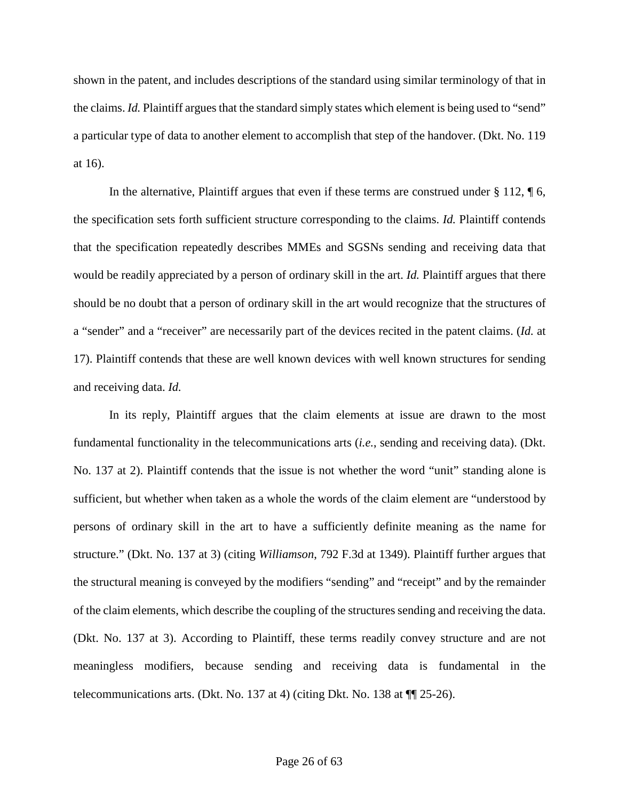shown in the patent, and includes descriptions of the standard using similar terminology of that in the claims. *Id.* Plaintiff argues that the standard simply states which element is being used to "send" a particular type of data to another element to accomplish that step of the handover. (Dkt. No. 119 at 16).

In the alternative, Plaintiff argues that even if these terms are construed under  $\S 112$ ,  $\P 6$ , the specification sets forth sufficient structure corresponding to the claims. *Id.* Plaintiff contends that the specification repeatedly describes MMEs and SGSNs sending and receiving data that would be readily appreciated by a person of ordinary skill in the art. *Id.* Plaintiff argues that there should be no doubt that a person of ordinary skill in the art would recognize that the structures of a "sender" and a "receiver" are necessarily part of the devices recited in the patent claims. (*Id.* at 17). Plaintiff contends that these are well known devices with well known structures for sending and receiving data. *Id.*

In its reply, Plaintiff argues that the claim elements at issue are drawn to the most fundamental functionality in the telecommunications arts (*i.e.*, sending and receiving data). (Dkt. No. 137 at 2). Plaintiff contends that the issue is not whether the word "unit" standing alone is sufficient, but whether when taken as a whole the words of the claim element are "understood by persons of ordinary skill in the art to have a sufficiently definite meaning as the name for structure." (Dkt. No. 137 at 3) (citing *Williamson*, 792 F.3d at 1349). Plaintiff further argues that the structural meaning is conveyed by the modifiers "sending" and "receipt" and by the remainder of the claim elements, which describe the coupling of the structures sending and receiving the data. (Dkt. No. 137 at 3). According to Plaintiff, these terms readily convey structure and are not meaningless modifiers, because sending and receiving data is fundamental in the telecommunications arts. (Dkt. No. 137 at 4) (citing Dkt. No. 138 at  $\P$  $[$  25-26).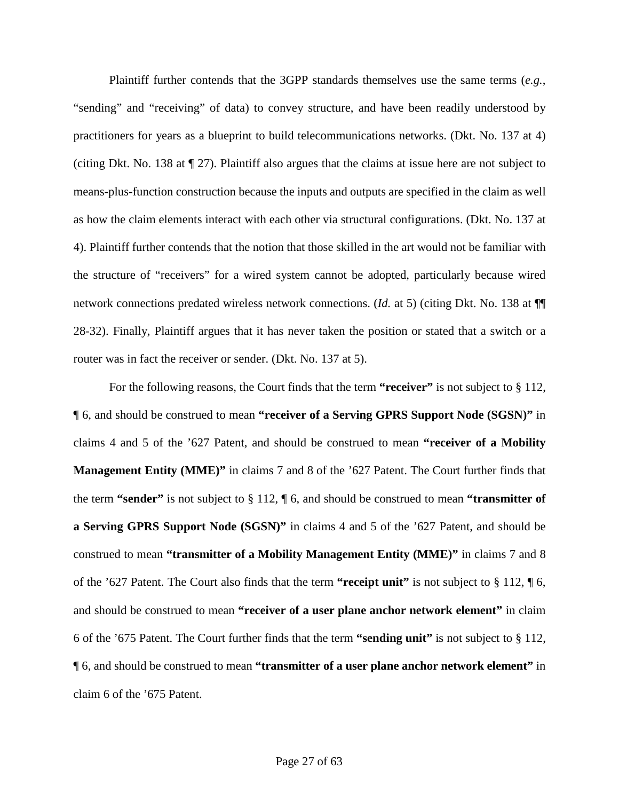Plaintiff further contends that the 3GPP standards themselves use the same terms (*e.g.*, "sending" and "receiving" of data) to convey structure, and have been readily understood by practitioners for years as a blueprint to build telecommunications networks. (Dkt. No. 137 at 4) (citing Dkt. No. 138 at ¶ 27). Plaintiff also argues that the claims at issue here are not subject to means-plus-function construction because the inputs and outputs are specified in the claim as well as how the claim elements interact with each other via structural configurations. (Dkt. No. 137 at 4). Plaintiff further contends that the notion that those skilled in the art would not be familiar with the structure of "receivers" for a wired system cannot be adopted, particularly because wired network connections predated wireless network connections. (*Id.* at 5) (citing Dkt. No. 138 at ¶¶ 28-32). Finally, Plaintiff argues that it has never taken the position or stated that a switch or a router was in fact the receiver or sender. (Dkt. No. 137 at 5).

For the following reasons, the Court finds that the term **"receiver"** is not subject to § 112, ¶ 6, and should be construed to mean **"receiver of a Serving GPRS Support Node (SGSN)"** in claims 4 and 5 of the '627 Patent, and should be construed to mean **"receiver of a Mobility Management Entity (MME)"** in claims 7 and 8 of the '627 Patent. The Court further finds that the term **"sender"** is not subject to § 112, ¶ 6, and should be construed to mean **"transmitter of a Serving GPRS Support Node (SGSN)"** in claims 4 and 5 of the '627 Patent, and should be construed to mean **"transmitter of a Mobility Management Entity (MME)"** in claims 7 and 8 of the '627 Patent. The Court also finds that the term **"receipt unit"** is not subject to § 112, ¶ 6, and should be construed to mean **"receiver of a user plane anchor network element"** in claim 6 of the '675 Patent. The Court further finds that the term **"sending unit"** is not subject to § 112, ¶ 6, and should be construed to mean **"transmitter of a user plane anchor network element"** in claim 6 of the '675 Patent.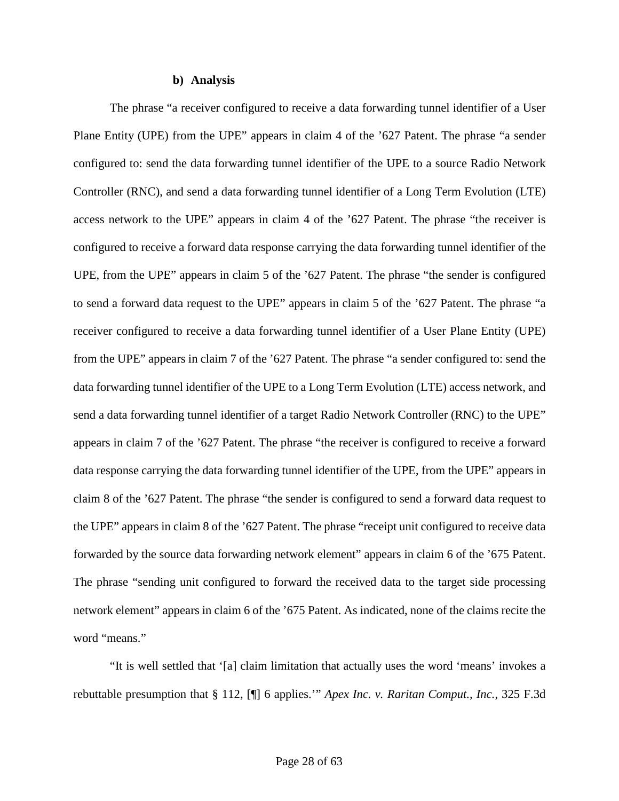#### **b) Analysis**

The phrase "a receiver configured to receive a data forwarding tunnel identifier of a User Plane Entity (UPE) from the UPE" appears in claim 4 of the '627 Patent. The phrase "a sender configured to: send the data forwarding tunnel identifier of the UPE to a source Radio Network Controller (RNC), and send a data forwarding tunnel identifier of a Long Term Evolution (LTE) access network to the UPE" appears in claim 4 of the '627 Patent. The phrase "the receiver is configured to receive a forward data response carrying the data forwarding tunnel identifier of the UPE, from the UPE" appears in claim 5 of the '627 Patent. The phrase "the sender is configured to send a forward data request to the UPE" appears in claim 5 of the '627 Patent. The phrase "a receiver configured to receive a data forwarding tunnel identifier of a User Plane Entity (UPE) from the UPE" appears in claim 7 of the '627 Patent. The phrase "a sender configured to: send the data forwarding tunnel identifier of the UPE to a Long Term Evolution (LTE) access network, and send a data forwarding tunnel identifier of a target Radio Network Controller (RNC) to the UPE" appears in claim 7 of the '627 Patent. The phrase "the receiver is configured to receive a forward data response carrying the data forwarding tunnel identifier of the UPE, from the UPE" appears in claim 8 of the '627 Patent. The phrase "the sender is configured to send a forward data request to the UPE" appears in claim 8 of the '627 Patent. The phrase "receipt unit configured to receive data forwarded by the source data forwarding network element" appears in claim 6 of the '675 Patent. The phrase "sending unit configured to forward the received data to the target side processing network element" appears in claim 6 of the '675 Patent. As indicated, none of the claims recite the word "means."

"It is well settled that '[a] claim limitation that actually uses the word 'means' invokes a rebuttable presumption that § 112, [¶] 6 applies.'" *Apex Inc. v. Raritan Comput., Inc.*, 325 F.3d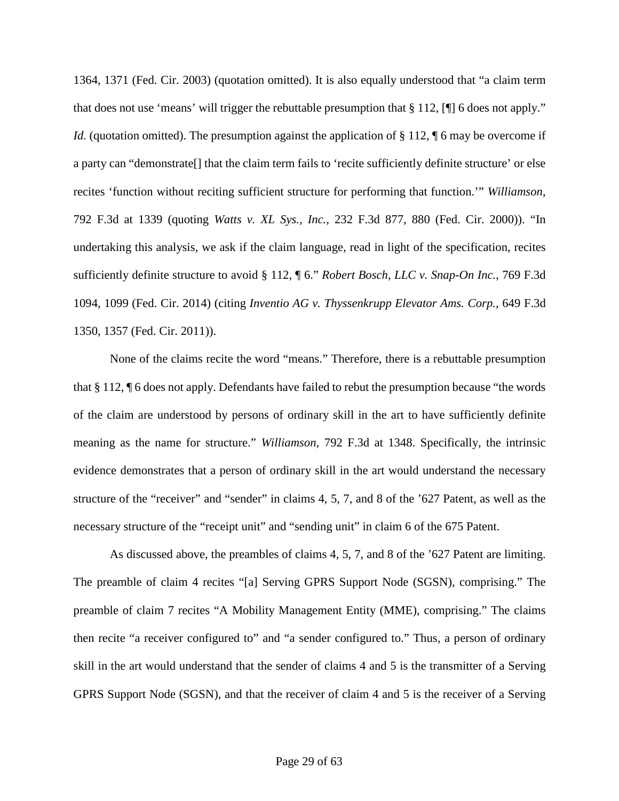1364, 1371 (Fed. Cir. 2003) (quotation omitted). It is also equally understood that "a claim term that does not use 'means' will trigger the rebuttable presumption that § 112, [¶] 6 does not apply." *Id.* (quotation omitted). The presumption against the application of § 112, ¶ 6 may be overcome if a party can "demonstrate[] that the claim term fails to 'recite sufficiently definite structure' or else recites 'function without reciting sufficient structure for performing that function.'" *Williamson*, 792 F.3d at 1339 (quoting *Watts v. XL Sys., Inc.*, 232 F.3d 877, 880 (Fed. Cir. 2000)). "In undertaking this analysis, we ask if the claim language, read in light of the specification, recites sufficiently definite structure to avoid § 112, ¶ 6." *Robert Bosch, LLC v. Snap-On Inc.*, 769 F.3d 1094, 1099 (Fed. Cir. 2014) (citing *Inventio AG v. Thyssenkrupp Elevator Ams. Corp.*, 649 F.3d 1350, 1357 (Fed. Cir. 2011)).

None of the claims recite the word "means." Therefore, there is a rebuttable presumption that § 112, ¶ 6 does not apply. Defendants have failed to rebut the presumption because "the words of the claim are understood by persons of ordinary skill in the art to have sufficiently definite meaning as the name for structure." *Williamson*, 792 F.3d at 1348. Specifically, the intrinsic evidence demonstrates that a person of ordinary skill in the art would understand the necessary structure of the "receiver" and "sender" in claims 4, 5, 7, and 8 of the '627 Patent, as well as the necessary structure of the "receipt unit" and "sending unit" in claim 6 of the 675 Patent.

As discussed above, the preambles of claims 4, 5, 7, and 8 of the '627 Patent are limiting. The preamble of claim 4 recites "[a] Serving GPRS Support Node (SGSN), comprising." The preamble of claim 7 recites "A Mobility Management Entity (MME), comprising." The claims then recite "a receiver configured to" and "a sender configured to." Thus, a person of ordinary skill in the art would understand that the sender of claims 4 and 5 is the transmitter of a Serving GPRS Support Node (SGSN), and that the receiver of claim 4 and 5 is the receiver of a Serving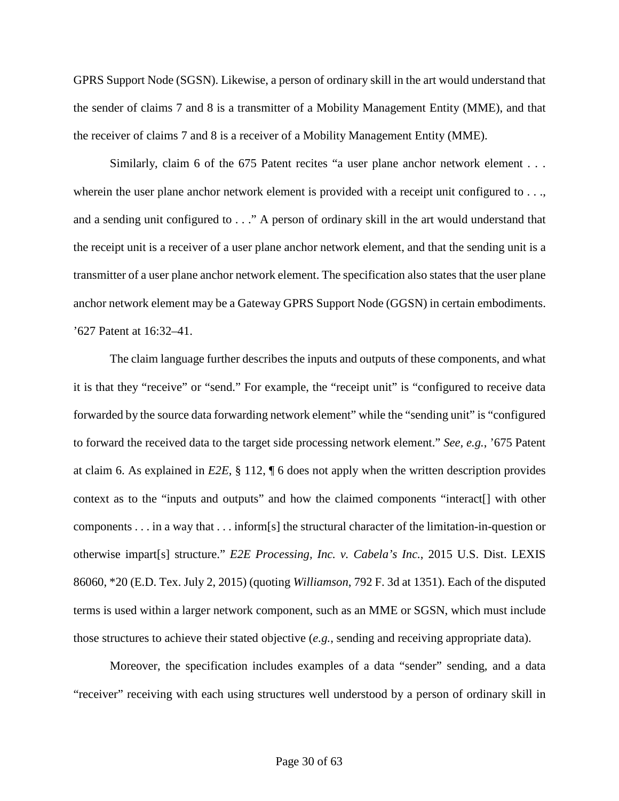GPRS Support Node (SGSN). Likewise, a person of ordinary skill in the art would understand that the sender of claims 7 and 8 is a transmitter of a Mobility Management Entity (MME), and that the receiver of claims 7 and 8 is a receiver of a Mobility Management Entity (MME).

Similarly, claim 6 of the 675 Patent recites "a user plane anchor network element . . . wherein the user plane anchor network element is provided with a receipt unit configured to ..., and a sending unit configured to . . ." A person of ordinary skill in the art would understand that the receipt unit is a receiver of a user plane anchor network element, and that the sending unit is a transmitter of a user plane anchor network element. The specification also states that the user plane anchor network element may be a Gateway GPRS Support Node (GGSN) in certain embodiments. '627 Patent at 16:32–41.

The claim language further describes the inputs and outputs of these components, and what it is that they "receive" or "send." For example, the "receipt unit" is "configured to receive data forwarded by the source data forwarding network element" while the "sending unit" is "configured to forward the received data to the target side processing network element." *See, e.g.*, '675 Patent at claim 6. As explained in *E2E*, § 112, ¶ 6 does not apply when the written description provides context as to the "inputs and outputs" and how the claimed components "interact[] with other components . . . in a way that . . . inform[s] the structural character of the limitation-in-question or otherwise impart[s] structure." *E2E Processing, Inc. v. Cabela's Inc.*, 2015 U.S. Dist. LEXIS 86060, \*20 (E.D. Tex. July 2, 2015) (quoting *Williamson*, 792 F. 3d at 1351). Each of the disputed terms is used within a larger network component, such as an MME or SGSN, which must include those structures to achieve their stated objective (*e.g.*, sending and receiving appropriate data).

Moreover, the specification includes examples of a data "sender" sending, and a data "receiver" receiving with each using structures well understood by a person of ordinary skill in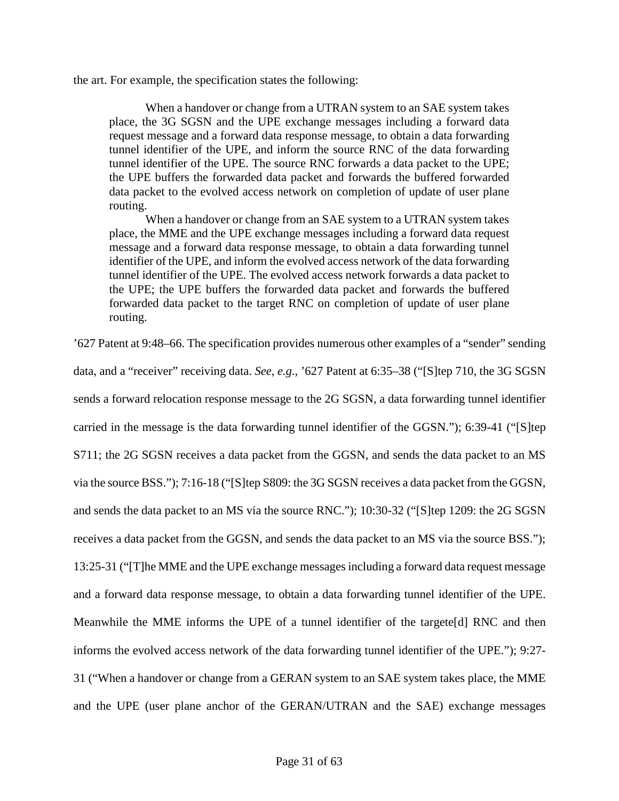the art. For example, the specification states the following:

When a handover or change from a UTRAN system to an SAE system takes place, the 3G SGSN and the UPE exchange messages including a forward data request message and a forward data response message, to obtain a data forwarding tunnel identifier of the UPE, and inform the source RNC of the data forwarding tunnel identifier of the UPE. The source RNC forwards a data packet to the UPE; the UPE buffers the forwarded data packet and forwards the buffered forwarded data packet to the evolved access network on completion of update of user plane routing.

When a handover or change from an SAE system to a UTRAN system takes place, the MME and the UPE exchange messages including a forward data request message and a forward data response message, to obtain a data forwarding tunnel identifier of the UPE, and inform the evolved access network of the data forwarding tunnel identifier of the UPE. The evolved access network forwards a data packet to the UPE; the UPE buffers the forwarded data packet and forwards the buffered forwarded data packet to the target RNC on completion of update of user plane routing.

'627 Patent at 9:48–66. The specification provides numerous other examples of a "sender" sending data, and a "receiver" receiving data. *See, e.g.*, '627 Patent at 6:35–38 ("[S]tep 710, the 3G SGSN sends a forward relocation response message to the 2G SGSN, a data forwarding tunnel identifier carried in the message is the data forwarding tunnel identifier of the GGSN."); 6:39-41 ("[S]tep S711; the 2G SGSN receives a data packet from the GGSN, and sends the data packet to an MS via the source BSS."); 7:16-18 ("[S]tep S809: the 3G SGSN receives a data packet from the GGSN, and sends the data packet to an MS via the source RNC."); 10:30-32 ("[S]tep 1209: the 2G SGSN receives a data packet from the GGSN, and sends the data packet to an MS via the source BSS."); 13:25-31 ("[T]he MME and the UPE exchange messages including a forward data request message and a forward data response message, to obtain a data forwarding tunnel identifier of the UPE. Meanwhile the MME informs the UPE of a tunnel identifier of the targete[d] RNC and then informs the evolved access network of the data forwarding tunnel identifier of the UPE."); 9:27- 31 ("When a handover or change from a GERAN system to an SAE system takes place, the MME and the UPE (user plane anchor of the GERAN/UTRAN and the SAE) exchange messages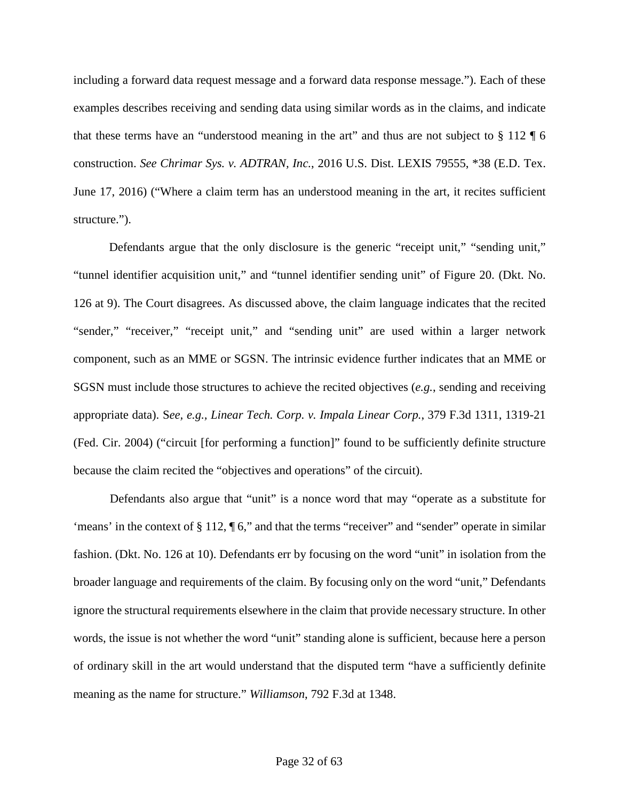including a forward data request message and a forward data response message."). Each of these examples describes receiving and sending data using similar words as in the claims, and indicate that these terms have an "understood meaning in the art" and thus are not subject to  $\S 112 \text{ }\mathsf{F}$  6 construction. *See Chrimar Sys. v. ADTRAN, Inc.*, 2016 U.S. Dist. LEXIS 79555, \*38 (E.D. Tex. June 17, 2016) ("Where a claim term has an understood meaning in the art, it recites sufficient structure.").

Defendants argue that the only disclosure is the generic "receipt unit," "sending unit," "tunnel identifier acquisition unit," and "tunnel identifier sending unit" of Figure 20. (Dkt. No. 126 at 9). The Court disagrees. As discussed above, the claim language indicates that the recited "sender," "receiver," "receipt unit," and "sending unit" are used within a larger network component, such as an MME or SGSN. The intrinsic evidence further indicates that an MME or SGSN must include those structures to achieve the recited objectives (*e.g.*, sending and receiving appropriate data). S*ee, e.g., Linear Tech. Corp. v. Impala Linear Corp.*, 379 F.3d 1311, 1319-21 (Fed. Cir. 2004) ("circuit [for performing a function]" found to be sufficiently definite structure because the claim recited the "objectives and operations" of the circuit).

Defendants also argue that "unit" is a nonce word that may "operate as a substitute for 'means' in the context of  $\S 112$ ,  $\P 6$ ," and that the terms "receiver" and "sender" operate in similar fashion. (Dkt. No. 126 at 10). Defendants err by focusing on the word "unit" in isolation from the broader language and requirements of the claim. By focusing only on the word "unit," Defendants ignore the structural requirements elsewhere in the claim that provide necessary structure. In other words, the issue is not whether the word "unit" standing alone is sufficient, because here a person of ordinary skill in the art would understand that the disputed term "have a sufficiently definite meaning as the name for structure." *Williamson*, 792 F.3d at 1348.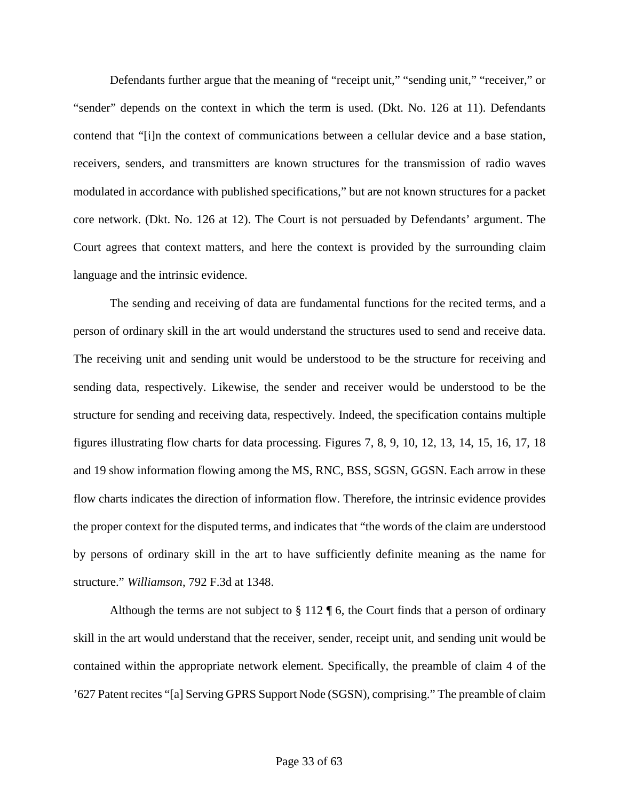Defendants further argue that the meaning of "receipt unit," "sending unit," "receiver," or "sender" depends on the context in which the term is used. (Dkt. No. 126 at 11). Defendants contend that "[i]n the context of communications between a cellular device and a base station, receivers, senders, and transmitters are known structures for the transmission of radio waves modulated in accordance with published specifications," but are not known structures for a packet core network. (Dkt. No. 126 at 12). The Court is not persuaded by Defendants' argument. The Court agrees that context matters, and here the context is provided by the surrounding claim language and the intrinsic evidence.

The sending and receiving of data are fundamental functions for the recited terms, and a person of ordinary skill in the art would understand the structures used to send and receive data. The receiving unit and sending unit would be understood to be the structure for receiving and sending data, respectively. Likewise, the sender and receiver would be understood to be the structure for sending and receiving data, respectively. Indeed, the specification contains multiple figures illustrating flow charts for data processing. Figures 7, 8, 9, 10, 12, 13, 14, 15, 16, 17, 18 and 19 show information flowing among the MS, RNC, BSS, SGSN, GGSN. Each arrow in these flow charts indicates the direction of information flow. Therefore, the intrinsic evidence provides the proper context for the disputed terms, and indicates that "the words of the claim are understood by persons of ordinary skill in the art to have sufficiently definite meaning as the name for structure." *Williamson*, 792 F.3d at 1348.

Although the terms are not subject to  $\S 112 \P 6$ , the Court finds that a person of ordinary skill in the art would understand that the receiver, sender, receipt unit, and sending unit would be contained within the appropriate network element. Specifically, the preamble of claim 4 of the '627 Patent recites "[a] Serving GPRS Support Node (SGSN), comprising." The preamble of claim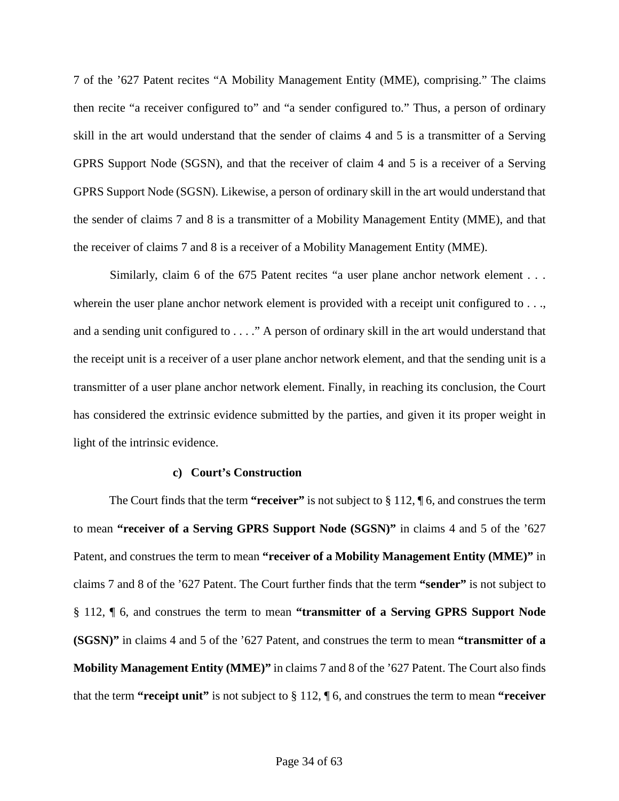7 of the '627 Patent recites "A Mobility Management Entity (MME), comprising." The claims then recite "a receiver configured to" and "a sender configured to." Thus, a person of ordinary skill in the art would understand that the sender of claims 4 and 5 is a transmitter of a Serving GPRS Support Node (SGSN), and that the receiver of claim 4 and 5 is a receiver of a Serving GPRS Support Node (SGSN). Likewise, a person of ordinary skill in the art would understand that the sender of claims 7 and 8 is a transmitter of a Mobility Management Entity (MME), and that the receiver of claims 7 and 8 is a receiver of a Mobility Management Entity (MME).

Similarly, claim 6 of the 675 Patent recites "a user plane anchor network element . . . wherein the user plane anchor network element is provided with a receipt unit configured to ..., and a sending unit configured to . . . ." A person of ordinary skill in the art would understand that the receipt unit is a receiver of a user plane anchor network element, and that the sending unit is a transmitter of a user plane anchor network element. Finally, in reaching its conclusion, the Court has considered the extrinsic evidence submitted by the parties, and given it its proper weight in light of the intrinsic evidence.

#### **c) Court's Construction**

The Court finds that the term **"receiver"** is not subject to § 112, ¶ 6, and construes the term to mean **"receiver of a Serving GPRS Support Node (SGSN)"** in claims 4 and 5 of the '627 Patent, and construes the term to mean "receiver of a Mobility Management Entity (MME)" in claims 7 and 8 of the '627 Patent. The Court further finds that the term **"sender"** is not subject to § 112, ¶ 6, and construes the term to mean **"transmitter of a Serving GPRS Support Node (SGSN)"** in claims 4 and 5 of the '627 Patent, and construes the term to mean **"transmitter of a Mobility Management Entity (MME)"** in claims 7 and 8 of the '627 Patent. The Court also finds that the term **"receipt unit"** is not subject to § 112, ¶ 6, and construes the term to mean **"receiver**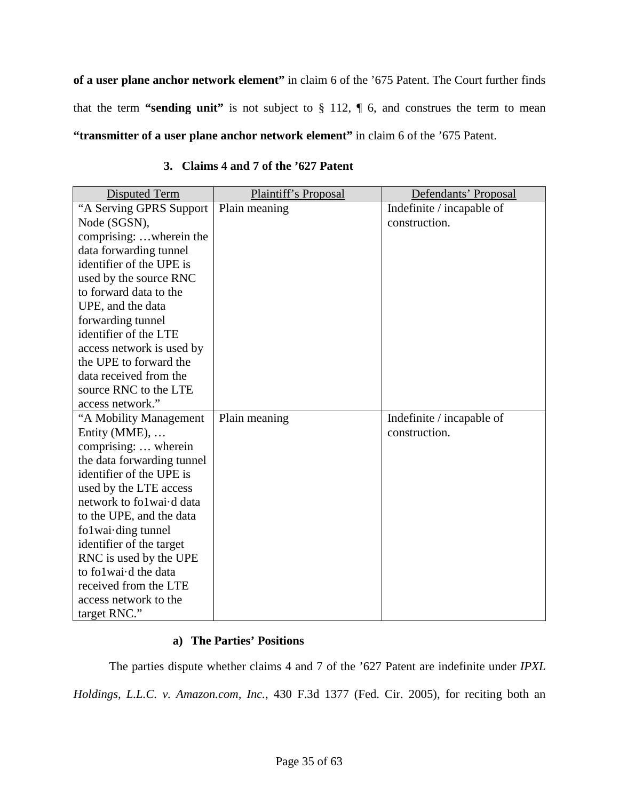**of a user plane anchor network element"** in claim 6 of the '675 Patent. The Court further finds that the term **"sending unit"** is not subject to § 112, ¶ 6, and construes the term to mean **"transmitter of a user plane anchor network element"** in claim 6 of the '675 Patent.

<span id="page-34-0"></span>

| Disputed Term              | Plaintiff's Proposal | Defendants' Proposal      |
|----------------------------|----------------------|---------------------------|
| "A Serving GPRS Support"   | Plain meaning        | Indefinite / incapable of |
| Node (SGSN),               |                      | construction.             |
| comprising: wherein the    |                      |                           |
| data forwarding tunnel     |                      |                           |
| identifier of the UPE is   |                      |                           |
| used by the source RNC     |                      |                           |
| to forward data to the     |                      |                           |
| UPE, and the data          |                      |                           |
| forwarding tunnel          |                      |                           |
| identifier of the LTE      |                      |                           |
| access network is used by  |                      |                           |
| the UPE to forward the     |                      |                           |
| data received from the     |                      |                           |
| source RNC to the LTE      |                      |                           |
| access network."           |                      |                           |
| "A Mobility Management     | Plain meaning        | Indefinite / incapable of |
| Entity ( $MME$ ),          |                      | construction.             |
| comprising:  wherein       |                      |                           |
| the data forwarding tunnel |                      |                           |
| identifier of the UPE is   |                      |                           |
| used by the LTE access     |                      |                           |
| network to folwai-d data   |                      |                           |
| to the UPE, and the data   |                      |                           |
| fo1wai-ding tunnel         |                      |                           |
| identifier of the target   |                      |                           |
| RNC is used by the UPE     |                      |                           |
| to folwai-d the data       |                      |                           |
| received from the LTE      |                      |                           |
| access network to the      |                      |                           |
| target RNC."               |                      |                           |

# **3. Claims 4 and 7 of the '627 Patent**

# **a) The Parties' Positions**

The parties dispute whether claims 4 and 7 of the '627 Patent are indefinite under *IPXL Holdings, L.L.C. v. Amazon.com, Inc.*, 430 F.3d 1377 (Fed. Cir. 2005), for reciting both an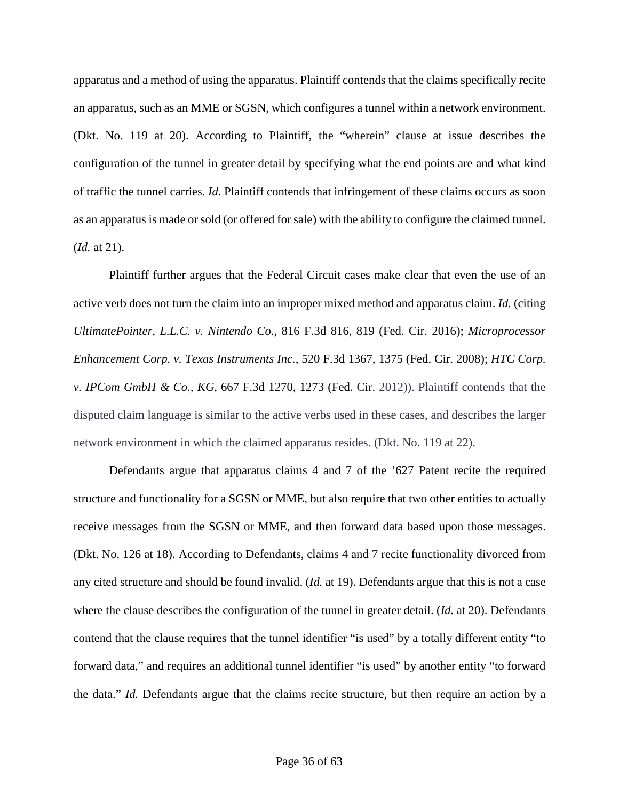apparatus and a method of using the apparatus. Plaintiff contends that the claims specifically recite an apparatus, such as an MME or SGSN, which configures a tunnel within a network environment. (Dkt. No. 119 at 20). According to Plaintiff, the "wherein" clause at issue describes the configuration of the tunnel in greater detail by specifying what the end points are and what kind of traffic the tunnel carries. *Id.* Plaintiff contends that infringement of these claims occurs as soon as an apparatus is made or sold (or offered for sale) with the ability to configure the claimed tunnel. (*Id.* at 21).

Plaintiff further argues that the Federal Circuit cases make clear that even the use of an active verb does not turn the claim into an improper mixed method and apparatus claim. *Id.* (citing *UltimatePointer, L.L.C. v. Nintendo Co*., 816 F.3d 816, 819 (Fed. Cir. 2016); *Microprocessor Enhancement Corp. v. Texas Instruments Inc.*, 520 F.3d 1367, 1375 (Fed. Cir. 2008); *HTC Corp. v. IPCom GmbH & Co., KG*, 667 F.3d 1270, 1273 (Fed. Cir. 2012)). Plaintiff contends that the disputed claim language is similar to the active verbs used in these cases, and describes the larger network environment in which the claimed apparatus resides. (Dkt. No. 119 at 22).

Defendants argue that apparatus claims 4 and 7 of the '627 Patent recite the required structure and functionality for a SGSN or MME, but also require that two other entities to actually receive messages from the SGSN or MME, and then forward data based upon those messages. (Dkt. No. 126 at 18). According to Defendants, claims 4 and 7 recite functionality divorced from any cited structure and should be found invalid. (*Id.* at 19). Defendants argue that this is not a case where the clause describes the configuration of the tunnel in greater detail. (*Id.* at 20). Defendants contend that the clause requires that the tunnel identifier "is used" by a totally different entity "to forward data," and requires an additional tunnel identifier "is used" by another entity "to forward the data." *Id.* Defendants argue that the claims recite structure, but then require an action by a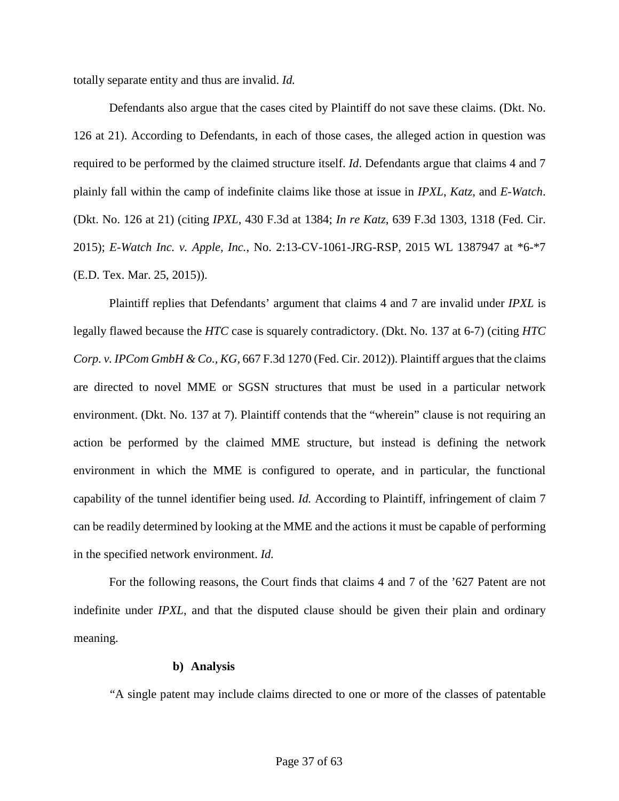totally separate entity and thus are invalid. *Id.*

Defendants also argue that the cases cited by Plaintiff do not save these claims. (Dkt. No. 126 at 21). According to Defendants, in each of those cases, the alleged action in question was required to be performed by the claimed structure itself. *Id*. Defendants argue that claims 4 and 7 plainly fall within the camp of indefinite claims like those at issue in *IPXL*, *Katz*, and *E-Watch*. (Dkt. No. 126 at 21) (citing *IPXL*, 430 F.3d at 1384; *In re Katz*, 639 F.3d 1303, 1318 (Fed. Cir. 2015); *E-Watch Inc. v. Apple, Inc.*, No. 2:13-CV-1061-JRG-RSP, 2015 WL 1387947 at \*6-\*7 (E.D. Tex. Mar. 25, 2015)).

Plaintiff replies that Defendants' argument that claims 4 and 7 are invalid under *IPXL* is legally flawed because the *HTC* case is squarely contradictory. (Dkt. No. 137 at 6-7) (citing *HTC Corp. v. IPCom GmbH & Co., KG,* 667 F.3d 1270 (Fed. Cir. 2012)). Plaintiff argues that the claims are directed to novel MME or SGSN structures that must be used in a particular network environment. (Dkt. No. 137 at 7). Plaintiff contends that the "wherein" clause is not requiring an action be performed by the claimed MME structure, but instead is defining the network environment in which the MME is configured to operate, and in particular, the functional capability of the tunnel identifier being used. *Id.* According to Plaintiff, infringement of claim 7 can be readily determined by looking at the MME and the actions it must be capable of performing in the specified network environment. *Id.*

For the following reasons, the Court finds that claims 4 and 7 of the '627 Patent are not indefinite under *IPXL*, and that the disputed clause should be given their plain and ordinary meaning.

# **b) Analysis**

"A single patent may include claims directed to one or more of the classes of patentable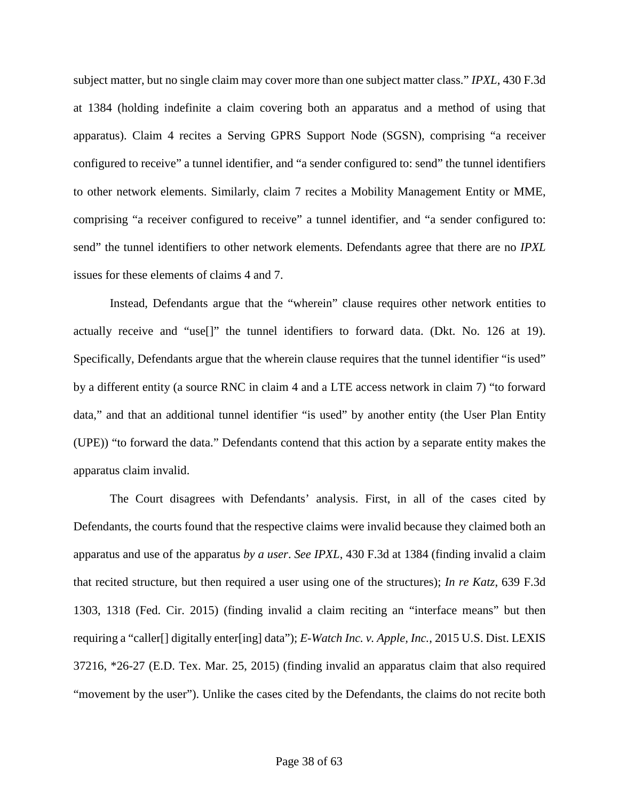subject matter, but no single claim may cover more than one subject matter class." *IPXL*, 430 F.3d at 1384 (holding indefinite a claim covering both an apparatus and a method of using that apparatus). Claim 4 recites a Serving GPRS Support Node (SGSN), comprising "a receiver configured to receive" a tunnel identifier, and "a sender configured to: send" the tunnel identifiers to other network elements. Similarly, claim 7 recites a Mobility Management Entity or MME, comprising "a receiver configured to receive" a tunnel identifier, and "a sender configured to: send" the tunnel identifiers to other network elements. Defendants agree that there are no *IPXL* issues for these elements of claims 4 and 7.

Instead, Defendants argue that the "wherein" clause requires other network entities to actually receive and "use[]" the tunnel identifiers to forward data. (Dkt. No. 126 at 19). Specifically, Defendants argue that the wherein clause requires that the tunnel identifier "is used" by a different entity (a source RNC in claim 4 and a LTE access network in claim 7) "to forward data," and that an additional tunnel identifier "is used" by another entity (the User Plan Entity (UPE)) "to forward the data." Defendants contend that this action by a separate entity makes the apparatus claim invalid.

The Court disagrees with Defendants' analysis. First, in all of the cases cited by Defendants, the courts found that the respective claims were invalid because they claimed both an apparatus and use of the apparatus *by a user*. *See IPXL*, 430 F.3d at 1384 (finding invalid a claim that recited structure, but then required a user using one of the structures); *In re Katz*, 639 F.3d 1303, 1318 (Fed. Cir. 2015) (finding invalid a claim reciting an "interface means" but then requiring a "caller[] digitally enter[ing] data"); *E-Watch Inc. v. Apple, Inc.*, 2015 U.S. Dist. LEXIS 37216, \*26-27 (E.D. Tex. Mar. 25, 2015) (finding invalid an apparatus claim that also required "movement by the user"). Unlike the cases cited by the Defendants, the claims do not recite both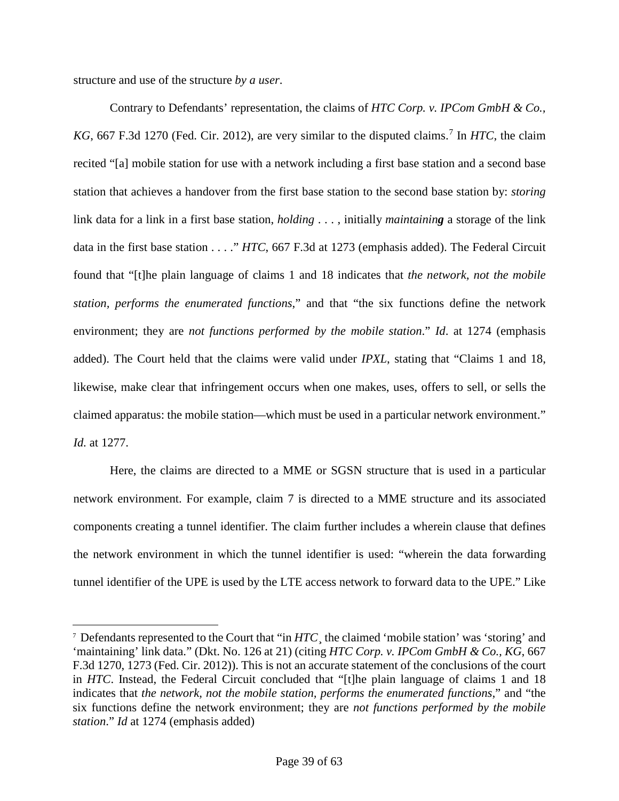structure and use of the structure *by a user*.

 $\overline{a}$ 

Contrary to Defendants' representation, the claims of *HTC Corp. v. IPCom GmbH & Co.,*  KG, 66[7](#page-38-0) F.3d 1270 (Fed. Cir. 2012), are very similar to the disputed claims.<sup>7</sup> In *HTC*, the claim recited "[a] mobile station for use with a network including a first base station and a second base station that achieves a handover from the first base station to the second base station by: *storing* link data for a link in a first base station, *holding* . . . , initially *maintaining* a storage of the link data in the first base station . . . ." *HTC*, 667 F.3d at 1273 (emphasis added). The Federal Circuit found that "[t]he plain language of claims 1 and 18 indicates that *the network, not the mobile station, performs the enumerated functions*," and that "the six functions define the network environment; they are *not functions performed by the mobile station*." *Id*. at 1274 (emphasis added). The Court held that the claims were valid under *IPXL*, stating that "Claims 1 and 18, likewise, make clear that infringement occurs when one makes, uses, offers to sell, or sells the claimed apparatus: the mobile station—which must be used in a particular network environment." *Id.* at 1277.

Here, the claims are directed to a MME or SGSN structure that is used in a particular network environment. For example, claim 7 is directed to a MME structure and its associated components creating a tunnel identifier. The claim further includes a wherein clause that defines the network environment in which the tunnel identifier is used: "wherein the data forwarding tunnel identifier of the UPE is used by the LTE access network to forward data to the UPE." Like

<span id="page-38-0"></span><sup>&</sup>lt;sup>7</sup> Defendants represented to the Court that "in *HTC*<sub>s</sub> the claimed 'mobile station' was 'storing' and 'maintaining' link data." (Dkt. No. 126 at 21) (citing *HTC Corp. v. IPCom GmbH & Co., KG*, 667 F.3d 1270, 1273 (Fed. Cir. 2012)). This is not an accurate statement of the conclusions of the court in *HTC*. Instead, the Federal Circuit concluded that "[t]he plain language of claims 1 and 18 indicates that *the network, not the mobile station, performs the enumerated functions*," and "the six functions define the network environment; they are *not functions performed by the mobile station*." *Id* at 1274 (emphasis added)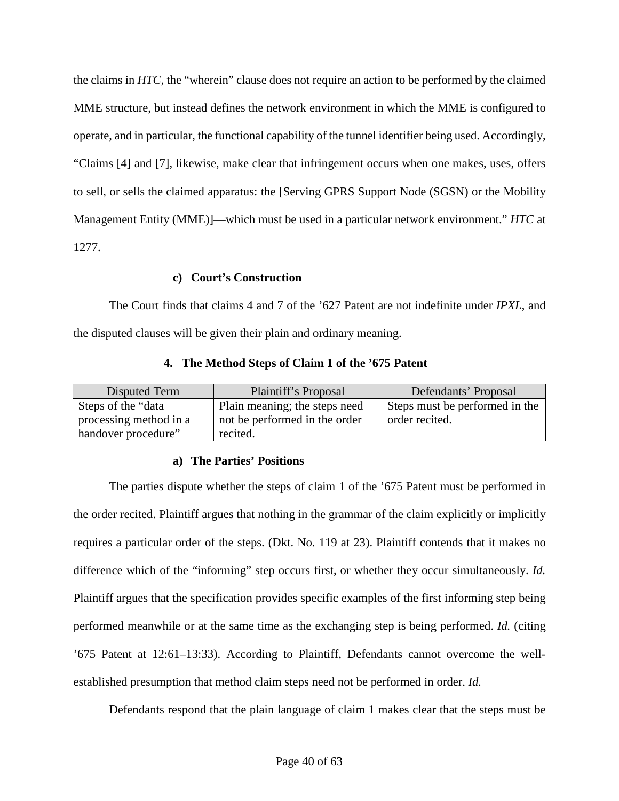the claims in *HTC*, the "wherein" clause does not require an action to be performed by the claimed MME structure, but instead defines the network environment in which the MME is configured to operate, and in particular, the functional capability of the tunnel identifier being used. Accordingly, "Claims [4] and [7], likewise, make clear that infringement occurs when one makes, uses, offers to sell, or sells the claimed apparatus: the [Serving GPRS Support Node (SGSN) or the Mobility Management Entity (MME)]—which must be used in a particular network environment." *HTC* at 1277.

### **c) Court's Construction**

The Court finds that claims 4 and 7 of the '627 Patent are not indefinite under *IPXL*, and the disputed clauses will be given their plain and ordinary meaning.

<span id="page-39-0"></span>

| Disputed Term          | Plaintiff's Proposal          | Defendants' Proposal           |
|------------------------|-------------------------------|--------------------------------|
| Steps of the "data     | Plain meaning; the steps need | Steps must be performed in the |
| processing method in a | not be performed in the order | order recited.                 |
| handover procedure"    | recited.                      |                                |

### **4. The Method Steps of Claim 1 of the '675 Patent**

# **a) The Parties' Positions**

The parties dispute whether the steps of claim 1 of the '675 Patent must be performed in the order recited. Plaintiff argues that nothing in the grammar of the claim explicitly or implicitly requires a particular order of the steps. (Dkt. No. 119 at 23). Plaintiff contends that it makes no difference which of the "informing" step occurs first, or whether they occur simultaneously. *Id.* Plaintiff argues that the specification provides specific examples of the first informing step being performed meanwhile or at the same time as the exchanging step is being performed. *Id.* (citing '675 Patent at 12:61–13:33). According to Plaintiff, Defendants cannot overcome the wellestablished presumption that method claim steps need not be performed in order. *Id.*

Defendants respond that the plain language of claim 1 makes clear that the steps must be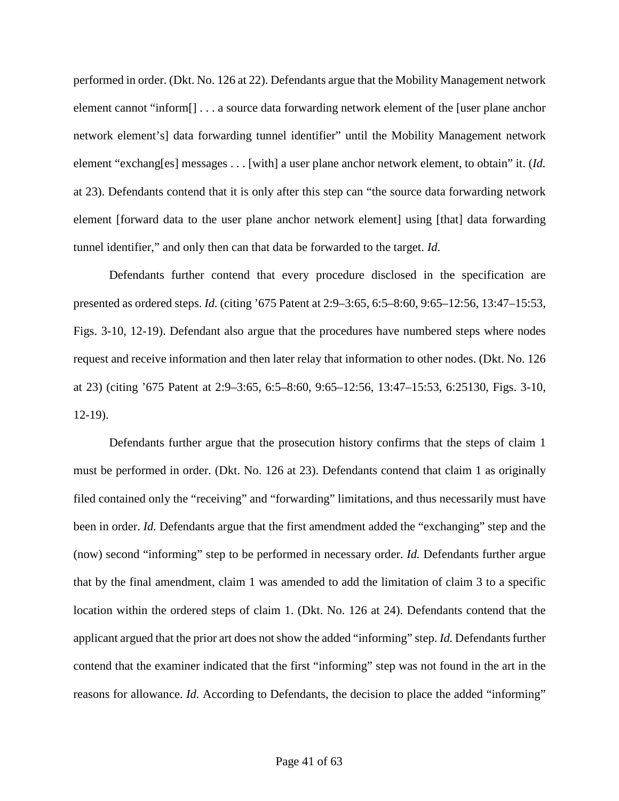performed in order. (Dkt. No. 126 at 22). Defendants argue that the Mobility Management network element cannot "inform[] . . . a source data forwarding network element of the [user plane anchor network element's] data forwarding tunnel identifier" until the Mobility Management network element "exchang[es] messages . . . [with] a user plane anchor network element, to obtain" it. (*Id.* at 23). Defendants contend that it is only after this step can "the source data forwarding network element [forward data to the user plane anchor network element] using [that] data forwarding tunnel identifier," and only then can that data be forwarded to the target. *Id.*

Defendants further contend that every procedure disclosed in the specification are presented as ordered steps. *Id.* (citing '675 Patent at 2:9–3:65, 6:5–8:60, 9:65–12:56, 13:47–15:53, Figs. 3-10, 12-19). Defendant also argue that the procedures have numbered steps where nodes request and receive information and then later relay that information to other nodes. (Dkt. No. 126 at 23) (citing '675 Patent at 2:9–3:65, 6:5–8:60, 9:65–12:56, 13:47–15:53, 6:25130, Figs. 3-10, 12-19).

Defendants further argue that the prosecution history confirms that the steps of claim 1 must be performed in order. (Dkt. No. 126 at 23). Defendants contend that claim 1 as originally filed contained only the "receiving" and "forwarding" limitations, and thus necessarily must have been in order. *Id.* Defendants argue that the first amendment added the "exchanging" step and the (now) second "informing" step to be performed in necessary order. *Id.* Defendants further argue that by the final amendment, claim 1 was amended to add the limitation of claim 3 to a specific location within the ordered steps of claim 1. (Dkt. No. 126 at 24). Defendants contend that the applicant argued that the prior art does not show the added "informing" step. *Id.* Defendants further contend that the examiner indicated that the first "informing" step was not found in the art in the reasons for allowance. *Id.* According to Defendants, the decision to place the added "informing"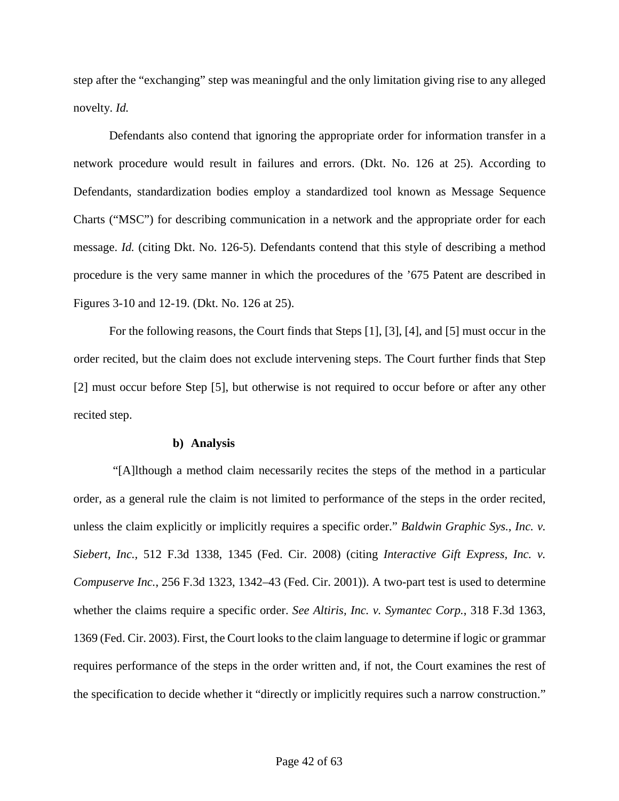step after the "exchanging" step was meaningful and the only limitation giving rise to any alleged novelty. *Id.*

Defendants also contend that ignoring the appropriate order for information transfer in a network procedure would result in failures and errors. (Dkt. No. 126 at 25). According to Defendants, standardization bodies employ a standardized tool known as Message Sequence Charts ("MSC") for describing communication in a network and the appropriate order for each message. *Id.* (citing Dkt. No. 126-5). Defendants contend that this style of describing a method procedure is the very same manner in which the procedures of the '675 Patent are described in Figures 3-10 and 12-19. (Dkt. No. 126 at 25).

For the following reasons, the Court finds that Steps [1], [3], [4], and [5] must occur in the order recited, but the claim does not exclude intervening steps. The Court further finds that Step [2] must occur before Step [5], but otherwise is not required to occur before or after any other recited step.

#### **b) Analysis**

"[A]lthough a method claim necessarily recites the steps of the method in a particular order, as a general rule the claim is not limited to performance of the steps in the order recited, unless the claim explicitly or implicitly requires a specific order." *Baldwin Graphic Sys., Inc. v. Siebert, Inc.,* 512 F.3d 1338, 1345 (Fed. Cir. 2008) (citing *Interactive Gift Express, Inc. v. Compuserve Inc.*, 256 F.3d 1323, 1342–43 (Fed. Cir. 2001)). A two-part test is used to determine whether the claims require a specific order. *See Altiris, Inc. v. Symantec Corp.*, 318 F.3d 1363, 1369 (Fed. Cir. 2003). First, the Court looks to the claim language to determine if logic or grammar requires performance of the steps in the order written and, if not, the Court examines the rest of the specification to decide whether it "directly or implicitly requires such a narrow construction."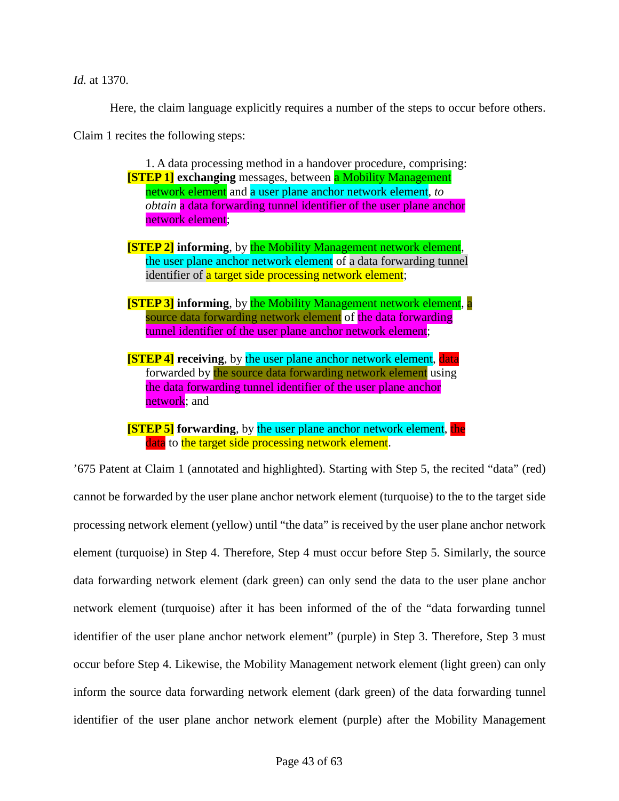*Id.* at 1370.

Here, the claim language explicitly requires a number of the steps to occur before others.

Claim 1 recites the following steps:

1. A data processing method in a handover procedure, comprising: **[STEP 1] exchanging** messages, between a Mobility Management network element and a user plane anchor network element, *to obtain* a data forwarding tunnel identifier of the user plane anchor network element;

**[STEP 2] informing**, by the Mobility Management network element, the user plane anchor network element of a data forwarding tunnel identifier of a target side processing network element;

**[STEP 3] informing**, by the Mobility Management network element, a source data forwarding network element of the data forwarding tunnel identifier of the user plane anchor network element;

**[STEP 4] receiving**, by the user plane anchor network element, data forwarded by the source data forwarding network element using the data forwarding tunnel identifier of the user plane anchor network; and

**[STEP 5]** forwarding, by the user plane anchor network element, the data to the target side processing network element.

'675 Patent at Claim 1 (annotated and highlighted). Starting with Step 5, the recited "data" (red) cannot be forwarded by the user plane anchor network element (turquoise) to the to the target side processing network element (yellow) until "the data" is received by the user plane anchor network element (turquoise) in Step 4. Therefore, Step 4 must occur before Step 5. Similarly, the source data forwarding network element (dark green) can only send the data to the user plane anchor network element (turquoise) after it has been informed of the of the "data forwarding tunnel identifier of the user plane anchor network element" (purple) in Step 3. Therefore, Step 3 must occur before Step 4. Likewise, the Mobility Management network element (light green) can only inform the source data forwarding network element (dark green) of the data forwarding tunnel identifier of the user plane anchor network element (purple) after the Mobility Management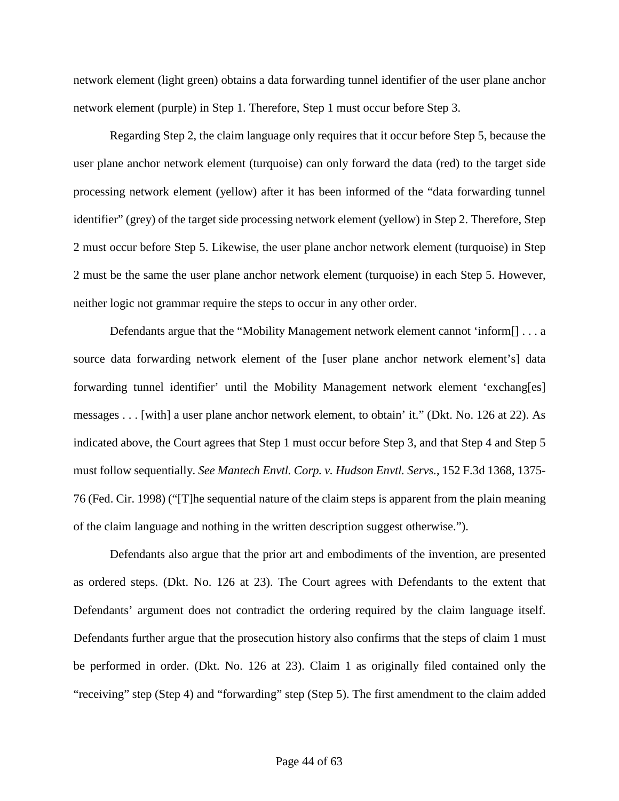network element (light green) obtains a data forwarding tunnel identifier of the user plane anchor network element (purple) in Step 1. Therefore, Step 1 must occur before Step 3.

Regarding Step 2, the claim language only requires that it occur before Step 5, because the user plane anchor network element (turquoise) can only forward the data (red) to the target side processing network element (yellow) after it has been informed of the "data forwarding tunnel identifier" (grey) of the target side processing network element (yellow) in Step 2. Therefore, Step 2 must occur before Step 5. Likewise, the user plane anchor network element (turquoise) in Step 2 must be the same the user plane anchor network element (turquoise) in each Step 5. However, neither logic not grammar require the steps to occur in any other order.

Defendants argue that the "Mobility Management network element cannot 'inform[] . . . a source data forwarding network element of the [user plane anchor network element's] data forwarding tunnel identifier' until the Mobility Management network element 'exchang[es] messages . . . [with] a user plane anchor network element, to obtain' it." (Dkt. No. 126 at 22). As indicated above, the Court agrees that Step 1 must occur before Step 3, and that Step 4 and Step 5 must follow sequentially. *See Mantech Envtl. Corp. v. Hudson Envtl. Servs.*, 152 F.3d 1368, 1375- 76 (Fed. Cir. 1998) ("[T]he sequential nature of the claim steps is apparent from the plain meaning of the claim language and nothing in the written description suggest otherwise.").

Defendants also argue that the prior art and embodiments of the invention, are presented as ordered steps. (Dkt. No. 126 at 23). The Court agrees with Defendants to the extent that Defendants' argument does not contradict the ordering required by the claim language itself. Defendants further argue that the prosecution history also confirms that the steps of claim 1 must be performed in order. (Dkt. No. 126 at 23). Claim 1 as originally filed contained only the "receiving" step (Step 4) and "forwarding" step (Step 5). The first amendment to the claim added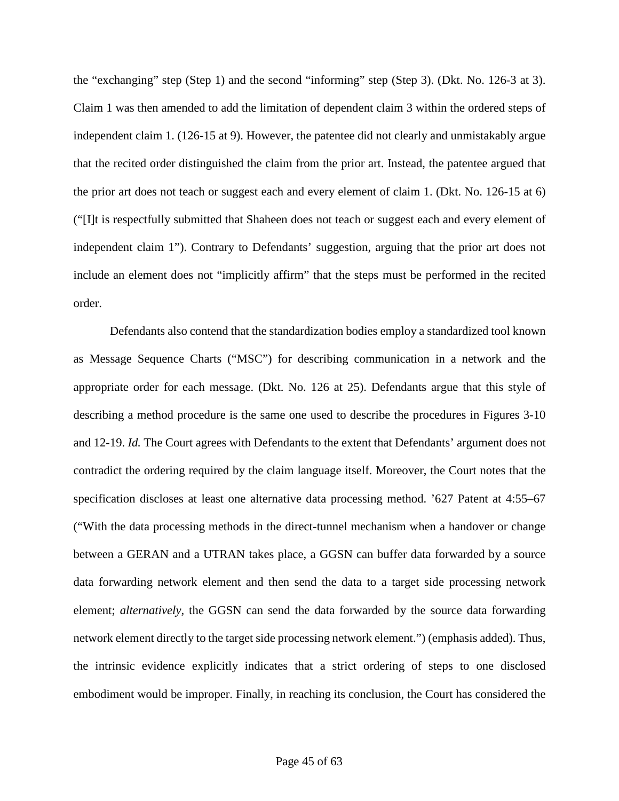the "exchanging" step (Step 1) and the second "informing" step (Step 3). (Dkt. No. 126-3 at 3). Claim 1 was then amended to add the limitation of dependent claim 3 within the ordered steps of independent claim 1. (126-15 at 9). However, the patentee did not clearly and unmistakably argue that the recited order distinguished the claim from the prior art. Instead, the patentee argued that the prior art does not teach or suggest each and every element of claim 1. (Dkt. No. 126-15 at 6) ("[I]t is respectfully submitted that Shaheen does not teach or suggest each and every element of independent claim 1"). Contrary to Defendants' suggestion, arguing that the prior art does not include an element does not "implicitly affirm" that the steps must be performed in the recited order.

Defendants also contend that the standardization bodies employ a standardized tool known as Message Sequence Charts ("MSC") for describing communication in a network and the appropriate order for each message. (Dkt. No. 126 at 25). Defendants argue that this style of describing a method procedure is the same one used to describe the procedures in Figures 3-10 and 12-19. *Id.* The Court agrees with Defendants to the extent that Defendants' argument does not contradict the ordering required by the claim language itself. Moreover, the Court notes that the specification discloses at least one alternative data processing method. '627 Patent at 4:55–67 ("With the data processing methods in the direct-tunnel mechanism when a handover or change between a GERAN and a UTRAN takes place, a GGSN can buffer data forwarded by a source data forwarding network element and then send the data to a target side processing network element; *alternatively*, the GGSN can send the data forwarded by the source data forwarding network element directly to the target side processing network element.") (emphasis added). Thus, the intrinsic evidence explicitly indicates that a strict ordering of steps to one disclosed embodiment would be improper. Finally, in reaching its conclusion, the Court has considered the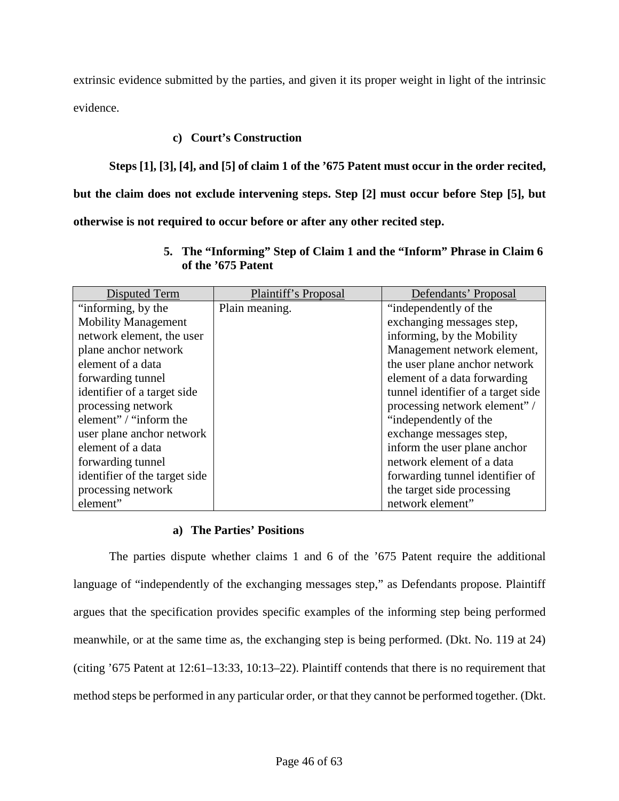extrinsic evidence submitted by the parties, and given it its proper weight in light of the intrinsic evidence.

# **c) Court's Construction**

**Steps [1], [3], [4], and [5] of claim 1 of the '675 Patent must occur in the order recited,** 

**but the claim does not exclude intervening steps. Step [2] must occur before Step [5], but** 

<span id="page-45-0"></span>**otherwise is not required to occur before or after any other recited step.**

| Disputed Term                 | Plaintiff's Proposal | Defendants' Proposal               |
|-------------------------------|----------------------|------------------------------------|
| "informing, by the            | Plain meaning.       | "independently of the              |
| <b>Mobility Management</b>    |                      | exchanging messages step,          |
| network element, the user     |                      | informing, by the Mobility         |
| plane anchor network          |                      | Management network element,        |
| element of a data             |                      | the user plane anchor network      |
| forwarding tunnel             |                      | element of a data forwarding       |
| identifier of a target side   |                      | tunnel identifier of a target side |
| processing network            |                      | processing network element" /      |
| element" / "inform the        |                      | "independently of the              |
| user plane anchor network     |                      | exchange messages step,            |
| element of a data             |                      | inform the user plane anchor       |
| forwarding tunnel             |                      | network element of a data          |
| identifier of the target side |                      | forwarding tunnel identifier of    |
| processing network            |                      | the target side processing         |
| element"                      |                      | network element"                   |

**5. The "Informing" Step of Claim 1 and the "Inform" Phrase in Claim 6 of the '675 Patent** 

# **a) The Parties' Positions**

The parties dispute whether claims 1 and 6 of the '675 Patent require the additional language of "independently of the exchanging messages step," as Defendants propose. Plaintiff argues that the specification provides specific examples of the informing step being performed meanwhile, or at the same time as, the exchanging step is being performed. (Dkt. No. 119 at 24) (citing '675 Patent at 12:61–13:33, 10:13–22). Plaintiff contends that there is no requirement that method steps be performed in any particular order, or that they cannot be performed together. (Dkt.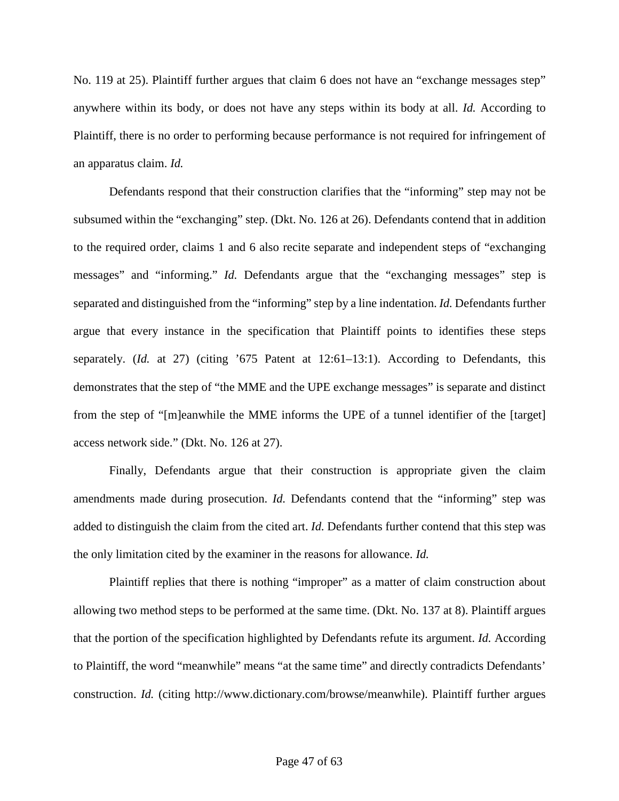No. 119 at 25). Plaintiff further argues that claim 6 does not have an "exchange messages step" anywhere within its body, or does not have any steps within its body at all. *Id.* According to Plaintiff, there is no order to performing because performance is not required for infringement of an apparatus claim. *Id.*

Defendants respond that their construction clarifies that the "informing" step may not be subsumed within the "exchanging" step. (Dkt. No. 126 at 26). Defendants contend that in addition to the required order, claims 1 and 6 also recite separate and independent steps of "exchanging messages" and "informing." *Id.* Defendants argue that the "exchanging messages" step is separated and distinguished from the "informing" step by a line indentation. *Id.* Defendants further argue that every instance in the specification that Plaintiff points to identifies these steps separately. (*Id.* at 27) (citing '675 Patent at 12:61–13:1). According to Defendants, this demonstrates that the step of "the MME and the UPE exchange messages" is separate and distinct from the step of "[m]eanwhile the MME informs the UPE of a tunnel identifier of the [target] access network side." (Dkt. No. 126 at 27).

Finally, Defendants argue that their construction is appropriate given the claim amendments made during prosecution. *Id.* Defendants contend that the "informing" step was added to distinguish the claim from the cited art. *Id.* Defendants further contend that this step was the only limitation cited by the examiner in the reasons for allowance. *Id.*

Plaintiff replies that there is nothing "improper" as a matter of claim construction about allowing two method steps to be performed at the same time. (Dkt. No. 137 at 8). Plaintiff argues that the portion of the specification highlighted by Defendants refute its argument. *Id.* According to Plaintiff, the word "meanwhile" means "at the same time" and directly contradicts Defendants' construction. *Id.* (citing http://www.dictionary.com/browse/meanwhile). Plaintiff further argues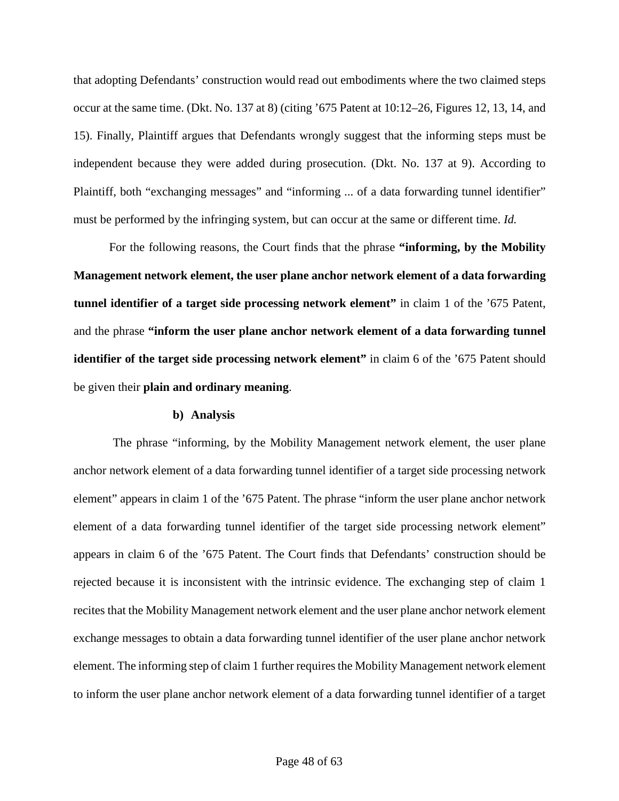that adopting Defendants' construction would read out embodiments where the two claimed steps occur at the same time. (Dkt. No. 137 at 8) (citing '675 Patent at 10:12–26, Figures 12, 13, 14, and 15). Finally, Plaintiff argues that Defendants wrongly suggest that the informing steps must be independent because they were added during prosecution. (Dkt. No. 137 at 9). According to Plaintiff, both "exchanging messages" and "informing ... of a data forwarding tunnel identifier" must be performed by the infringing system, but can occur at the same or different time. *Id.*

For the following reasons, the Court finds that the phrase **"informing, by the Mobility Management network element, the user plane anchor network element of a data forwarding tunnel identifier of a target side processing network element"** in claim 1 of the '675 Patent, and the phrase **"inform the user plane anchor network element of a data forwarding tunnel identifier of the target side processing network element" in claim 6 of the '675 Patent should** be given their **plain and ordinary meaning**.

#### **b) Analysis**

The phrase "informing, by the Mobility Management network element, the user plane anchor network element of a data forwarding tunnel identifier of a target side processing network element" appears in claim 1 of the '675 Patent. The phrase "inform the user plane anchor network element of a data forwarding tunnel identifier of the target side processing network element" appears in claim 6 of the '675 Patent. The Court finds that Defendants' construction should be rejected because it is inconsistent with the intrinsic evidence. The exchanging step of claim 1 recites that the Mobility Management network element and the user plane anchor network element exchange messages to obtain a data forwarding tunnel identifier of the user plane anchor network element. The informing step of claim 1 further requires the Mobility Management network element to inform the user plane anchor network element of a data forwarding tunnel identifier of a target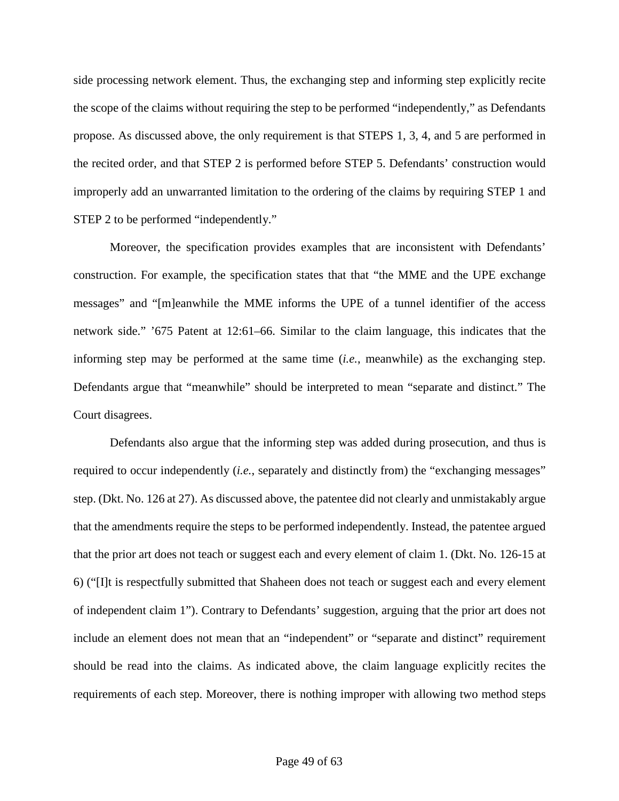side processing network element. Thus, the exchanging step and informing step explicitly recite the scope of the claims without requiring the step to be performed "independently," as Defendants propose. As discussed above, the only requirement is that STEPS 1, 3, 4, and 5 are performed in the recited order, and that STEP 2 is performed before STEP 5. Defendants' construction would improperly add an unwarranted limitation to the ordering of the claims by requiring STEP 1 and STEP 2 to be performed "independently."

Moreover, the specification provides examples that are inconsistent with Defendants' construction. For example, the specification states that that "the MME and the UPE exchange messages" and "[m]eanwhile the MME informs the UPE of a tunnel identifier of the access network side." '675 Patent at 12:61–66. Similar to the claim language, this indicates that the informing step may be performed at the same time (*i.e.*, meanwhile) as the exchanging step. Defendants argue that "meanwhile" should be interpreted to mean "separate and distinct." The Court disagrees.

Defendants also argue that the informing step was added during prosecution, and thus is required to occur independently (*i.e.*, separately and distinctly from) the "exchanging messages" step. (Dkt. No. 126 at 27). As discussed above, the patentee did not clearly and unmistakably argue that the amendments require the steps to be performed independently. Instead, the patentee argued that the prior art does not teach or suggest each and every element of claim 1. (Dkt. No. 126-15 at 6) ("[I]t is respectfully submitted that Shaheen does not teach or suggest each and every element of independent claim 1"). Contrary to Defendants' suggestion, arguing that the prior art does not include an element does not mean that an "independent" or "separate and distinct" requirement should be read into the claims. As indicated above, the claim language explicitly recites the requirements of each step. Moreover, there is nothing improper with allowing two method steps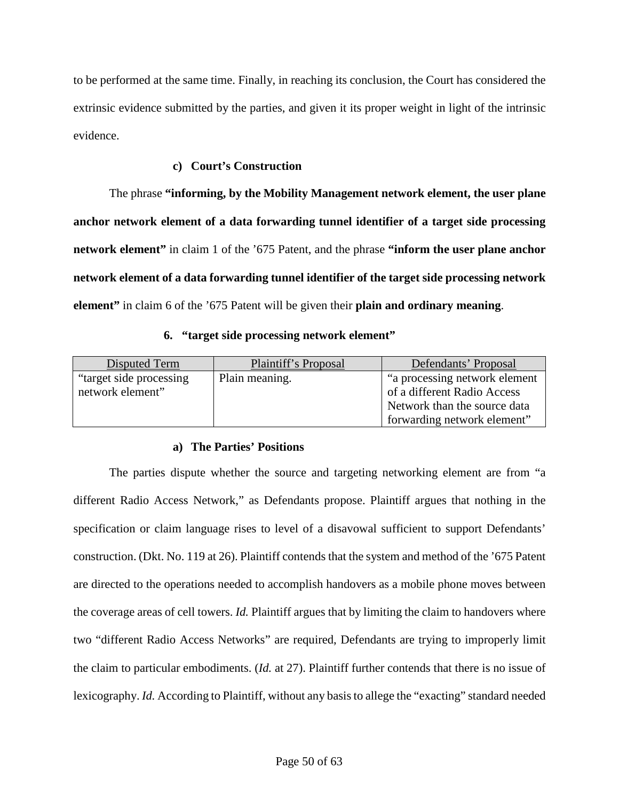to be performed at the same time. Finally, in reaching its conclusion, the Court has considered the extrinsic evidence submitted by the parties, and given it its proper weight in light of the intrinsic evidence.

### **c) Court's Construction**

The phrase **"informing, by the Mobility Management network element, the user plane anchor network element of a data forwarding tunnel identifier of a target side processing network element"** in claim 1 of the '675 Patent, and the phrase **"inform the user plane anchor network element of a data forwarding tunnel identifier of the target side processing network element"** in claim 6 of the '675 Patent will be given their **plain and ordinary meaning**.

# **6. "target side processing network element"**

<span id="page-49-0"></span>

| Disputed Term            | Plaintiff's Proposal | Defendants' Proposal           |
|--------------------------|----------------------|--------------------------------|
| "target side processing" | Plain meaning.       | "a processing network element" |
| network element"         |                      | of a different Radio Access    |
|                          |                      | Network than the source data   |
|                          |                      | forwarding network element"    |

# **a) The Parties' Positions**

The parties dispute whether the source and targeting networking element are from "a different Radio Access Network," as Defendants propose. Plaintiff argues that nothing in the specification or claim language rises to level of a disavowal sufficient to support Defendants' construction. (Dkt. No. 119 at 26). Plaintiff contends that the system and method of the '675 Patent are directed to the operations needed to accomplish handovers as a mobile phone moves between the coverage areas of cell towers. *Id.* Plaintiff argues that by limiting the claim to handovers where two "different Radio Access Networks" are required, Defendants are trying to improperly limit the claim to particular embodiments. (*Id.* at 27). Plaintiff further contends that there is no issue of lexicography. *Id.* According to Plaintiff, without any basis to allege the "exacting" standard needed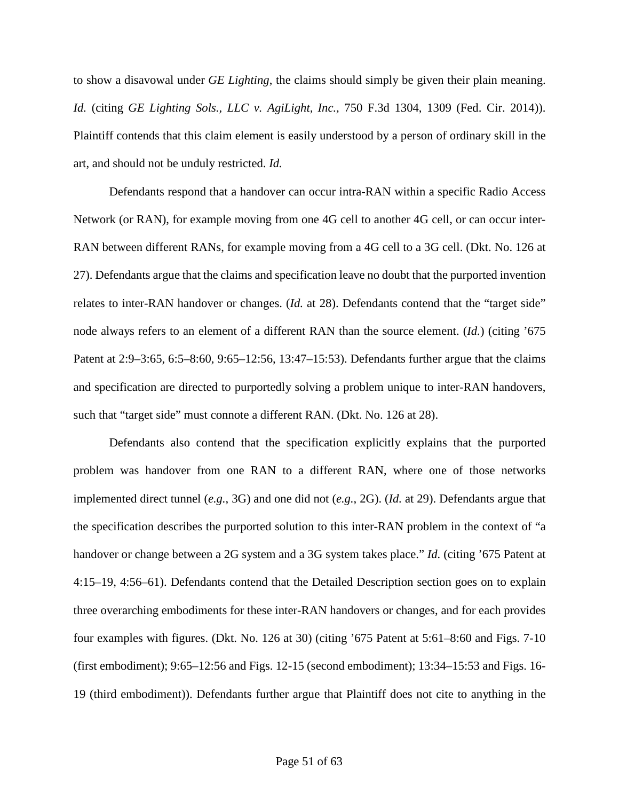to show a disavowal under *GE Lighting*, the claims should simply be given their plain meaning. *Id.* (citing *GE Lighting Sols., LLC v. AgiLight, Inc.,* 750 F.3d 1304, 1309 (Fed. Cir. 2014)). Plaintiff contends that this claim element is easily understood by a person of ordinary skill in the art, and should not be unduly restricted. *Id.*

Defendants respond that a handover can occur intra-RAN within a specific Radio Access Network (or RAN), for example moving from one 4G cell to another 4G cell, or can occur inter-RAN between different RANs, for example moving from a 4G cell to a 3G cell. (Dkt. No. 126 at 27). Defendants argue that the claims and specification leave no doubt that the purported invention relates to inter-RAN handover or changes. (*Id.* at 28). Defendants contend that the "target side" node always refers to an element of a different RAN than the source element. (*Id.*) (citing '675 Patent at 2:9–3:65, 6:5–8:60, 9:65–12:56, 13:47–15:53). Defendants further argue that the claims and specification are directed to purportedly solving a problem unique to inter-RAN handovers, such that "target side" must connote a different RAN. (Dkt. No. 126 at 28).

Defendants also contend that the specification explicitly explains that the purported problem was handover from one RAN to a different RAN, where one of those networks implemented direct tunnel (*e.g.*, 3G) and one did not (*e.g.*, 2G). (*Id.* at 29). Defendants argue that the specification describes the purported solution to this inter-RAN problem in the context of "a handover or change between a 2G system and a 3G system takes place." *Id.* (citing '675 Patent at 4:15–19, 4:56–61). Defendants contend that the Detailed Description section goes on to explain three overarching embodiments for these inter-RAN handovers or changes, and for each provides four examples with figures. (Dkt. No. 126 at 30) (citing '675 Patent at 5:61–8:60 and Figs. 7-10 (first embodiment); 9:65–12:56 and Figs. 12-15 (second embodiment); 13:34–15:53 and Figs. 16- 19 (third embodiment)). Defendants further argue that Plaintiff does not cite to anything in the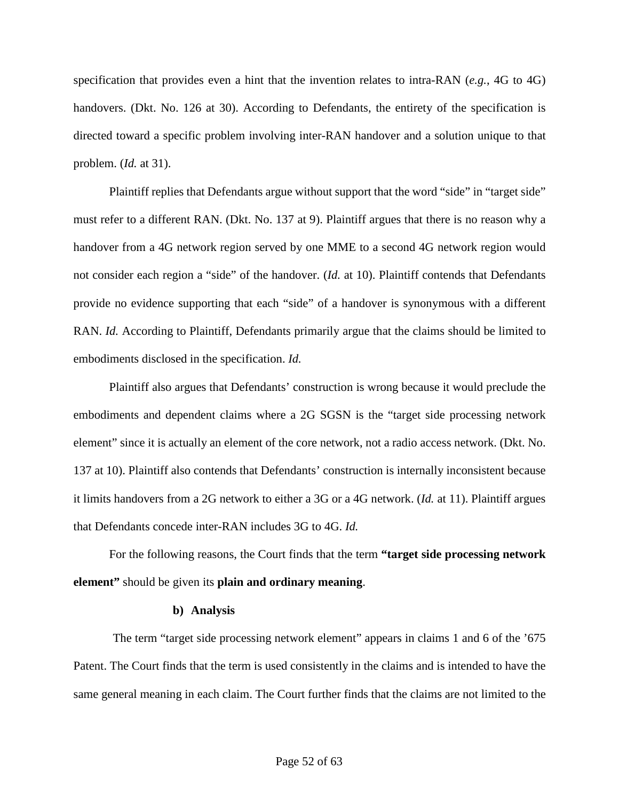specification that provides even a hint that the invention relates to intra-RAN (*e.g.*, 4G to 4G) handovers. (Dkt. No. 126 at 30). According to Defendants, the entirety of the specification is directed toward a specific problem involving inter-RAN handover and a solution unique to that problem. (*Id.* at 31).

Plaintiff replies that Defendants argue without support that the word "side" in "target side" must refer to a different RAN. (Dkt. No. 137 at 9). Plaintiff argues that there is no reason why a handover from a 4G network region served by one MME to a second 4G network region would not consider each region a "side" of the handover. (*Id.* at 10). Plaintiff contends that Defendants provide no evidence supporting that each "side" of a handover is synonymous with a different RAN. *Id.* According to Plaintiff, Defendants primarily argue that the claims should be limited to embodiments disclosed in the specification. *Id.*

Plaintiff also argues that Defendants' construction is wrong because it would preclude the embodiments and dependent claims where a 2G SGSN is the "target side processing network element" since it is actually an element of the core network, not a radio access network. (Dkt. No. 137 at 10). Plaintiff also contends that Defendants' construction is internally inconsistent because it limits handovers from a 2G network to either a 3G or a 4G network. (*Id.* at 11). Plaintiff argues that Defendants concede inter-RAN includes 3G to 4G. *Id.*

For the following reasons, the Court finds that the term **"target side processing network element"** should be given its **plain and ordinary meaning**.

#### **b) Analysis**

The term "target side processing network element" appears in claims 1 and 6 of the '675 Patent. The Court finds that the term is used consistently in the claims and is intended to have the same general meaning in each claim. The Court further finds that the claims are not limited to the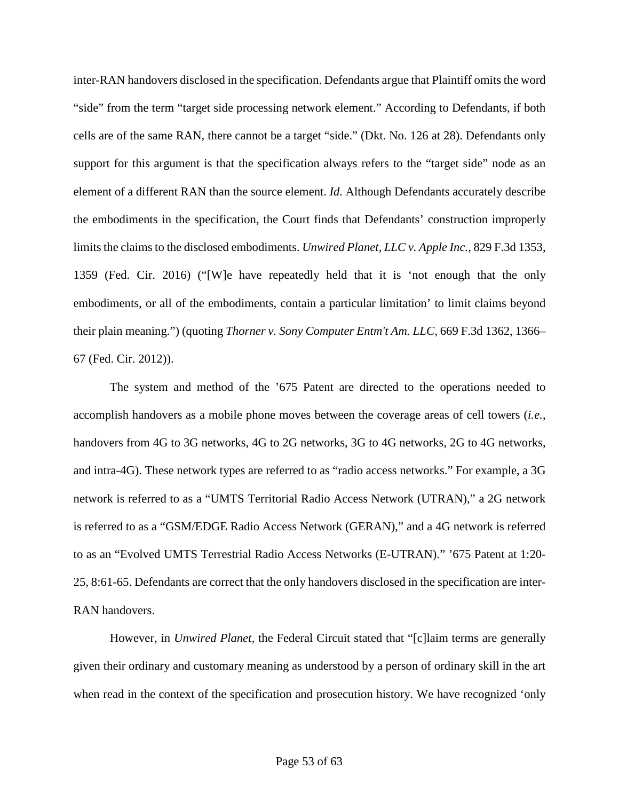inter-RAN handovers disclosed in the specification. Defendants argue that Plaintiff omits the word "side" from the term "target side processing network element." According to Defendants, if both cells are of the same RAN, there cannot be a target "side." (Dkt. No. 126 at 28). Defendants only support for this argument is that the specification always refers to the "target side" node as an element of a different RAN than the source element. *Id.* Although Defendants accurately describe the embodiments in the specification, the Court finds that Defendants' construction improperly limits the claims to the disclosed embodiments. *Unwired Planet, LLC v. Apple Inc.*, 829 F.3d 1353, 1359 (Fed. Cir. 2016) ("[W]e have repeatedly held that it is 'not enough that the only embodiments, or all of the embodiments, contain a particular limitation' to limit claims beyond their plain meaning.") (quoting *Thorner v. Sony Computer Entm't Am. LLC*, 669 F.3d 1362, 1366– 67 (Fed. Cir. 2012)).

The system and method of the '675 Patent are directed to the operations needed to accomplish handovers as a mobile phone moves between the coverage areas of cell towers (*i.e.*, handovers from 4G to 3G networks, 4G to 2G networks, 3G to 4G networks, 2G to 4G networks, and intra-4G). These network types are referred to as "radio access networks." For example, a 3G network is referred to as a "UMTS Territorial Radio Access Network (UTRAN)," a 2G network is referred to as a "GSM/EDGE Radio Access Network (GERAN)," and a 4G network is referred to as an "Evolved UMTS Terrestrial Radio Access Networks (E-UTRAN)." '675 Patent at 1:20- 25, 8:61-65. Defendants are correct that the only handovers disclosed in the specification are inter-RAN handovers.

However, in *Unwired Planet,* the Federal Circuit stated that "[c]laim terms are generally given their ordinary and customary meaning as understood by a person of ordinary skill in the art when read in the context of the specification and prosecution history. We have recognized 'only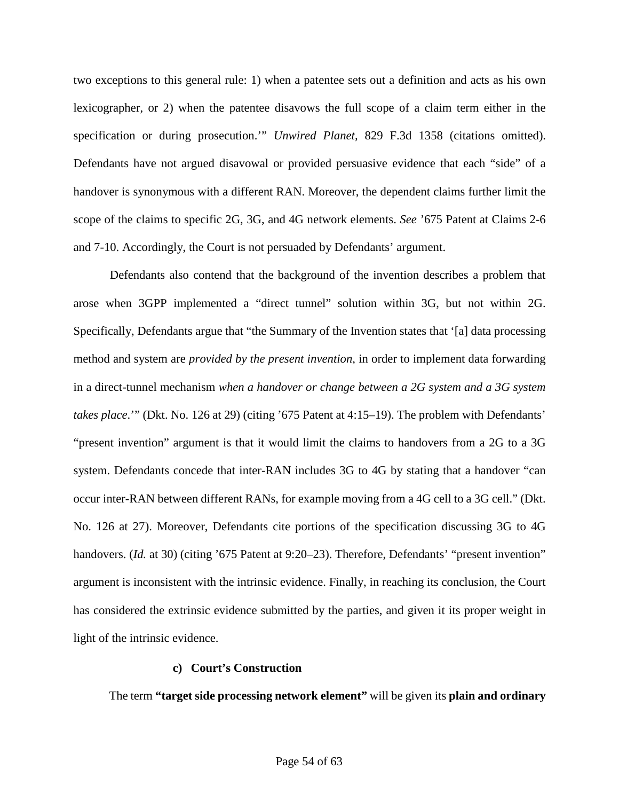two exceptions to this general rule: 1) when a patentee sets out a definition and acts as his own lexicographer, or 2) when the patentee disavows the full scope of a claim term either in the specification or during prosecution.'" *Unwired Planet,* 829 F.3d 1358 (citations omitted). Defendants have not argued disavowal or provided persuasive evidence that each "side" of a handover is synonymous with a different RAN. Moreover, the dependent claims further limit the scope of the claims to specific 2G, 3G, and 4G network elements. *See* '675 Patent at Claims 2-6 and 7-10. Accordingly, the Court is not persuaded by Defendants' argument.

Defendants also contend that the background of the invention describes a problem that arose when 3GPP implemented a "direct tunnel" solution within 3G, but not within 2G. Specifically, Defendants argue that "the Summary of the Invention states that '[a] data processing method and system are *provided by the present invention*, in order to implement data forwarding in a direct-tunnel mechanism *when a handover or change between a 2G system and a 3G system takes place*.'" (Dkt. No. 126 at 29) (citing '675 Patent at 4:15–19). The problem with Defendants' "present invention" argument is that it would limit the claims to handovers from a 2G to a 3G system. Defendants concede that inter-RAN includes 3G to 4G by stating that a handover "can occur inter-RAN between different RANs, for example moving from a 4G cell to a 3G cell." (Dkt. No. 126 at 27). Moreover, Defendants cite portions of the specification discussing 3G to 4G handovers. (*Id.* at 30) (citing '675 Patent at 9:20–23). Therefore, Defendants' "present invention" argument is inconsistent with the intrinsic evidence. Finally, in reaching its conclusion, the Court has considered the extrinsic evidence submitted by the parties, and given it its proper weight in light of the intrinsic evidence.

#### **c) Court's Construction**

The term **"target side processing network element"** will be given its **plain and ordinary**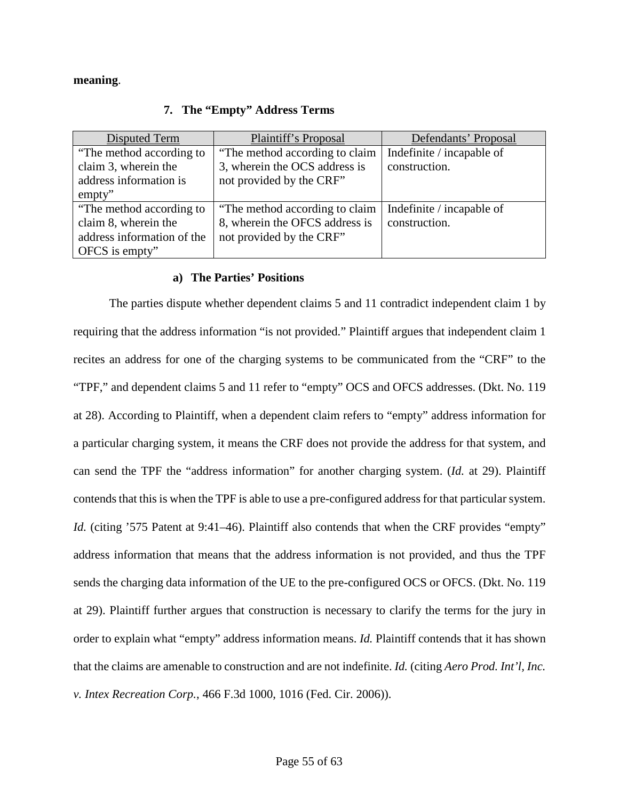#### <span id="page-54-0"></span>**meaning**.

| Disputed Term              | Plaintiff's Proposal            | Defendants' Proposal      |
|----------------------------|---------------------------------|---------------------------|
| "The method according to"  | "The method according to claim" | Indefinite / incapable of |
| claim 3, wherein the       | 3, wherein the OCS address is   | construction.             |
| address information is     | not provided by the CRF"        |                           |
| empty"                     |                                 |                           |
| "The method according to"  | "The method according to claim" | Indefinite / incapable of |
| claim 8, wherein the       | 8, wherein the OFCS address is  | construction.             |
| address information of the | not provided by the CRF"        |                           |
| OFCS is empty"             |                                 |                           |

### **7. The "Empty" Address Terms**

### **a) The Parties' Positions**

The parties dispute whether dependent claims 5 and 11 contradict independent claim 1 by requiring that the address information "is not provided." Plaintiff argues that independent claim 1 recites an address for one of the charging systems to be communicated from the "CRF" to the "TPF," and dependent claims 5 and 11 refer to "empty" OCS and OFCS addresses. (Dkt. No. 119 at 28). According to Plaintiff, when a dependent claim refers to "empty" address information for a particular charging system, it means the CRF does not provide the address for that system, and can send the TPF the "address information" for another charging system. (*Id.* at 29). Plaintiff contends that this is when the TPF is able to use a pre-configured address for that particular system. *Id.* (citing '575 Patent at 9:41–46). Plaintiff also contends that when the CRF provides "empty" address information that means that the address information is not provided, and thus the TPF sends the charging data information of the UE to the pre-configured OCS or OFCS. (Dkt. No. 119 at 29). Plaintiff further argues that construction is necessary to clarify the terms for the jury in order to explain what "empty" address information means. *Id.* Plaintiff contends that it has shown that the claims are amenable to construction and are not indefinite. *Id.* (citing *Aero Prod. Int'l, Inc. v. Intex Recreation Corp.*, 466 F.3d 1000, 1016 (Fed. Cir. 2006)).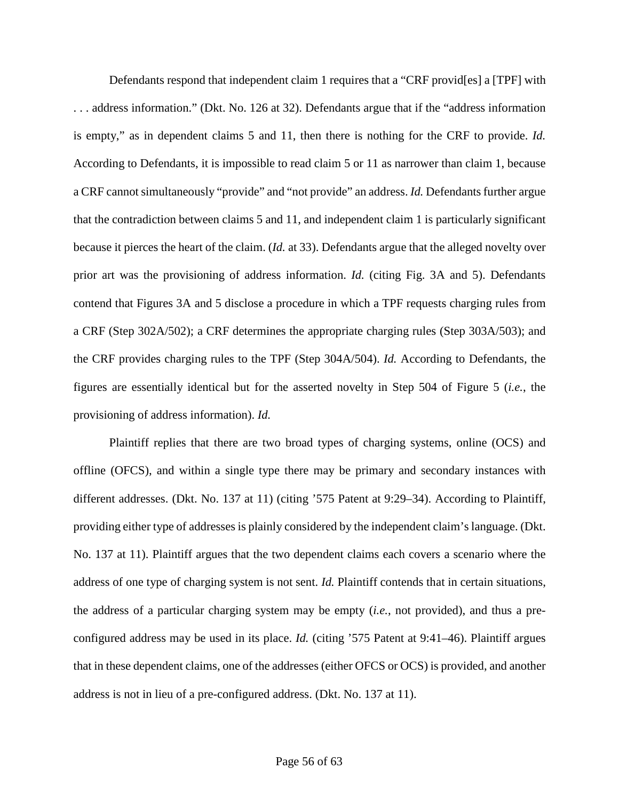Defendants respond that independent claim 1 requires that a "CRF provid[es] a [TPF] with . . . address information." (Dkt. No. 126 at 32). Defendants argue that if the "address information is empty," as in dependent claims 5 and 11, then there is nothing for the CRF to provide. *Id.* According to Defendants, it is impossible to read claim 5 or 11 as narrower than claim 1, because a CRF cannot simultaneously "provide" and "not provide" an address. *Id.* Defendants further argue that the contradiction between claims 5 and 11, and independent claim 1 is particularly significant because it pierces the heart of the claim. (*Id.* at 33). Defendants argue that the alleged novelty over prior art was the provisioning of address information. *Id.* (citing Fig. 3A and 5). Defendants contend that Figures 3A and 5 disclose a procedure in which a TPF requests charging rules from a CRF (Step 302A/502); a CRF determines the appropriate charging rules (Step 303A/503); and the CRF provides charging rules to the TPF (Step 304A/504). *Id.* According to Defendants, the figures are essentially identical but for the asserted novelty in Step 504 of Figure 5 (*i.e.*, the provisioning of address information). *Id.*

Plaintiff replies that there are two broad types of charging systems, online (OCS) and offline (OFCS), and within a single type there may be primary and secondary instances with different addresses. (Dkt. No. 137 at 11) (citing '575 Patent at 9:29–34). According to Plaintiff, providing either type of addresses is plainly considered by the independent claim's language. (Dkt. No. 137 at 11). Plaintiff argues that the two dependent claims each covers a scenario where the address of one type of charging system is not sent. *Id.* Plaintiff contends that in certain situations, the address of a particular charging system may be empty (*i.e.*, not provided), and thus a preconfigured address may be used in its place. *Id.* (citing '575 Patent at 9:41–46). Plaintiff argues that in these dependent claims, one of the addresses (either OFCS or OCS) is provided, and another address is not in lieu of a pre-configured address. (Dkt. No. 137 at 11).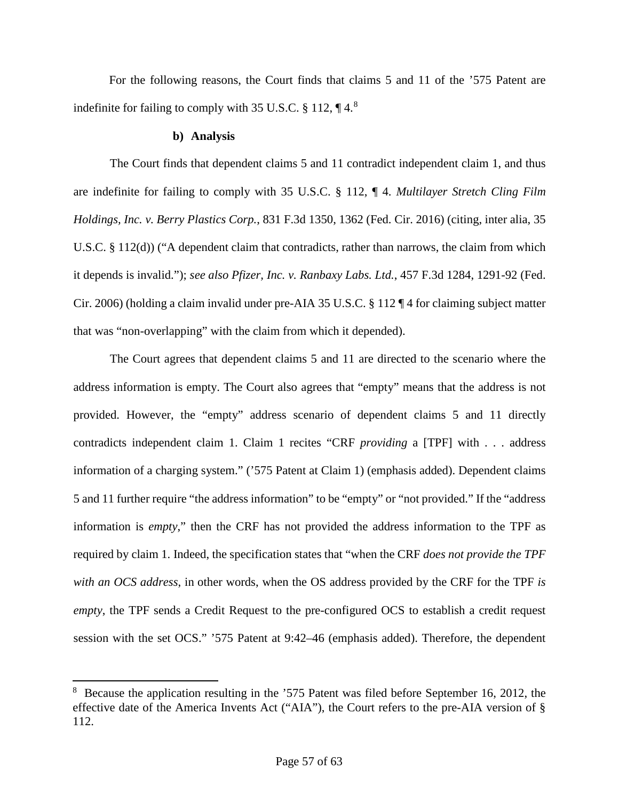For the following reasons, the Court finds that claims 5 and 11 of the '575 Patent are indefinite for failing to comply with 35 U.S.C.  $\S$  112,  $\P$  4.<sup>[8](#page-56-0)</sup>

### **b) Analysis**

l

The Court finds that dependent claims 5 and 11 contradict independent claim 1, and thus are indefinite for failing to comply with 35 U.S.C. § 112, ¶ 4. *Multilayer Stretch Cling Film Holdings, Inc. v. Berry Plastics Corp.*, 831 F.3d 1350, 1362 (Fed. Cir. 2016) (citing, inter alia, 35 U.S.C. § 112(d)) ("A dependent claim that contradicts, rather than narrows, the claim from which it depends is invalid."); *see also Pfizer, Inc. v. Ranbaxy Labs. Ltd.*, 457 F.3d 1284, 1291-92 (Fed. Cir. 2006) (holding a claim invalid under pre-AIA 35 U.S.C. § 112 ¶ 4 for claiming subject matter that was "non-overlapping" with the claim from which it depended).

The Court agrees that dependent claims 5 and 11 are directed to the scenario where the address information is empty. The Court also agrees that "empty" means that the address is not provided. However, the "empty" address scenario of dependent claims 5 and 11 directly contradicts independent claim 1. Claim 1 recites "CRF *providing* a [TPF] with . . . address information of a charging system." ('575 Patent at Claim 1) (emphasis added). Dependent claims 5 and 11 further require "the address information" to be "empty" or "not provided." If the "address information is *empty*," then the CRF has not provided the address information to the TPF as required by claim 1. Indeed, the specification states that "when the CRF *does not provide the TPF with an OCS address*, in other words, when the OS address provided by the CRF for the TPF *is empty*, the TPF sends a Credit Request to the pre-configured OCS to establish a credit request session with the set OCS." '575 Patent at 9:42–46 (emphasis added). Therefore, the dependent

<span id="page-56-0"></span><sup>&</sup>lt;sup>8</sup> Because the application resulting in the '575 Patent was filed before September 16, 2012, the effective date of the America Invents Act ("AIA"), the Court refers to the pre-AIA version of § 112.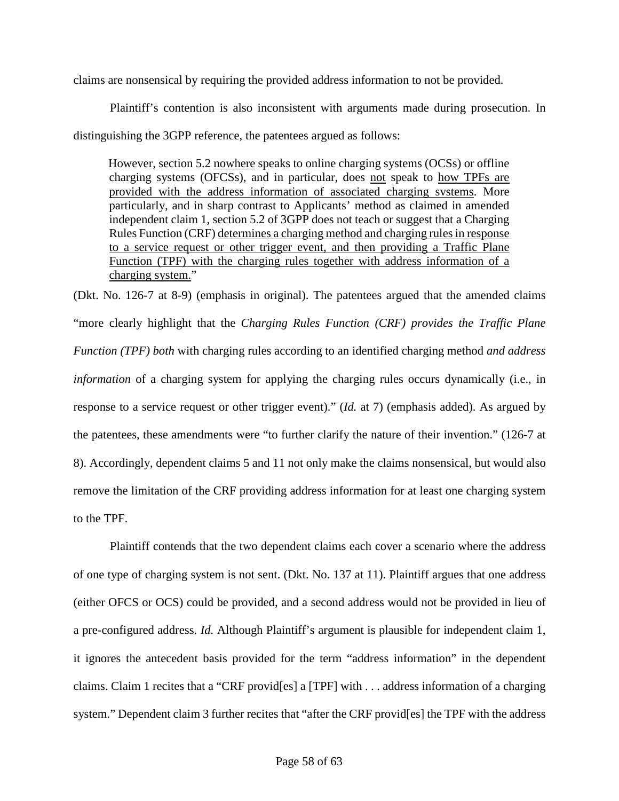claims are nonsensical by requiring the provided address information to not be provided.

Plaintiff's contention is also inconsistent with arguments made during prosecution. In distinguishing the 3GPP reference, the patentees argued as follows:

However, section 5.2 nowhere speaks to online charging systems (OCSs) or offline charging systems (OFCSs), and in particular, does not speak to how TPFs are provided with the address information of associated charging svstems. More particularly, and in sharp contrast to Applicants' method as claimed in amended independent claim 1, section 5.2 of 3GPP does not teach or suggest that a Charging Rules Function (CRF) determines a charging method and charging rules in response to a service request or other trigger event, and then providing a Traffic Plane Function (TPF) with the charging rules together with address information of a charging system."

(Dkt. No. 126-7 at 8-9) (emphasis in original). The patentees argued that the amended claims "more clearly highlight that the *Charging Rules Function (CRF) provides the Traffic Plane Function (TPF) both* with charging rules according to an identified charging method *and address information* of a charging system for applying the charging rules occurs dynamically (i.e., in response to a service request or other trigger event)." (*Id.* at 7) (emphasis added). As argued by the patentees, these amendments were "to further clarify the nature of their invention." (126-7 at 8). Accordingly, dependent claims 5 and 11 not only make the claims nonsensical, but would also remove the limitation of the CRF providing address information for at least one charging system to the TPF.

Plaintiff contends that the two dependent claims each cover a scenario where the address of one type of charging system is not sent. (Dkt. No. 137 at 11). Plaintiff argues that one address (either OFCS or OCS) could be provided, and a second address would not be provided in lieu of a pre-configured address. *Id.* Although Plaintiff's argument is plausible for independent claim 1, it ignores the antecedent basis provided for the term "address information" in the dependent claims. Claim 1 recites that a "CRF provid[es] a [TPF] with . . . address information of a charging system." Dependent claim 3 further recites that "after the CRF provid[es] the TPF with the address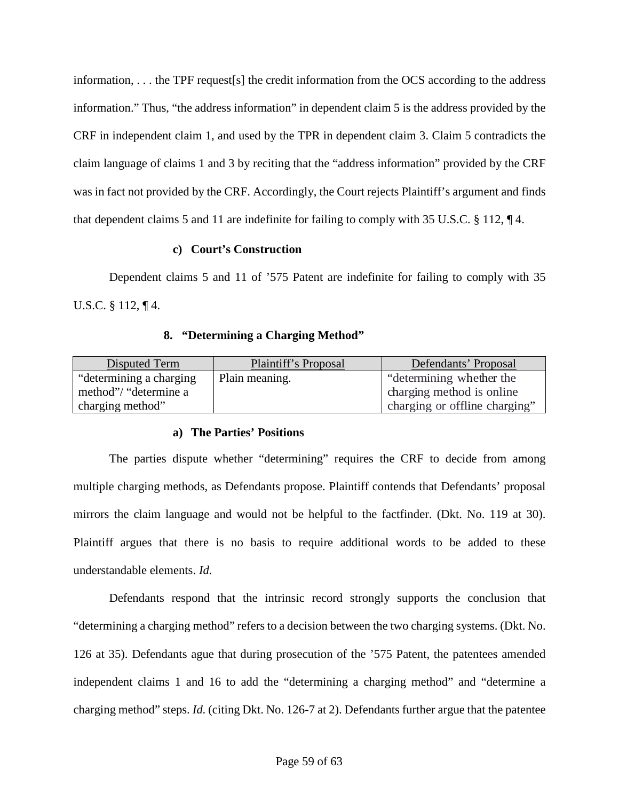information, . . . the TPF request[s] the credit information from the OCS according to the address information." Thus, "the address information" in dependent claim 5 is the address provided by the CRF in independent claim 1, and used by the TPR in dependent claim 3. Claim 5 contradicts the claim language of claims 1 and 3 by reciting that the "address information" provided by the CRF was in fact not provided by the CRF. Accordingly, the Court rejects Plaintiff's argument and finds that dependent claims 5 and 11 are indefinite for failing to comply with 35 U.S.C. § 112, ¶ 4.

### **c) Court's Construction**

Dependent claims 5 and 11 of '575 Patent are indefinite for failing to comply with 35 U.S.C. § 112, ¶ 4.

### **8. "Determining a Charging Method"**

<span id="page-58-0"></span>

| Disputed Term            | Plaintiff's Proposal | Defendants' Proposal          |
|--------------------------|----------------------|-------------------------------|
| "determining a charging" | Plain meaning.       | "determining whether the      |
| method"/ "determine a    |                      | charging method is online     |
| charging method"         |                      | charging or offline charging" |

# **a) The Parties' Positions**

The parties dispute whether "determining" requires the CRF to decide from among multiple charging methods, as Defendants propose. Plaintiff contends that Defendants' proposal mirrors the claim language and would not be helpful to the factfinder. (Dkt. No. 119 at 30). Plaintiff argues that there is no basis to require additional words to be added to these understandable elements. *Id.*

Defendants respond that the intrinsic record strongly supports the conclusion that "determining a charging method" refers to a decision between the two charging systems. (Dkt. No. 126 at 35). Defendants ague that during prosecution of the '575 Patent, the patentees amended independent claims 1 and 16 to add the "determining a charging method" and "determine a charging method" steps. *Id.* (citing Dkt. No. 126-7 at 2). Defendants further argue that the patentee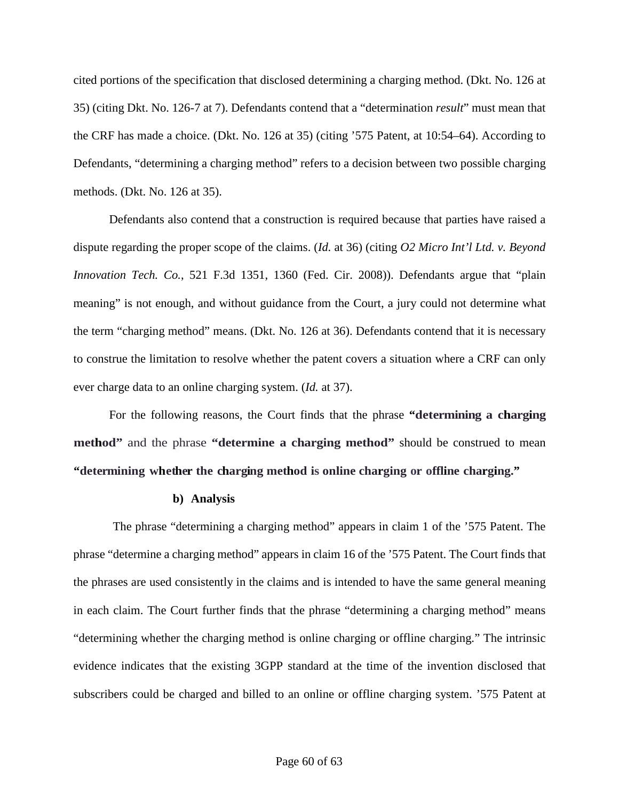cited portions of the specification that disclosed determining a charging method. (Dkt. No. 126 at 35) (citing Dkt. No. 126-7 at 7). Defendants contend that a "determination *result*" must mean that the CRF has made a choice. (Dkt. No. 126 at 35) (citing '575 Patent, at 10:54–64). According to Defendants, "determining a charging method" refers to a decision between two possible charging methods. (Dkt. No. 126 at 35).

Defendants also contend that a construction is required because that parties have raised a dispute regarding the proper scope of the claims. (*Id.* at 36) (citing *O2 Micro Int'l Ltd. v. Beyond Innovation Tech. Co.*, 521 F.3d 1351, 1360 (Fed. Cir. 2008)). Defendants argue that "plain meaning" is not enough, and without guidance from the Court, a jury could not determine what the term "charging method" means. (Dkt. No. 126 at 36). Defendants contend that it is necessary to construe the limitation to resolve whether the patent covers a situation where a CRF can only ever charge data to an online charging system. (*Id.* at 37).

For the following reasons, the Court finds that the phrase **"determining a charging method"** and the phrase **"determine a charging method"** should be construed to mean **"determining whether the charging method is online charging or offline charging."**

#### **b) Analysis**

The phrase "determining a charging method" appears in claim 1 of the '575 Patent. The phrase "determine a charging method" appears in claim 16 of the '575 Patent. The Court finds that the phrases are used consistently in the claims and is intended to have the same general meaning in each claim. The Court further finds that the phrase "determining a charging method" means "determining whether the charging method is online charging or offline charging." The intrinsic evidence indicates that the existing 3GPP standard at the time of the invention disclosed that subscribers could be charged and billed to an online or offline charging system. '575 Patent at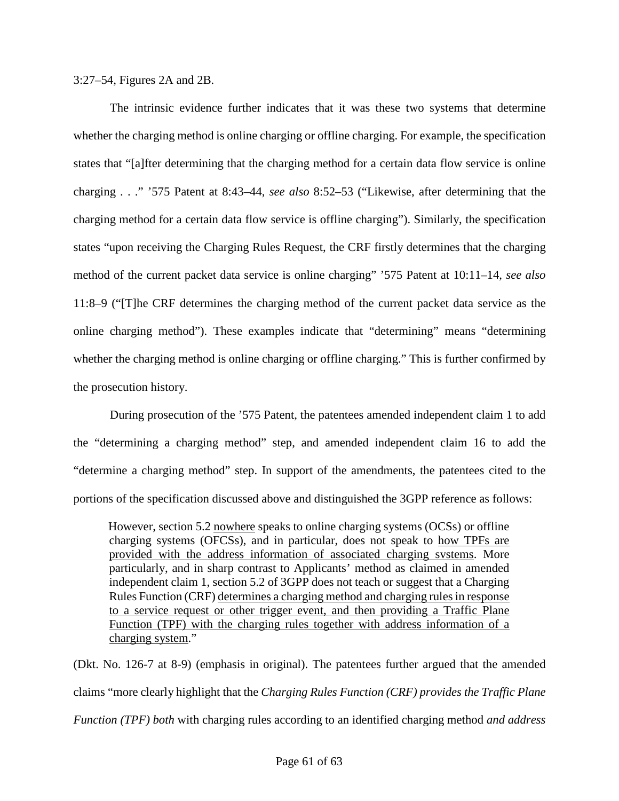3:27–54, Figures 2A and 2B.

The intrinsic evidence further indicates that it was these two systems that determine whether the charging method is online charging or offline charging. For example, the specification states that "[a]fter determining that the charging method for a certain data flow service is online charging . . ." '575 Patent at 8:43–44, *see also* 8:52–53 ("Likewise, after determining that the charging method for a certain data flow service is offline charging"). Similarly, the specification states "upon receiving the Charging Rules Request, the CRF firstly determines that the charging method of the current packet data service is online charging" '575 Patent at 10:11–14, *see also* 11:8–9 ("[T]he CRF determines the charging method of the current packet data service as the online charging method"). These examples indicate that "determining" means "determining whether the charging method is online charging or offline charging." This is further confirmed by the prosecution history.

During prosecution of the '575 Patent, the patentees amended independent claim 1 to add the "determining a charging method" step, and amended independent claim 16 to add the "determine a charging method" step. In support of the amendments, the patentees cited to the portions of the specification discussed above and distinguished the 3GPP reference as follows:

However, section 5.2 nowhere speaks to online charging systems (OCSs) or offline charging systems (OFCSs), and in particular, does not speak to how TPFs are provided with the address information of associated charging svstems. More particularly, and in sharp contrast to Applicants' method as claimed in amended independent claim 1, section 5.2 of 3GPP does not teach or suggest that a Charging Rules Function (CRF) determines a charging method and charging rules in response to a service request or other trigger event, and then providing a Traffic Plane Function (TPF) with the charging rules together with address information of a charging system."

(Dkt. No. 126-7 at 8-9) (emphasis in original). The patentees further argued that the amended claims "more clearly highlight that the *Charging Rules Function (CRF) provides the Traffic Plane Function (TPF) both* with charging rules according to an identified charging method *and address*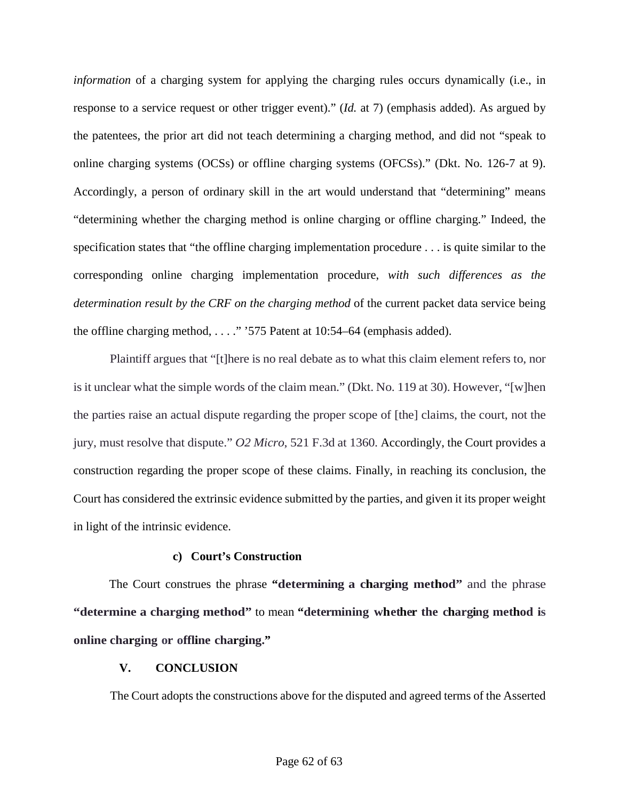*information* of a charging system for applying the charging rules occurs dynamically (i.e., in response to a service request or other trigger event)." (*Id.* at 7) (emphasis added). As argued by the patentees, the prior art did not teach determining a charging method, and did not "speak to online charging systems (OCSs) or offline charging systems (OFCSs)." (Dkt. No. 126-7 at 9). Accordingly, a person of ordinary skill in the art would understand that "determining" means "determining whether the charging method is online charging or offline charging." Indeed, the specification states that "the offline charging implementation procedure . . . is quite similar to the corresponding online charging implementation procedure, *with such differences as the determination result by the CRF on the charging method* of the current packet data service being the offline charging method, . . . ." '575 Patent at 10:54–64 (emphasis added).

Plaintiff argues that "[t]here is no real debate as to what this claim element refers to, nor is it unclear what the simple words of the claim mean." (Dkt. No. 119 at 30). However, "[w]hen the parties raise an actual dispute regarding the proper scope of [the] claims, the court, not the jury, must resolve that dispute." *O2 Micro*, 521 F.3d at 1360. Accordingly, the Court provides a construction regarding the proper scope of these claims. Finally, in reaching its conclusion, the Court has considered the extrinsic evidence submitted by the parties, and given it its proper weight in light of the intrinsic evidence.

# **c) Court's Construction**

The Court construes the phrase **"determining a charging method"** and the phrase **"determine a charging method"** to mean **"determining whether the charging method is online charging or offline charging."**

# <span id="page-61-0"></span>**V. CONCLUSION**

The Court adopts the constructions above for the disputed and agreed terms of the Asserted